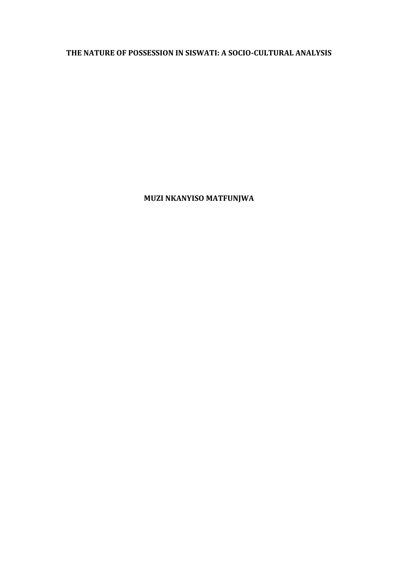## **THE NATURE OF POSSESSION IN SISWATI: A SOCIO-CULTURAL ANALYSIS**

**MUZI NKANYISO MATFUNJWA**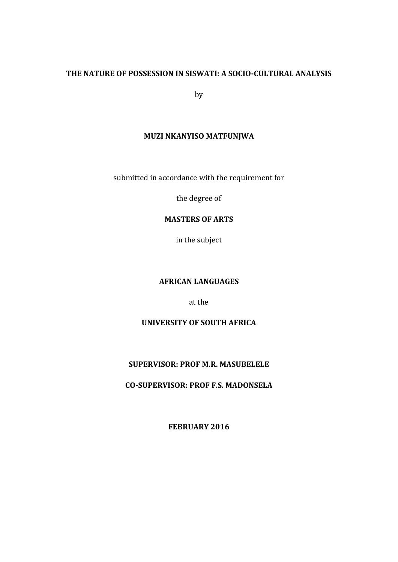## **THE NATURE OF POSSESSION IN SISWATI: A SOCIO-CULTURAL ANALYSIS**

by

### **MUZI NKANYISO MATFUNJWA**

submitted in accordance with the requirement for

the degree of

## **MASTERS OF ARTS**

in the subject

## **AFRICAN LANGUAGES**

at the

### **UNIVERSITY OF SOUTH AFRICA**

## **SUPERVISOR: PROF M.R. MASUBELELE**

**CO-SUPERVISOR: PROF F.S. MADONSELA**

**FEBRUARY 2016**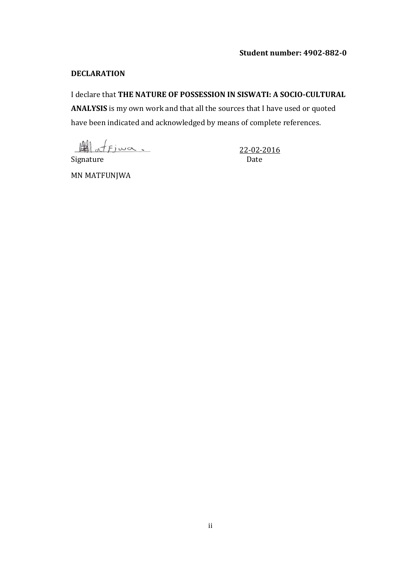## **Student number: 4902-882-0**

### **DECLARATION**

## I declare that **THE NATURE OF POSSESSION IN SISWATI: A SOCIO-CULTURAL**

**ANALYSIS** is my own work and that all the sources that I have used or quoted have been indicated and acknowledged by means of complete references.

 $44 \times 5 \times 22 - 02 - 2016$ 

Signature Date

MN MATFUNJWA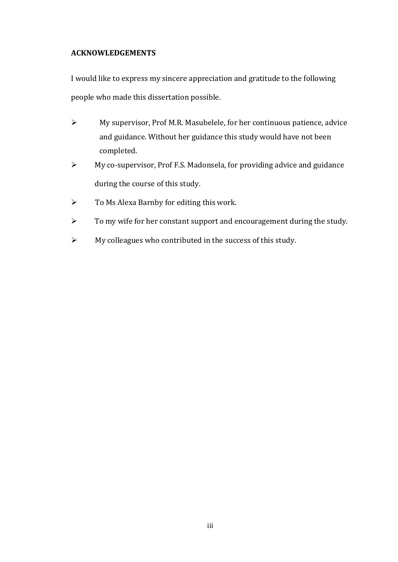## **ACKNOWLEDGEMENTS**

I would like to express my sincere appreciation and gratitude to the following people who made this dissertation possible.

- $\triangleright$  My supervisor, Prof M.R. Masubelele, for her continuous patience, advice and guidance. Without her guidance this study would have not been completed.
- My co-supervisor, Prof F.S. Madonsela, for providing advice and guidance during the course of this study.
- $\triangleright$  To Ms Alexa Barnby for editing this work.
- $\triangleright$  To my wife for her constant support and encouragement during the study.
- $\triangleright$  My colleagues who contributed in the success of this study.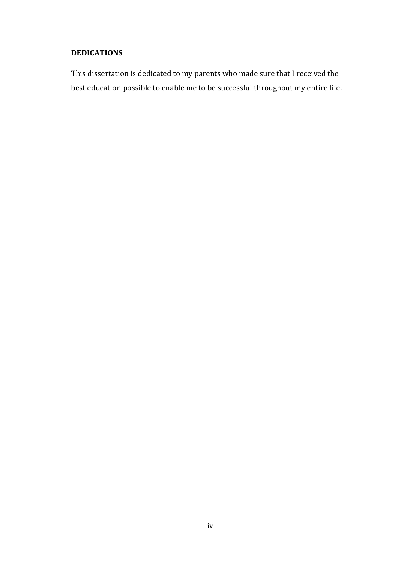## **DEDICATIONS**

This dissertation is dedicated to my parents who made sure that I received the best education possible to enable me to be successful throughout my entire life.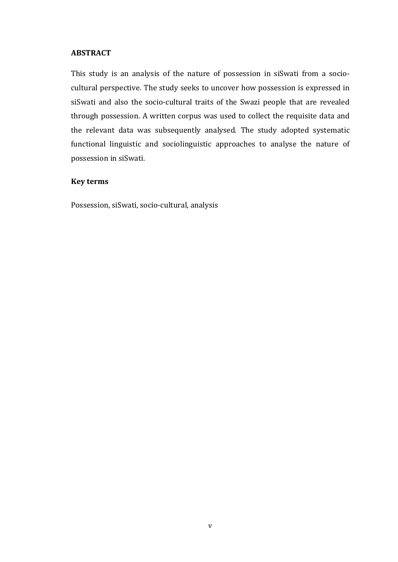#### **ABSTRACT**

This study is an analysis of the nature of possession in siSwati from a sociocultural perspective. The study seeks to uncover how possession is expressed in siSwati and also the socio-cultural traits of the Swazi people that are revealed through possession. A written corpus was used to collect the requisite data and the relevant data was subsequently analysed. The study adopted systematic functional linguistic and sociolinguistic approaches to analyse the nature of possession in siSwati.

#### **Key terms**

Possession, siSwati, socio-cultural, analysis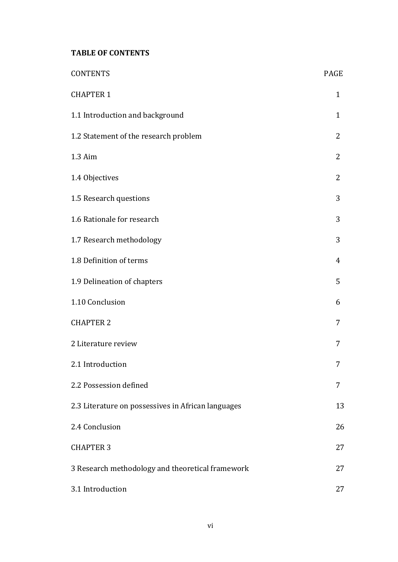## **TABLE OF CONTENTS**

| <b>CONTENTS</b>                                    | PAGE         |
|----------------------------------------------------|--------------|
| <b>CHAPTER 1</b>                                   | $\mathbf{1}$ |
| 1.1 Introduction and background                    | 1            |
| 1.2 Statement of the research problem              | 2            |
| 1.3 Aim                                            | 2            |
| 1.4 Objectives                                     | 2            |
| 1.5 Research questions                             | 3            |
| 1.6 Rationale for research                         | 3            |
| 1.7 Research methodology                           | 3            |
| 1.8 Definition of terms                            | 4            |
| 1.9 Delineation of chapters                        | 5            |
| 1.10 Conclusion                                    | 6            |
| <b>CHAPTER 2</b>                                   | 7            |
| 2 Literature review                                | 7            |
| 2.1 Introduction                                   | 7            |
| 2.2 Possession defined                             | 7            |
| 2.3 Literature on possessives in African languages | 13           |
| 2.4 Conclusion                                     | 26           |
| <b>CHAPTER 3</b>                                   | 27           |
| 3 Research methodology and theoretical framework   | 27           |
| 3.1 Introduction                                   | 27           |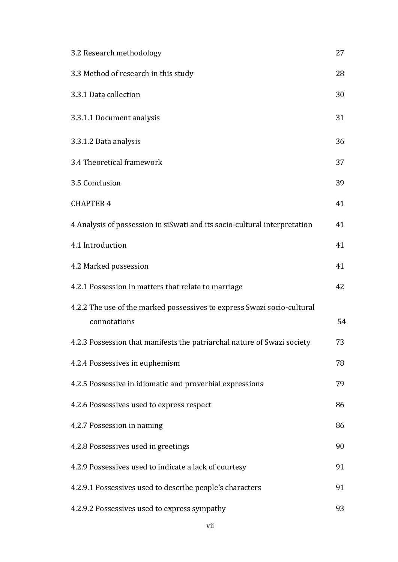| 3.2 Research methodology                                                                | 27 |
|-----------------------------------------------------------------------------------------|----|
| 3.3 Method of research in this study                                                    | 28 |
| 3.3.1 Data collection                                                                   | 30 |
| 3.3.1.1 Document analysis                                                               | 31 |
| 3.3.1.2 Data analysis                                                                   | 36 |
| 3.4 Theoretical framework                                                               | 37 |
| 3.5 Conclusion                                                                          | 39 |
| <b>CHAPTER 4</b>                                                                        | 41 |
| 4 Analysis of possession in siSwati and its socio-cultural interpretation               | 41 |
| 4.1 Introduction                                                                        | 41 |
| 4.2 Marked possession                                                                   | 41 |
| 4.2.1 Possession in matters that relate to marriage                                     | 42 |
| 4.2.2 The use of the marked possessives to express Swazi socio-cultural<br>connotations | 54 |
| 4.2.3 Possession that manifests the patriarchal nature of Swazi society                 | 73 |
| 4.2.4 Possessives in euphemism                                                          | 78 |
| 4.2.5 Possessive in idiomatic and proverbial expressions                                | 79 |
| 4.2.6 Possessives used to express respect                                               | 86 |
| 4.2.7 Possession in naming                                                              | 86 |
| 4.2.8 Possessives used in greetings                                                     | 90 |
| 4.2.9 Possessives used to indicate a lack of courtesy                                   | 91 |
| 4.2.9.1 Possessives used to describe people's characters                                | 91 |
| 4.2.9.2 Possessives used to express sympathy                                            | 93 |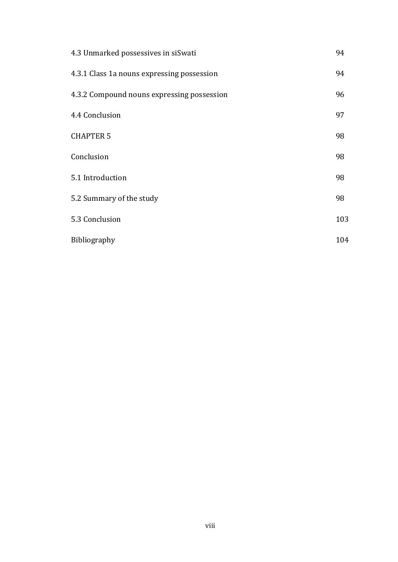| 4.3 Unmarked possessives in siSwati        |     |  |
|--------------------------------------------|-----|--|
| 4.3.1 Class 1a nouns expressing possession | 94  |  |
| 4.3.2 Compound nouns expressing possession | 96  |  |
| 4.4 Conclusion                             | 97  |  |
| <b>CHAPTER 5</b>                           | 98  |  |
| Conclusion                                 | 98  |  |
| 5.1 Introduction                           | 98  |  |
| 5.2 Summary of the study                   | 98  |  |
| 5.3 Conclusion                             | 103 |  |
| Bibliography                               | 104 |  |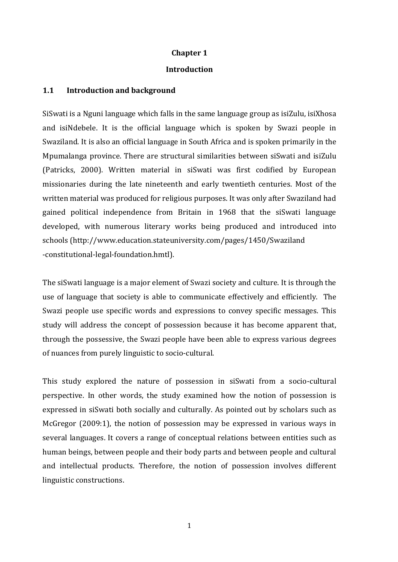### **Chapter 1**

#### **Introduction**

#### **1.1 Introduction and background**

SiSwati is a Nguni language which falls in the same language group as isiZulu, isiXhosa and isiNdebele. It is the official language which is spoken by Swazi people in Swaziland. It is also an official language in South Africa and is spoken primarily in the Mpumalanga province. There are structural similarities between siSwati and isiZulu (Patricks, 2000). Written material in siSwati was first codified by European missionaries during the late nineteenth and early twentieth centuries. Most of the written material was produced for religious purposes. It was only after Swaziland had gained political independence from Britain in 1968 that the siSwati language developed, with numerous literary works being produced and introduced into schools (http://www.education.stateuniversity.com/pages/1450/Swaziland -constitutional-legal-foundation.hmtl).

The siSwati language is a major element of Swazi society and culture. It is through the use of language that society is able to communicate effectively and efficiently. The Swazi people use specific words and expressions to convey specific messages. This study will address the concept of possession because it has become apparent that, through the possessive, the Swazi people have been able to express various degrees of nuances from purely linguistic to socio-cultural.

This study explored the nature of possession in siSwati from a socio-cultural perspective. In other words, the study examined how the notion of possession is expressed in siSwati both socially and culturally. As pointed out by scholars such as McGregor (2009:1), the notion of possession may be expressed in various ways in several languages. It covers a range of conceptual relations between entities such as human beings, between people and their body parts and between people and cultural and intellectual products. Therefore, the notion of possession involves different linguistic constructions.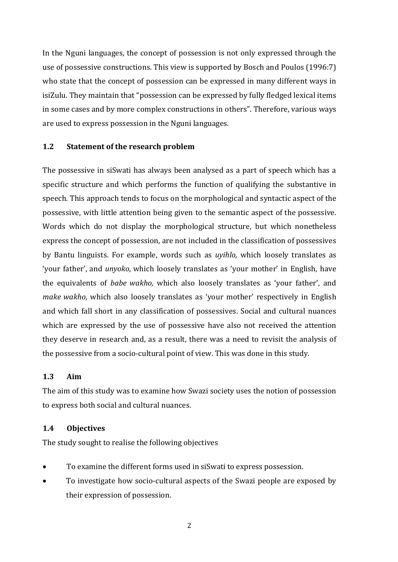In the Nguni languages, the concept of possession is not only expressed through the use of possessive constructions. This view is supported by Bosch and Poulos (1996:7) who state that the concept of possession can be expressed in many different ways in isiZulu. They maintain that "possession can be expressed by fully fledged lexical items in some cases and by more complex constructions in others". Therefore, various ways are used to express possession in the Nguni languages.

### **1.2 Statement of the research problem**

The possessive in siSwati has always been analysed as a part of speech which has a specific structure and which performs the function of qualifying the substantive in speech. This approach tends to focus on the morphological and syntactic aspect of the possessive, with little attention being given to the semantic aspect of the possessive. Words which do not display the morphological structure, but which nonetheless express the concept of possession, are not included in the classification of possessives by Bantu linguists. For example, words such as *uyihlo,* which loosely translates as 'your father', and *unyoko,* which loosely translates as 'your mother' in English, have the equivalents of *babe wakho,* which also loosely translates as 'your father', and *make wakho*, which also loosely translates as 'your mother' respectively in English and which fall short in any classification of possessives. Social and cultural nuances which are expressed by the use of possessive have also not received the attention they deserve in research and, as a result, there was a need to revisit the analysis of the possessive from a socio-cultural point of view. This was done in this study.

#### **1.3 Aim**

The aim of this study was to examine how Swazi society uses the notion of possession to express both social and cultural nuances.

## **1.4 Objectives**

The study sought to realise the following objectives

- To examine the different forms used in siSwati to express possession.
- To investigate how socio-cultural aspects of the Swazi people are exposed by their expression of possession.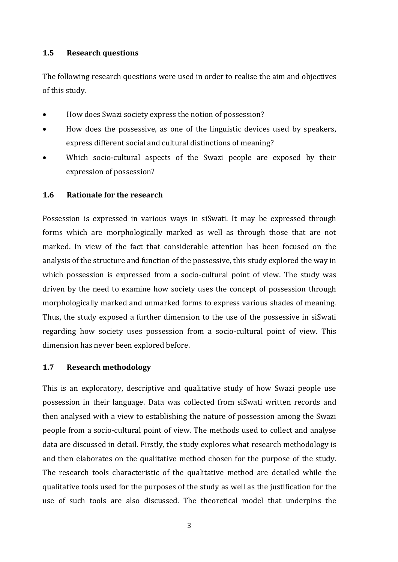## **1.5 Research questions**

The following research questions were used in order to realise the aim and objectives of this study.

- How does Swazi society express the notion of possession?
- How does the possessive, as one of the linguistic devices used by speakers, express different social and cultural distinctions of meaning?
- Which socio-cultural aspects of the Swazi people are exposed by their expression of possession?

### **1.6 Rationale for the research**

Possession is expressed in various ways in siSwati. It may be expressed through forms which are morphologically marked as well as through those that are not marked. In view of the fact that considerable attention has been focused on the analysis of the structure and function of the possessive, this study explored the way in which possession is expressed from a socio-cultural point of view. The study was driven by the need to examine how society uses the concept of possession through morphologically marked and unmarked forms to express various shades of meaning. Thus, the study exposed a further dimension to the use of the possessive in siSwati regarding how society uses possession from a socio-cultural point of view. This dimension has never been explored before.

#### **1.7 Research methodology**

This is an exploratory, descriptive and qualitative study of how Swazi people use possession in their language. Data was collected from siSwati written records and then analysed with a view to establishing the nature of possession among the Swazi people from a socio-cultural point of view. The methods used to collect and analyse data are discussed in detail. Firstly, the study explores what research methodology is and then elaborates on the qualitative method chosen for the purpose of the study. The research tools characteristic of the qualitative method are detailed while the qualitative tools used for the purposes of the study as well as the justification for the use of such tools are also discussed. The theoretical model that underpins the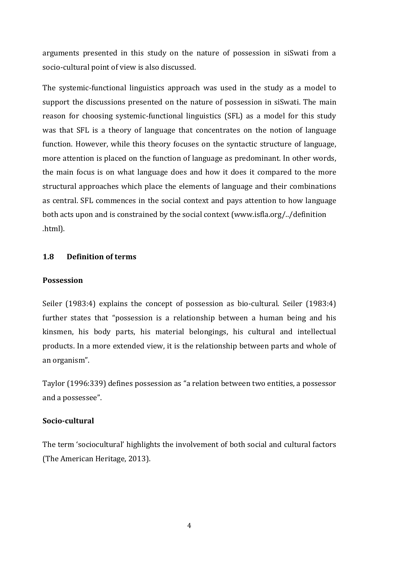arguments presented in this study on the nature of possession in siSwati from a socio-cultural point of view is also discussed.

The systemic-functional linguistics approach was used in the study as a model to support the discussions presented on the nature of possession in siSwati. The main reason for choosing systemic-functional linguistics (SFL) as a model for this study was that SFL is a theory of language that concentrates on the notion of language function. However, while this theory focuses on the syntactic structure of language, more attention is placed on the function of language as predominant. In other words, the main focus is on what language does and how it does it compared to the more structural approaches which place the elements of language and their combinations as central. SFL commences in the social context and pays attention to how language both acts upon and is constrained by the social context (www.isfla.org/../definition .html).

## **1.8 Definition of terms**

## **Possession**

Seiler (1983:4) explains the concept of possession as bio-cultural. Seiler (1983:4) further states that "possession is a relationship between a human being and his kinsmen, his body parts, his material belongings, his cultural and intellectual products. In a more extended view, it is the relationship between parts and whole of an organism".

Taylor (1996:339) defines possession as "a relation between two entities, a possessor and a possessee".

## **Socio-cultural**

The term 'sociocultural' highlights the involvement of both social and cultural factors (The American Heritage, 2013).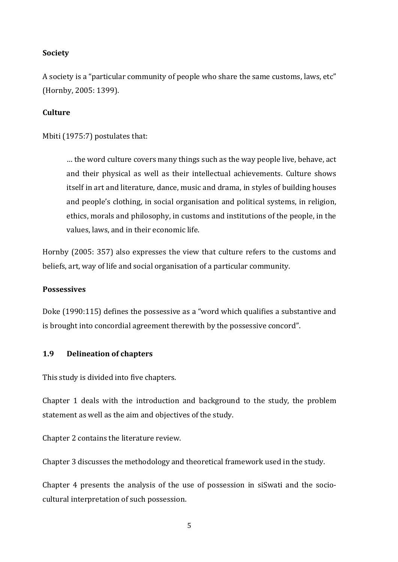## **Society**

A society is a "particular community of people who share the same customs, laws, etc" (Hornby, 2005: 1399).

### **Culture**

Mbiti (1975:7) postulates that:

… the word culture covers many things such as the way people live, behave, act and their physical as well as their intellectual achievements. Culture shows itself in art and literature, dance, music and drama, in styles of building houses and people's clothing, in social organisation and political systems, in religion, ethics, morals and philosophy, in customs and institutions of the people, in the values, laws, and in their economic life.

Hornby (2005: 357) also expresses the view that culture refers to the customs and beliefs, art, way of life and social organisation of a particular community.

#### **Possessives**

Doke (1990:115) defines the possessive as a "word which qualifies a substantive and is brought into concordial agreement therewith by the possessive concord".

#### **1.9 Delineation of chapters**

This study is divided into five chapters.

Chapter 1 deals with the introduction and background to the study, the problem statement as well as the aim and objectives of the study.

Chapter 2 contains the literature review.

Chapter 3 discusses the methodology and theoretical framework used in the study.

Chapter 4 presents the analysis of the use of possession in siSwati and the sociocultural interpretation of such possession.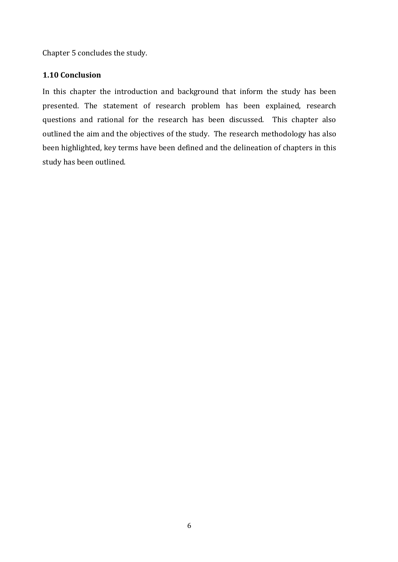Chapter 5 concludes the study.

## **1.10 Conclusion**

In this chapter the introduction and background that inform the study has been presented. The statement of research problem has been explained, research questions and rational for the research has been discussed. This chapter also outlined the aim and the objectives of the study. The research methodology has also been highlighted, key terms have been defined and the delineation of chapters in this study has been outlined.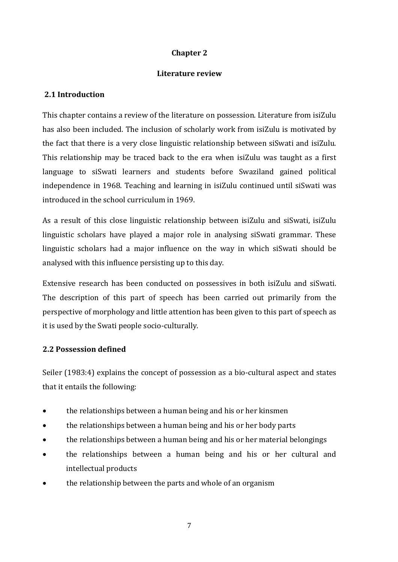## **Chapter 2**

## **Literature review**

## **2.1 Introduction**

This chapter contains a review of the literature on possession. Literature from isiZulu has also been included. The inclusion of scholarly work from isiZulu is motivated by the fact that there is a very close linguistic relationship between siSwati and isiZulu. This relationship may be traced back to the era when isiZulu was taught as a first language to siSwati learners and students before Swaziland gained political independence in 1968. Teaching and learning in isiZulu continued until siSwati was introduced in the school curriculum in 1969.

As a result of this close linguistic relationship between isiZulu and siSwati, isiZulu linguistic scholars have played a major role in analysing siSwati grammar. These linguistic scholars had a major influence on the way in which siSwati should be analysed with this influence persisting up to this day.

Extensive research has been conducted on possessives in both isiZulu and siSwati. The description of this part of speech has been carried out primarily from the perspective of morphology and little attention has been given to this part of speech as it is used by the Swati people socio-culturally.

## **2.2 Possession defined**

Seiler (1983:4) explains the concept of possession as a bio-cultural aspect and states that it entails the following:

- the relationships between a human being and his or her kinsmen
- the relationships between a human being and his or her body parts
- the relationships between a human being and his or her material belongings
- the relationships between a human being and his or her cultural and intellectual products
- the relationship between the parts and whole of an organism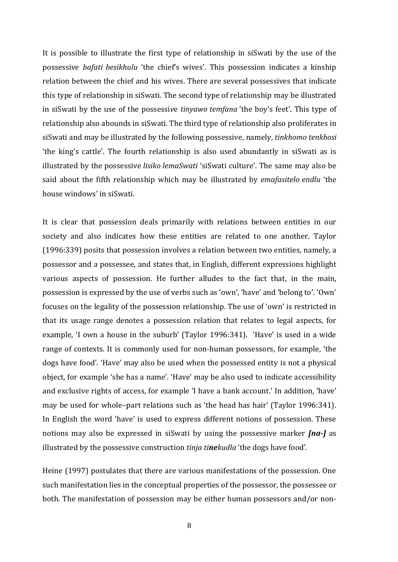It is possible to illustrate the first type of relationship in siSwati by the use of the possessive *bafati besikhulu* 'the chief's wives'. This possession indicates a kinship relation between the chief and his wives. There are several possessives that indicate this type of relationship in siSwati. The second type of relationship may be illustrated in siSwati by the use of the possessi*v*e *tinyawo temfana* 'the boy's feet'. This type of relationship also abounds in siSwati. The third type of relationship also proliferates in siSwati and may be illustrated by the following possessive, namely, *tinkhomo tenkhosi* 'the king's cattle'. The fourth relationship is also used abundantly in siSwati as is illustrated by the possessive *lisiko lemaSwati* 'siSwati culture'. The same may also be said about the fifth relationship which may be illustrated by *emafasitelo endlu* 'the house windows' in siSwati.

It is clear that possession deals primarily with relations between entities in our society and also indicates how these entities are related to one another. Taylor (1996:339) posits that possession involves a relation between two entities, namely, a possessor and a possessee, and states that, in English, different expressions highlight various aspects of possession. He further alludes to the fact that, in the main, possession is expressed by the use of verbs such as 'own', 'have' and 'belong to'. 'Own' focuses on the legality of the possession relationship. The use of 'own' is restricted in that its usage range denotes a possession relation that relates to legal aspects, for example, 'I own a house in the suburb' (Taylor 1996:341). 'Have' is used in a wide range of contexts. It is commonly used for non-human possessors, for example, 'the dogs have food'. 'Have' may also be used when the possessed entity is not a physical object, for example 'she has a name'. 'Have' may be also used to indicate accessibility and exclusive rights of access, for example 'I have a bank account.' In addition, 'have' may be used for whole–part relations such as 'the head has hair' (Taylor 1996:341). In English the word 'have' is used to express different notions of possession. These notions may also be expressed in siSwati by using the possessive marker *[na-]* as illustrated by the possessive construction *tinja tinekudla* 'the dogs have food'.

Heine (1997) postulates that there are various manifestations of the possession. One such manifestation lies in the conceptual properties of the possessor, the possessee or both. The manifestation of possession may be either human possessors and/or non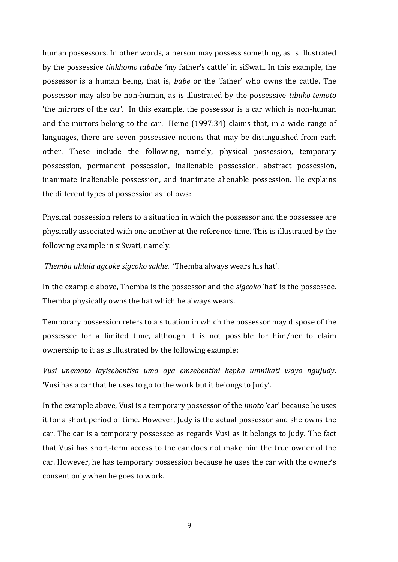human possessors. In other words, a person may possess something, as is illustrated by the possessive *tinkhomo tababe '*my father's cattle' in siSwati. In this example, the possessor is a human being, that is, *babe* or the 'father' who owns the cattle. The possessor may also be non-human, as is illustrated by the possessive *tibuko temoto* 'the mirrors of the car'. In this example, the possessor is a car which is non-human and the mirrors belong to the car. Heine (1997:34) claims that, in a wide range of languages, there are seven possessive notions that may be distinguished from each other. These include the following, namely, physical possession, temporary possession, permanent possession, inalienable possession, abstract possession, inanimate inalienable possession, and inanimate alienable possession. He explains the different types of possession as follows:

Physical possession refers to a situation in which the possessor and the possessee are physically associated with one another at the reference time. This is illustrated by the following example in siSwati, namely:

*Themba uhlala agcoke sigcoko sakhe.* 'Themba always wears his hat'.

In the example above, Themba is the possessor and the *sigcoko* 'hat' is the possessee. Themba physically owns the hat which he always wears.

Temporary possession refers to a situation in which the possessor may dispose of the possessee for a limited time, although it is not possible for him/her to claim ownership to it as is illustrated by the following example:

*Vusi unemoto layisebentisa uma aya emsebentini kepha umnikati wayo nguJudy.*  'Vusi has a car that he uses to go to the work but it belongs to Judy'.

In the example above, Vusi is a temporary possessor of the *imoto* 'car' because he uses it for a short period of time. However, Judy is the actual possessor and she owns the car. The car is a temporary possessee as regards Vusi as it belongs to Judy. The fact that Vusi has short-term access to the car does not make him the true owner of the car. However, he has temporary possession because he uses the car with the owner's consent only when he goes to work.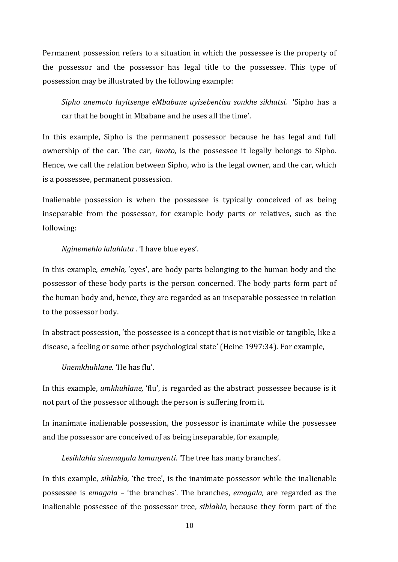Permanent possession refers to a situation in which the possessee is the property of the possessor and the possessor has legal title to the possessee. This type of possession may be illustrated by the following example:

*Sipho unemoto layitsenge eMbabane uyisebentisa sonkhe sikhatsi.* 'Sipho has a car that he bought in Mbabane and he uses all the time'.

In this example, Sipho is the permanent possessor because he has legal and full ownership of the car. The car, *imoto,* is the possessee it legally belongs to Sipho. Hence, we call the relation between Sipho, who is the legal owner, and the car, which is a possessee, permanent possession.

Inalienable possession is when the possessee is typically conceived of as being inseparable from the possessor, for example body parts or relatives, such as the following:

#### *Nginemehlo laluhlata .* 'I have blue eyes'.

In this example, *emehlo,* 'eyes', are body parts belonging to the human body and the possessor of these body parts is the person concerned. The body parts form part of the human body and, hence, they are regarded as an inseparable possessee in relation to the possessor body.

In abstract possession, 'the possessee is a concept that is not visible or tangible, like a disease, a feeling or some other psychological state' (Heine 1997:34). For example,

*Unemkhuhlane.* 'He has flu'.

In this example, *umkhuhlane,* 'flu', is regarded as the abstract possessee because is it not part of the possessor although the person is suffering from it.

In inanimate inalienable possession, the possessor is inanimate while the possessee and the possessor are conceived of as being inseparable, for example,

*Lesihlahla sinemagala lamanyenti.* 'The tree has many branches'.

In this example, *sihlahla,* 'the tree', is the inanimate possessor while the inalienable possessee is *emagala* – 'the branches'. The branches, *emagala,* are regarded as the inalienable possessee of the possessor tree, *sihlahla,* because they form part of the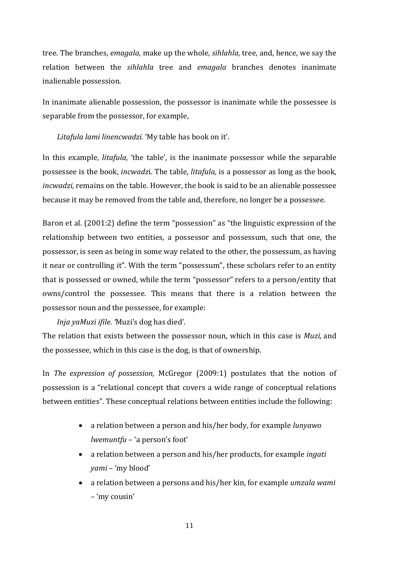tree. The branches, *emagala,* make up the whole, *sihlahla,* tree, and, hence, we say the relation between the *sihlahla* tree and *emagala* branches denotes inanimate inalienable possession.

In inanimate alienable possession, the possessor is inanimate while the possessee is separable from the possessor, for example,

*Litafula lami linencwadzi.* 'My table has book on it'.

In this example, *litafula,* 'the table', is the inanimate possessor while the separable possessee is the book, *incwadz*i. The table, *litafula,* is a possessor as long as the book, *incwadzi,* remains on the table. However, the book is said to be an alienable possessee because it may be removed from the table and, therefore, no longer be a possessee.

Baron et al. (2001:2) define the term "possession" as "the linguistic expression of the relationship between two entities, a possessor and possessum, such that one, the possessor, is seen as being in some way related to the other, the possessum, as having it near or controlling it". With the term "possessum", these scholars refer to an entity that is possessed or owned, while the term "possessor" refers to a person/entity that owns/control the possessee. This means that there is a relation between the possessor noun and the possessee, for example:

*Inja yaMuzi ifile. '*Muzi's dog has died'.

The relation that exists between the possessor noun, which in this case is *Muzi,* and the possessee, which in this case is the dog, is that of ownership.

In *The expression of possession,* McGregor (2009:1) postulates that the notion of possession is a "relational concept that covers a wide range of conceptual relations between entities". These conceptual relations between entities include the following:

- a relation between a person and his/her body, for example *lunyawo lwemuntfu* – 'a person's foot'
- a relation between a person and his/her products, for example *ingati yami* – 'my blood'
- a relation between a persons and his/her kin, for example *umzala wami* – 'my cousin'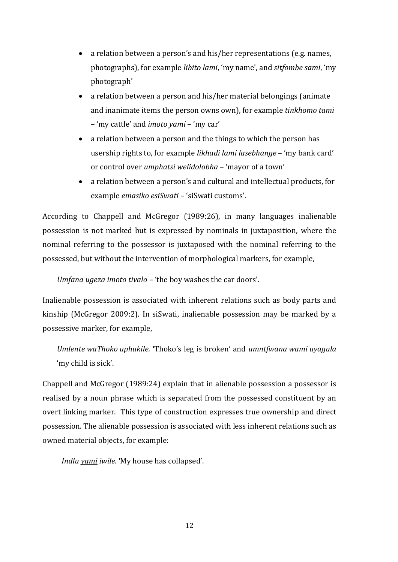- a relation between a person's and his/her representations (e.g. names, photographs), for example *libito lami*, 'my name', and *sitfombe sami*, 'my photograph'
- a relation between a person and his/her material belongings (animate and inanimate items the person owns own), for example *tinkhomo tami* – 'my cattle' and *imoto yami* – 'my car'
- a relation between a person and the things to which the person has usership rights to, for example *likhadi lami lasebhange* – 'my bank card' or control over *umphatsi welidolobha* – 'mayor of a town'
- a relation between a person's and cultural and intellectual products, for example *emasiko esiSwati* – 'siSwati customs'.

According to Chappell and McGregor (1989:26), in many languages inalienable possession is not marked but is expressed by nominals in juxtaposition, where the nominal referring to the possessor is juxtaposed with the nominal referring to the possessed, but without the intervention of morphological markers, for example,

*Umfana ugeza imoto tivalo –* 'the boy washes the car doors'.

Inalienable possession is associated with inherent relations such as body parts and kinship (McGregor 2009:2). In siSwati, inalienable possession may be marked by a possessive marker, for example,

*Umlente waThoko uphukile.* 'Thoko's leg is broken' and *umntfwana wami uyagula* 'my child is sick'.

Chappell and McGregor (1989:24) explain that in alienable possession a possessor is realised by a noun phrase which is separated from the possessed constituent by an overt linking marker. This type of construction expresses true ownership and direct possession. The alienable possession is associated with less inherent relations such as owned material objects, for example:

*Indlu yami iwile.* 'My house has collapsed'.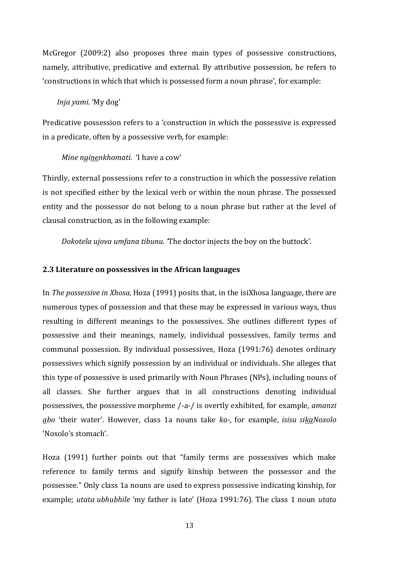McGregor (2009:2) also proposes three main types of possessive constructions, namely, attributive, predicative and external. By attributive possession, he refers to 'constructions in which that which is possessed form a noun phrase', for example:

#### *Inja yami*. 'My dog'

Predicative possession refers to a 'construction in which the possessive is expressed in a predicate, often by a possessive verb, for example:

#### *Mine nginenkhomati.* 'I have a cow'

Thirdly, external possessions refer to a construction in which the possessive relation is not specified either by the lexical verb or within the noun phrase. The possessed entity and the possessor do not belong to a noun phrase but rather at the level of clausal construction, as in the following example:

*Dokotela ujova umfana tibunu. '*The doctor injects the boy on the buttock'.

#### **2.3 Literature on possessives in the African languages**

In *The possessive in Xhosa,* Hoza (1991) posits that, in the isiXhosa language, there are numerous types of possession and that these may be expressed in various ways, thus resulting in different meanings to the possessives. She outlines different types of possessive and their meanings, namely, individual possessives, family terms and communal possession. By individual possessives, Hoza (1991:76) denotes ordinary possessives which signify possession by an individual or individuals. She alleges that this type of possessive is used primarily with Noun Phrases (NPs), including nouns of all classes. She further argues that in all constructions denoting individual possessives, the possessive morpheme /-a-/ is overtly exhibited, for example, *amanzi abo* 'their water'. However, class 1a nouns take *ka-,* for example, *isisu sikaNoxolo* 'Noxolo's stomach'.

Hoza (1991) further points out that "family terms are possessives which make reference to family terms and signify kinship between the possessor and the possessee." Only class 1a nouns are used to express possessive indicating kinship, for example; *utata ubhubhile* 'my father is late' (Hoza 1991:76). The class 1 noun *utata*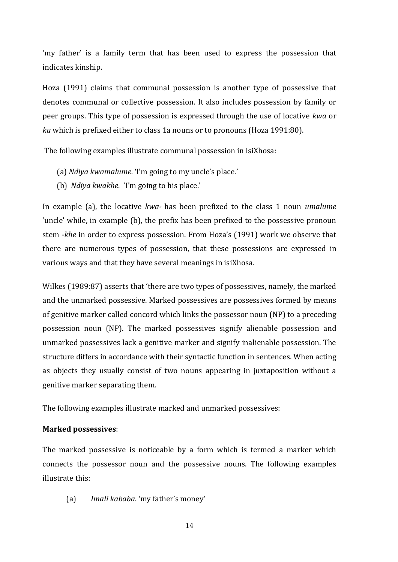'my father' is a family term that has been used to express the possession that indicates kinship.

Hoza (1991) claims that communal possession is another type of possessive that denotes communal or collective possession. It also includes possession by family or peer groups. This type of possession is expressed through the use of locative *kwa* or *ku* which is prefixed either to class 1a nouns or to pronouns (Hoza 1991:80).

The following examples illustrate communal possession in isiXhosa:

- (a) *Ndiya kwamalume.* 'I'm going to my uncle's place.'
- (b) *Ndiya kwakhe.* 'I'm going to his place.'

In example (a), the locative *kwa-* has been prefixed to the class 1 noun *umalume* 'uncle' while, in example (b), the prefix has been prefixed to the possessive pronoun stem *-khe* in order to express possession. From Hoza's (1991) work we observe that there are numerous types of possession, that these possessions are expressed in various ways and that they have several meanings in isiXhosa.

Wilkes (1989:87) asserts that 'there are two types of possessives, namely, the marked and the unmarked possessive. Marked possessives are possessives formed by means of genitive marker called concord which links the possessor noun (NP) to a preceding possession noun (NP). The marked possessives signify alienable possession and unmarked possessives lack a genitive marker and signify inalienable possession. The structure differs in accordance with their syntactic function in sentences. When acting as objects they usually consist of two nouns appearing in juxtaposition without a genitive marker separating them.

The following examples illustrate marked and unmarked possessives:

#### **Marked possessives**:

The marked possessive is noticeable by a form which is termed a marker which connects the possessor noun and the possessive nouns. The following examples illustrate this:

(a) *Imali kababa.* 'my father's money'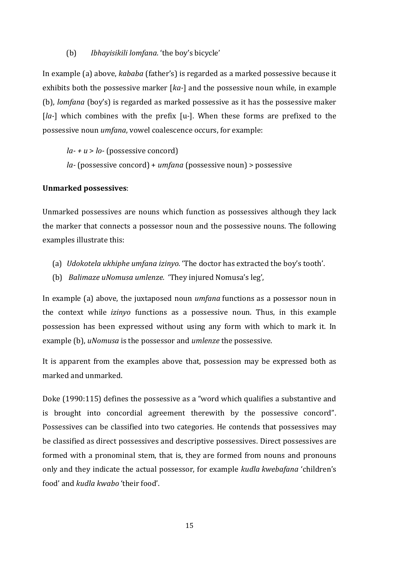#### (b) *Ibhayisikili lomfana.* 'the boy's bicycle'

In example (a) above, *kababa* (father's) is regarded as a marked possessive because it exhibits both the possessive marker [*ka-*] and the possessive noun while, in example (b), *lomfana* (boy's) is regarded as marked possessive as it has the possessive maker [*la-*] which combines with the prefix [u*-*]. When these forms are prefixed to the possessive noun *umfana*, vowel coalescence occurs, for example:

*la- + u* > *lo-* (possessive concord) *la-* (possessive concord) + *umfana* (possessive noun) > possessive

#### **Unmarked possessives**:

Unmarked possessives are nouns which function as possessives although they lack the marker that connects a possessor noun and the possessive nouns. The following examples illustrate this:

- (a) *Udokotela ukhiphe umfana izinyo.* 'The doctor has extracted the boy's tooth'.
- (b) *Balimaze uNomusa umlenze.* 'They injured Nomusa's leg',

In example (a) above, the juxtaposed noun *umfana* functions as a possessor noun in the context while *izinyo* functions as a possessive noun. Thus, in this example possession has been expressed without using any form with which to mark it. In example (b), *uNomusa* is the possessor and *umlenze* the possessive.

It is apparent from the examples above that, possession may be expressed both as marked and unmarked.

Doke (1990:115) defines the possessive as a "word which qualifies a substantive and is brought into concordial agreement therewith by the possessive concord". Possessives can be classified into two categories. He contends that possessives may be classified as direct possessives and descriptive possessives. Direct possessives are formed with a pronominal stem, that is, they are formed from nouns and pronouns only and they indicate the actual possessor, for example *kudla kwebafana* 'children's food' and *kudla kwabo* 'their food'.

15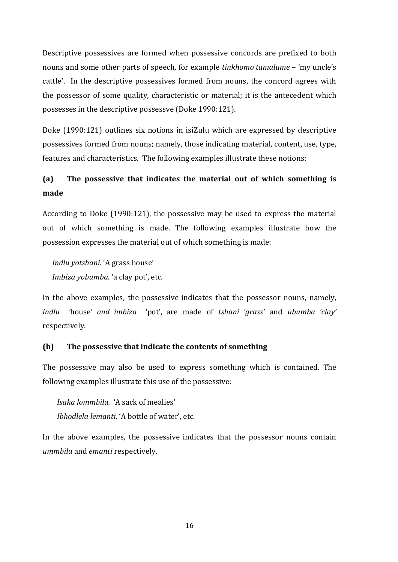Descriptive possessives are formed when possessive concords are prefixed to both nouns and some other parts of speech, for example *tinkhomo tamalume* – 'my uncle's cattle'. In the descriptive possessives formed from nouns, the concord agrees with the possessor of some quality, characteristic or material; it is the antecedent which possesses in the descriptive possessve (Doke 1990:121).

Doke (1990:121) outlines six notions in isiZulu which are expressed by descriptive possessives formed from nouns; namely, those indicating material, content, use, type, features and characteristics. The following examples illustrate these notions:

# **(a) The possessive that indicates the material out of which something is made**

According to Doke (1990:121), the possessive may be used to express the material out of which something is made. The following examples illustrate how the possession expresses the material out of which something is made:

*Indlu yotshani.* 'A grass house' *Imbiza yobumba.* 'a clay pot', etc.

In the above examples, the possessive indicates that the possessor nouns, namely, *indlu '*house' *and imbiza* 'pot', are made of *tshani 'grass'* and *ubumba 'clay'* respectively.

## **(b) The possessive that indicate the contents of something**

The possessive may also be used to express something which is contained. The following examples illustrate this use of the possessive:

*Isaka lommbila.* 'A sack of mealies' *Ibhodlela lemanti.* 'A bottle of water', etc.

In the above examples, the possessive indicates that the possessor nouns contain *ummbila* and *emanti* respectively.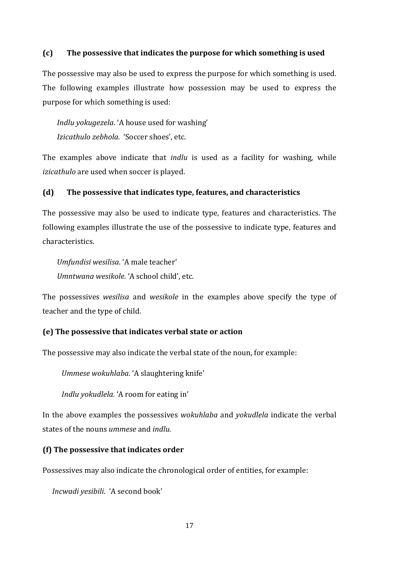#### **(c) The possessive that indicates the purpose for which something is used**

The possessive may also be used to express the purpose for which something is used. The following examples illustrate how possession may be used to express the purpose for which something is used:

*Indlu yokugezela*. 'A house used for washing' *Izicathulo zebhola.* 'Soccer shoes', etc.

The examples above indicate that *indlu* is used as a facility for washing, while *izicathulo* are used when soccer is played.

#### **(d) The possessive that indicates type, features, and characteristics**

The possessive may also be used to indicate type, features and characteristics. The following examples illustrate the use of the possessive to indicate type, features and characteristics.

*Umfundisi wesilisa*. 'A male teacher' *Umntwana wesikole*. 'A school child', etc.

The possessives *wesilisa* and *wesikole* in the examples above specify the type of teacher and the type of child.

#### **(e) The possessive that indicates verbal state or action**

The possessive may also indicate the verbal state of the noun, for example:

*Ummese wokuhlaba*. 'A slaughtering knife'

*Indlu yokudlela.* 'A room for eating in'

In the above examples the possessives *wokuhlaba* and *yokudlela* indicate the verbal states of the nouns *ummese* and *indlu.*

#### **(f) The possessive that indicates order**

Possessives may also indicate the chronological order of entities, for example:

*Incwadi yesibili*. 'A second book'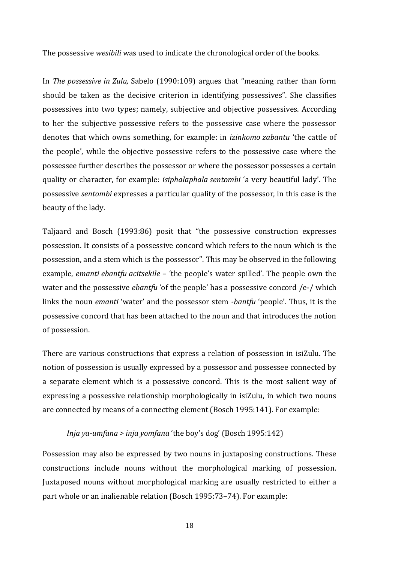The possessive *wesibili* was used to indicate the chronological order of the books.

In *The possessive in Zulu,* Sabelo (1990:109) argues that "meaning rather than form should be taken as the decisive criterion in identifying possessives". She classifies possessives into two types; namely, subjective and objective possessives. According to her the subjective possessive refers to the possessive case where the possessor denotes that which owns something, for example: in *izinkomo zabantu* 'the cattle of the people', while the objective possessive refers to the possessive case where the possessee further describes the possessor or where the possessor possesses a certain quality or character, for example: *isiphalaphala sentombi* 'a very beautiful lady'. The possessive *sentombi* expresses a particular quality of the possessor, in this case is the beauty of the lady.

Taljaard and Bosch (1993:86) posit that "the possessive construction expresses possession. It consists of a possessive concord which refers to the noun which is the possession, and a stem which is the possessor". This may be observed in the following example, *emanti ebantfu acitsekile* – 'the people's water spilled'. The people own the water and the possessive *ebantfu* 'of the people' has a possessive concord /e-/ which links the noun *emanti* 'water' and the possessor stem *-bantfu* 'people'. Thus, it is the possessive concord that has been attached to the noun and that introduces the notion of possession.

There are various constructions that express a relation of possession in isiZulu. The notion of possession is usually expressed by a possessor and possessee connected by a separate element which is a possessive concord. This is the most salient way of expressing a possessive relationship morphologically in isiZulu, in which two nouns are connected by means of a connecting element (Bosch 1995:141). For example:

#### *Inja ya-umfana > inja yomfana* 'the boy's dog' (Bosch 1995:142)

Possession may also be expressed by two nouns in juxtaposing constructions. These constructions include nouns without the morphological marking of possession. Juxtaposed nouns without morphological marking are usually restricted to either a part whole or an inalienable relation (Bosch 1995:73–74). For example: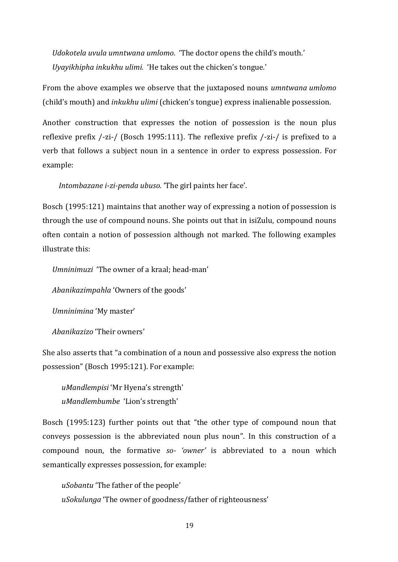*Udokotela uvula umntwana umlomo.* 'The doctor opens the child's mouth.' *Uyayikhipha inkukhu ulimi.* 'He takes out the chicken's tongue.'

From the above examples we observe that the juxtaposed nouns *umntwana umlomo*  (child's mouth) and *inkukhu ulimi* (chicken's tongue) express inalienable possession.

Another construction that expresses the notion of possession is the noun plus reflexive prefix /-zi-/ (Bosch 1995:111). The reflexive prefix /-zi-/ is prefixed to a verb that follows a subject noun in a sentence in order to express possession. For example:

*Intombazane i-zi-penda ubuso.* 'The girl paints her face'.

Bosch (1995:121) maintains that another way of expressing a notion of possession is through the use of compound nouns. She points out that in isiZulu, compound nouns often contain a notion of possession although not marked. The following examples illustrate this:

*Umninimuzi* 'The owner of a kraal; head-man'

*Abanikazimpahla* 'Owners of the goods'

*Umninimina* 'My master'

*Abanikazizo* 'Their owners'

She also asserts that "a combination of a noun and possessive also express the notion possession" (Bosch 1995:121). For example:

*uMandlempisi* 'Mr Hyena's strength' *uMandlembumbe* 'Lion's strength'

Bosch (1995:123) further points out that "the other type of compound noun that conveys possession is the abbreviated noun plus noun". In this construction of a compound noun, the formative *so- 'owner'* is abbreviated to a noun which semantically expresses possession, for example:

*uSobantu* 'The father of the people' *uSokulunga* 'The owner of goodness/father of righteousness'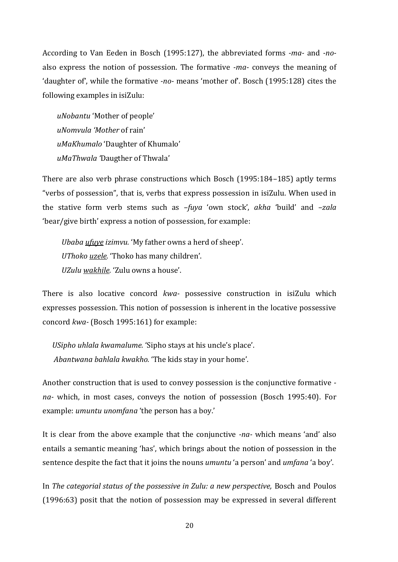According to Van Eeden in Bosch (1995:127), the abbreviated forms *-ma-* and *-no*also express the notion of possession. The formative *-ma-* conveys the meaning of 'daughter of', while the formative *-no-* means 'mother of'. Bosch (1995:128) cites the following examples in isiZulu:

*uNobantu* 'Mother of people' *uNomvula 'Mother* of rain' *uMaKhumalo* 'Daughter of Khumalo' *uMaThwala '*Daugther of Thwala'

There are also verb phrase constructions which Bosch (1995:184–185) aptly terms "verbs of possession", that is, verbs that express possession in isiZulu. When used in the stative form verb stems such as *–fuya* 'own stock', *akha* 'build' and *–zala* 'bear/give birth' express a notion of possession, for example:

*Ubaba ufuye izimvu.* 'My father owns a herd of sheep'. *UThoko uzele.* 'Thoko has many children'. *UZulu wakhile.* 'Zulu owns a house'.

There is also locative concord *kwa-* possessive construction in isiZulu which expresses possession. This notion of possession is inherent in the locative possessive concord *kwa-* (Bosch 1995:161) for example:

*USipho uhlala kwamalume.* 'Sipho stays at his uncle's place'. *Abantwana bahlala kwakho.* 'The kids stay in your home'.

Another construction that is used to convey possession is the conjunctive formative  *na-* which, in most cases, conveys the notion of possession (Bosch 1995:40). For example: *umuntu unomfana* 'the person has a boy.'

It is clear from the above example that the conjunctive *-na-* which means 'and' also entails a semantic meaning 'has', which brings about the notion of possession in the sentence despite the fact that it joins the nouns *umuntu* 'a person' and *umfana* 'a boy'.

In *The categorial status of the possessive in Zulu: a new perspective,* Bosch and Poulos (1996:63) posit that the notion of possession may be expressed in several different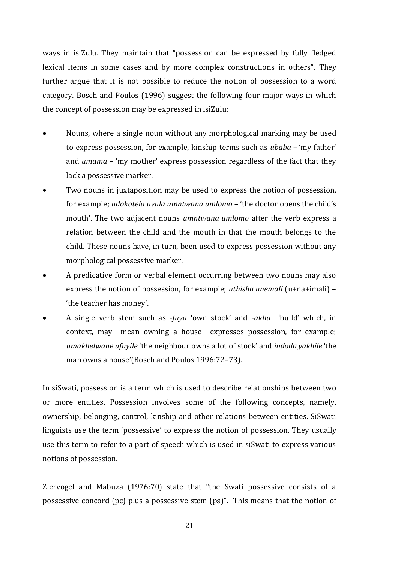ways in isiZulu. They maintain that "possession can be expressed by fully fledged lexical items in some cases and by more complex constructions in others". They further argue that it is not possible to reduce the notion of possession to a word category. Bosch and Poulos (1996) suggest the following four major ways in which the concept of possession may be expressed in isiZulu:

- Nouns, where a single noun without any morphological marking may be used to express possession, for example, kinship terms such as *ubaba –* 'my father' and *umama –* 'my mother' express possession regardless of the fact that they lack a possessive marker.
- Two nouns in juxtaposition may be used to express the notion of possession, for example; *udokotela uvula umntwana umlomo –* 'the doctor opens the child's mouth'. The two adjacent nouns *umntwana umlomo* after the verb express a relation between the child and the mouth in that the mouth belongs to the child. These nouns have, in turn, been used to express possession without any morphological possessive marker.
- A predicative form or verbal element occurring between two nouns may also express the notion of possession, for example; *uthisha unemali* (u+na+imali) – 'the teacher has money'.
- A single verb stem such as *-fuya* 'own stock' and *-akha* 'build' which, in context, may mean owning a house expresses possession, for example; *umakhelwane ufuyile* 'the neighbour owns a lot of stock' and *indoda yakhile* 'the man owns a house'(Bosch and Poulos 1996:72–73).

In siSwati, possession is a term which is used to describe relationships between two or more entities. Possession involves some of the following concepts, namely, ownership, belonging, control, kinship and other relations between entities. SiSwati linguists use the term 'possessive' to express the notion of possession. They usually use this term to refer to a part of speech which is used in siSwati to express various notions of possession.

Ziervogel and Mabuza (1976:70) state that "the Swati possessive consists of a possessive concord (pc) plus a possessive stem (ps)". This means that the notion of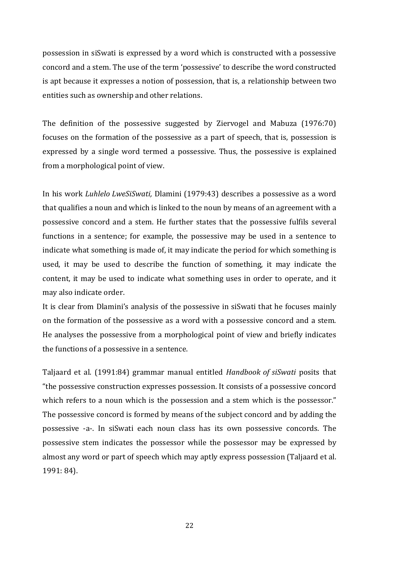possession in siSwati is expressed by a word which is constructed with a possessive concord and a stem. The use of the term 'possessive' to describe the word constructed is apt because it expresses a notion of possession, that is, a relationship between two entities such as ownership and other relations.

The definition of the possessive suggested by Ziervogel and Mabuza (1976:70) focuses on the formation of the possessive as a part of speech, that is, possession is expressed by a single word termed a possessive. Thus, the possessive is explained from a morphological point of view.

In his work *Luhlelo LweSiSwati,* Dlamini (1979:43) describes a possessive as a word that qualifies a noun and which is linked to the noun by means of an agreement with a possessive concord and a stem. He further states that the possessive fulfils several functions in a sentence; for example, the possessive may be used in a sentence to indicate what something is made of, it may indicate the period for which something is used, it may be used to describe the function of something, it may indicate the content, it may be used to indicate what something uses in order to operate, and it may also indicate order.

It is clear from Dlamini's analysis of the possessive in siSwati that he focuses mainly on the formation of the possessive as a word with a possessive concord and a stem. He analyses the possessive from a morphological point of view and briefly indicates the functions of a possessive in a sentence.

Taljaard et al. (1991:84) grammar manual entitled *Handbook of siSwati* posits that "the possessive construction expresses possession. It consists of a possessive concord which refers to a noun which is the possession and a stem which is the possessor." The possessive concord is formed by means of the subject concord and by adding the possessive -a-. In siSwati each noun class has its own possessive concords. The possessive stem indicates the possessor while the possessor may be expressed by almost any word or part of speech which may aptly express possession (Taljaard et al. 1991: 84).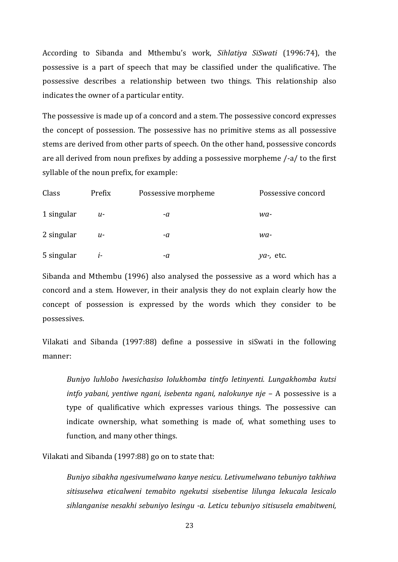According to Sibanda and Mthembu's work, *Sihlatiya SiSwati* (1996:74), the possessive is a part of speech that may be classified under the qualificative. The possessive describes a relationship between two things. This relationship also indicates the owner of a particular entity.

The possessive is made up of a concord and a stem. The possessive concord expresses the concept of possession. The possessive has no primitive stems as all possessive stems are derived from other parts of speech. On the other hand, possessive concords are all derived from noun prefixes by adding a possessive morpheme /-a/ to the first syllable of the noun prefix, for example:

| Class      | Prefix | Possessive morpheme | Possessive concord |
|------------|--------|---------------------|--------------------|
| 1 singular | u-     | -a                  | wa-                |
| 2 singular | U-     | -a                  | wa-                |
| 5 singular | $l-$   | -a                  | $ya$ -, etc.       |

Sibanda and Mthembu (1996) also analysed the possessive as a word which has a concord and a stem. However, in their analysis they do not explain clearly how the concept of possession is expressed by the words which they consider to be possessives.

Vilakati and Sibanda (1997:88) define a possessive in siSwati in the following manner:

*Buniyo luhlobo lwesichasiso lolukhomba tintfo letinyenti. Lungakhomba kutsi intfo yabani, yentiwe ngani, isebenta ngani, nalokunye nje –* A possessive is a type of qualificative which expresses various things. The possessive can indicate ownership, what something is made of, what something uses to function, and many other things.

Vilakati and Sibanda (1997:88) go on to state that:

*Buniyo sibakha ngesivumelwano kanye nesicu. Letivumelwano tebuniyo takhiwa sitisuselwa eticalweni temabito ngekutsi sisebentise lilunga lekucala lesicalo sihlanganise nesakhi sebuniyo lesingu -a. Leticu tebuniyo sitisusela emabitweni,*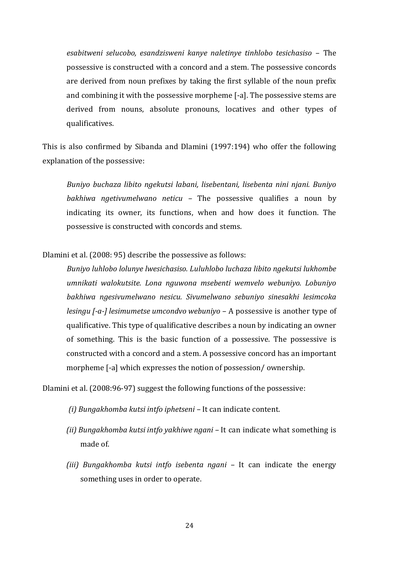*esabitweni selucobo, esandzisweni kanye naletinye tinhlobo tesichasiso –* The possessive is constructed with a concord and a stem. The possessive concords are derived from noun prefixes by taking the first syllable of the noun prefix and combining it with the possessive morpheme [-a]. The possessive stems are derived from nouns, absolute pronouns, locatives and other types of qualificatives.

This is also confirmed by Sibanda and Dlamini (1997:194) who offer the following explanation of the possessive:

*Buniyo buchaza libito ngekutsi labani, lisebentani, lisebenta nini njani. Buniyo bakhiwa ngetivumelwano neticu –* The possessive qualifies a noun by indicating its owner, its functions, when and how does it function. The possessive is constructed with concords and stems.

Dlamini et al. (2008: 95) describe the possessive as follows:

*Buniyo luhlobo lolunye lwesichasiso. Luluhlobo luchaza libito ngekutsi lukhombe umnikati walokutsite. Lona nguwona msebenti wemvelo webuniyo. Lobuniyo bakhiwa ngesivumelwano nesicu. Sivumelwano sebuniyo sinesakhi lesimcoka lesingu [-a-] lesimumetse umcondvo webuniyo –* A possessive is another type of qualificative. This type of qualificative describes a noun by indicating an owner of something. This is the basic function of a possessive. The possessive is constructed with a concord and a stem. A possessive concord has an important morpheme [-a] which expresses the notion of possession/ ownership.

Dlamini et al. (2008:96-97) suggest the following functions of the possessive:

*(i) Bungakhomba kutsi intfo iphetseni –* It can indicate content.

- *(ii) Bungakhomba kutsi intfo yakhiwe ngani –* It can indicate what something is made of.
- *(iii) Bungakhomba kutsi intfo isebenta ngani –* It can indicate the energy something uses in order to operate.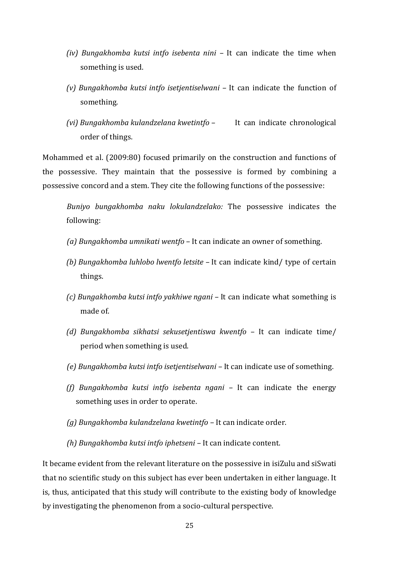- *(iv) Bungakhomba kutsi intfo isebenta nini –* It can indicate the time when something is used.
- *(v) Bungakhomba kutsi intfo isetjentiselwani –* It can indicate the function of something.
- *(vi) Bungakhomba kulandzelana kwetintfo –* It can indicate chronological order of things.

Mohammed et al. (2009:80) focused primarily on the construction and functions of the possessive. They maintain that the possessive is formed by combining a possessive concord and a stem. They cite the following functions of the possessive:

*Buniyo bungakhomba naku lokulandzelako:* The possessive indicates the following:

- *(a) Bungakhomba umnikati wentfo* It can indicate an owner of something.
- *(b) Bungakhomba luhlobo lwentfo letsite –* It can indicate kind/ type of certain things.
- *(c) Bungakhomba kutsi intfo yakhiwe ngani –* It can indicate what something is made of.
- *(d) Bungakhomba sikhatsi sekusetjentiswa kwentfo –* It can indicate time/ period when something is used.
- *(e) Bungakhomba kutsi intfo isetjentiselwani –* It can indicate use of something.
- *(f) Bungakhomba kutsi intfo isebenta ngani –* It can indicate the energy something uses in order to operate.
- *(g) Bungakhomba kulandzelana kwetintfo –* It can indicate order.
- *(h) Bungakhomba kutsi intfo iphetseni –* It can indicate content.

It became evident from the relevant literature on the possessive in isiZulu and siSwati that no scientific study on this subject has ever been undertaken in either language. It is, thus, anticipated that this study will contribute to the existing body of knowledge by investigating the phenomenon from a socio-cultural perspective.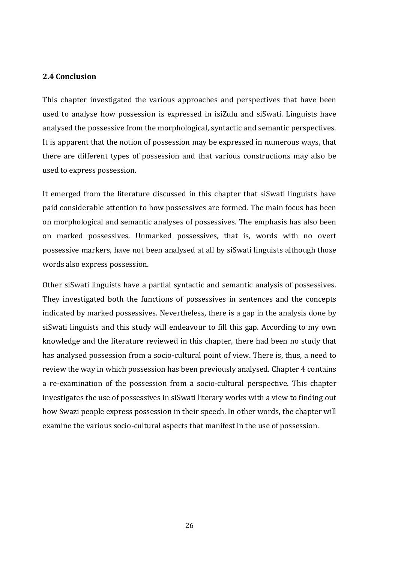#### **2.4 Conclusion**

This chapter investigated the various approaches and perspectives that have been used to analyse how possession is expressed in isiZulu and siSwati. Linguists have analysed the possessive from the morphological, syntactic and semantic perspectives. It is apparent that the notion of possession may be expressed in numerous ways, that there are different types of possession and that various constructions may also be used to express possession.

It emerged from the literature discussed in this chapter that siSwati linguists have paid considerable attention to how possessives are formed. The main focus has been on morphological and semantic analyses of possessives. The emphasis has also been on marked possessives. Unmarked possessives, that is, words with no overt possessive markers, have not been analysed at all by siSwati linguists although those words also express possession.

Other siSwati linguists have a partial syntactic and semantic analysis of possessives. They investigated both the functions of possessives in sentences and the concepts indicated by marked possessives. Nevertheless, there is a gap in the analysis done by siSwati linguists and this study will endeavour to fill this gap. According to my own knowledge and the literature reviewed in this chapter, there had been no study that has analysed possession from a socio-cultural point of view. There is, thus, a need to review the way in which possession has been previously analysed. Chapter 4 contains a re-examination of the possession from a socio-cultural perspective. This chapter investigates the use of possessives in siSwati literary works with a view to finding out how Swazi people express possession in their speech. In other words, the chapter will examine the various socio-cultural aspects that manifest in the use of possession.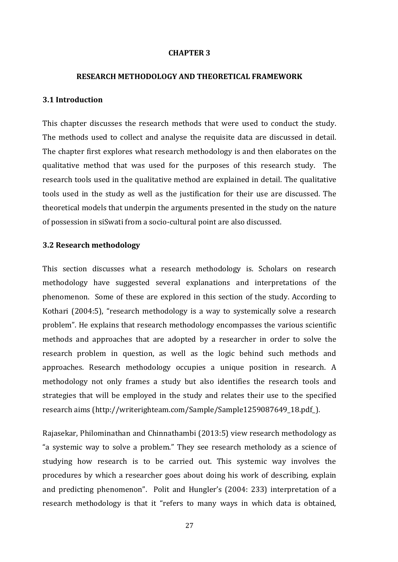#### **CHAPTER 3**

#### **RESEARCH METHODOLOGY AND THEORETICAL FRAMEWORK**

#### **3.1 Introduction**

This chapter discusses the research methods that were used to conduct the study. The methods used to collect and analyse the requisite data are discussed in detail. The chapter first explores what research methodology is and then elaborates on the qualitative method that was used for the purposes of this research study. The research tools used in the qualitative method are explained in detail. The qualitative tools used in the study as well as the justification for their use are discussed. The theoretical models that underpin the arguments presented in the study on the nature of possession in siSwati from a socio-cultural point are also discussed.

#### **3.2 Research methodology**

This section discusses what a research methodology is. Scholars on research methodology have suggested several explanations and interpretations of the phenomenon. Some of these are explored in this section of the study. According to Kothari (2004:5), "research methodology is a way to systemically solve a research problem". He explains that research methodology encompasses the various scientific methods and approaches that are adopted by a researcher in order to solve the research problem in question, as well as the logic behind such methods and approaches. Research methodology occupies a unique position in research. A methodology not only frames a study but also identifies the research tools and strategies that will be employed in the study and relates their use to the specified research aims (http://writerighteam.com/Sample/Sample1259087649\_18.pdf\_).

Rajasekar, Philominathan and Chinnathambi (2013:5) view research methodology as "a systemic way to solve a problem." They see research metholody as a science of studying how research is to be carried out. This systemic way involves the procedures by which a researcher goes about doing his work of describing, explain and predicting phenomenon". Polit and Hungler's (2004: 233) interpretation of a research methodology is that it "refers to many ways in which data is obtained,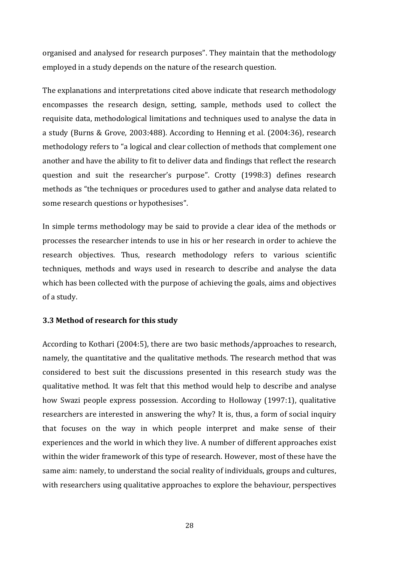organised and analysed for research purposes". They maintain that the methodology employed in a study depends on the nature of the research question.

The explanations and interpretations cited above indicate that research methodology encompasses the research design, setting, sample, methods used to collect the requisite data, methodological limitations and techniques used to analyse the data in a study (Burns & Grove, 2003:488). According to Henning et al. (2004:36), research methodology refers to "a logical and clear collection of methods that complement one another and have the ability to fit to deliver data and findings that reflect the research question and suit the researcher's purpose". Crotty (1998:3) defines research methods as "the techniques or procedures used to gather and analyse data related to some research questions or hypothesises".

In simple terms methodology may be said to provide a clear idea of the methods or processes the researcher intends to use in his or her research in order to achieve the research objectives. Thus, research methodology refers to various scientific techniques, methods and ways used in research to describe and analyse the data which has been collected with the purpose of achieving the goals, aims and objectives of a study.

#### **3.3 Method of research for this study**

According to Kothari (2004:5), there are two basic methods/approaches to research, namely, the quantitative and the qualitative methods. The research method that was considered to best suit the discussions presented in this research study was the qualitative method. It was felt that this method would help to describe and analyse how Swazi people express possession. According to Holloway (1997:1), qualitative researchers are interested in answering the why? It is, thus, a form of social inquiry that focuses on the way in which people interpret and make sense of their experiences and the world in which they live. A number of different approaches exist within the wider framework of this type of research. However, most of these have the same aim: namely, to understand the social reality of individuals, groups and cultures, with researchers using qualitative approaches to explore the behaviour, perspectives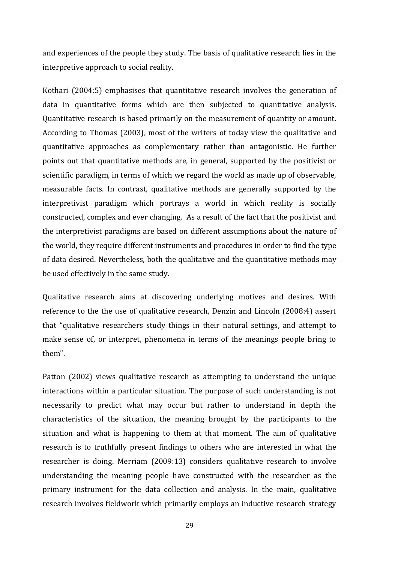and experiences of the people they study. The basis of qualitative research lies in the interpretive approach to social reality.

Kothari (2004:5) emphasises that quantitative research involves the generation of data in quantitative forms which are then subjected to quantitative analysis. Quantitative research is based primarily on the measurement of quantity or amount. According to Thomas (2003), most of the writers of today view the qualitative and quantitative approaches as complementary rather than antagonistic. He further points out that quantitative methods are, in general, supported by the positivist or scientific paradigm, in terms of which we regard the world as made up of observable, measurable facts. In contrast, qualitative methods are generally supported by the interpretivist paradigm which portrays a world in which reality is socially constructed, complex and ever changing. As a result of the fact that the positivist and the interpretivist paradigms are based on different assumptions about the nature of the world, they require different instruments and procedures in order to find the type of data desired. Nevertheless, both the qualitative and the quantitative methods may be used effectively in the same study.

Qualitative research aims at discovering underlying motives and desires. With reference to the the use of qualitative research, Denzin and Lincoln (2008:4) assert that "qualitative researchers study things in their natural settings, and attempt to make sense of, or interpret, phenomena in terms of the meanings people bring to them".

Patton (2002) views qualitative research as attempting to understand the unique interactions within a particular situation. The purpose of such understanding is not necessarily to predict what may occur but rather to understand in depth the characteristics of the situation, the meaning brought by the participants to the situation and what is happening to them at that moment. The aim of qualitative research is to truthfully present findings to others who are interested in what the researcher is doing. Merriam (2009:13) considers qualitative research to involve understanding the meaning people have constructed with the researcher as the primary instrument for the data collection and analysis. In the main, qualitative research involves fieldwork which primarily employs an inductive research strategy

29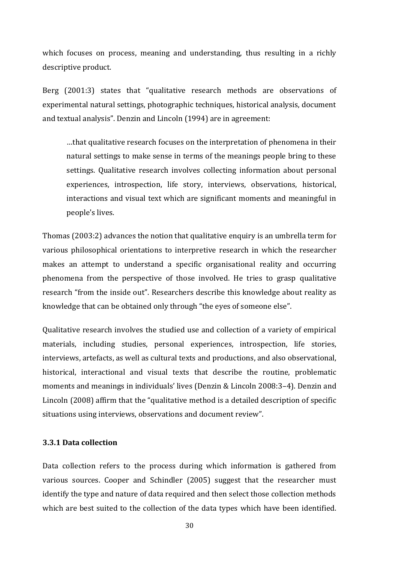which focuses on process, meaning and understanding, thus resulting in a richly descriptive product.

Berg (2001:3) states that "qualitative research methods are observations of experimental natural settings, photographic techniques, historical analysis, document and textual analysis". Denzin and Lincoln (1994) are in agreement:

…that qualitative research focuses on the interpretation of phenomena in their natural settings to make sense in terms of the meanings people bring to these settings. Qualitative research involves collecting information about personal experiences, introspection, life story, interviews, observations, historical, interactions and visual text which are significant moments and meaningful in people's lives.

Thomas (2003:2) advances the notion that qualitative enquiry is an umbrella term for various philosophical orientations to interpretive research in which the researcher makes an attempt to understand a specific organisational reality and occurring phenomena from the perspective of those involved. He tries to grasp qualitative research "from the inside out". Researchers describe this knowledge about reality as knowledge that can be obtained only through "the eyes of someone else".

Qualitative research involves the studied use and collection of a variety of empirical materials, including studies, personal experiences, introspection, life stories, interviews, artefacts, as well as cultural texts and productions, and also observational, historical, interactional and visual texts that describe the routine, problematic moments and meanings in individuals' lives (Denzin & Lincoln 2008:3–4). Denzin and Lincoln (2008) affirm that the "qualitative method is a detailed description of specific situations using interviews, observations and document review".

### **3.3.1 Data collection**

Data collection refers to the process during which information is gathered from various sources. Cooper and Schindler (2005) suggest that the researcher must identify the type and nature of data required and then select those collection methods which are best suited to the collection of the data types which have been identified.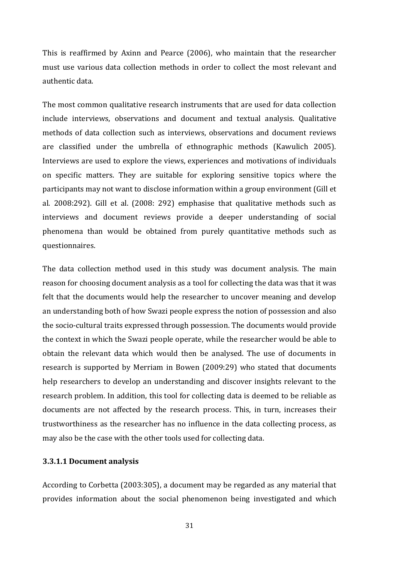This is reaffirmed by Axinn and Pearce (2006), who maintain that the researcher must use various data collection methods in order to collect the most relevant and authentic data.

The most common qualitative research instruments that are used for data collection include interviews, observations and document and textual analysis. Qualitative methods of data collection such as interviews, observations and document reviews are classified under the umbrella of ethnographic methods (Kawulich 2005). Interviews are used to explore the views, experiences and motivations of individuals on specific matters. They are suitable for exploring sensitive topics where the participants may not want to disclose information within a group environment (Gill et al. 2008:292). Gill et al. (2008: 292) emphasise that qualitative methods such as interviews and document reviews provide a deeper understanding of social phenomena than would be obtained from purely quantitative methods such as questionnaires.

The data collection method used in this study was document analysis. The main reason for choosing document analysis as a tool for collecting the data was that it was felt that the documents would help the researcher to uncover meaning and develop an understanding both of how Swazi people express the notion of possession and also the socio-cultural traits expressed through possession. The documents would provide the context in which the Swazi people operate, while the researcher would be able to obtain the relevant data which would then be analysed. The use of documents in research is supported by Merriam in Bowen (2009:29) who stated that documents help researchers to develop an understanding and discover insights relevant to the research problem. In addition, this tool for collecting data is deemed to be reliable as documents are not affected by the research process. This, in turn, increases their trustworthiness as the researcher has no influence in the data collecting process, as may also be the case with the other tools used for collecting data.

#### **3.3.1.1 Document analysis**

According to Corbetta (2003:305), a document may be regarded as any material that provides information about the social phenomenon being investigated and which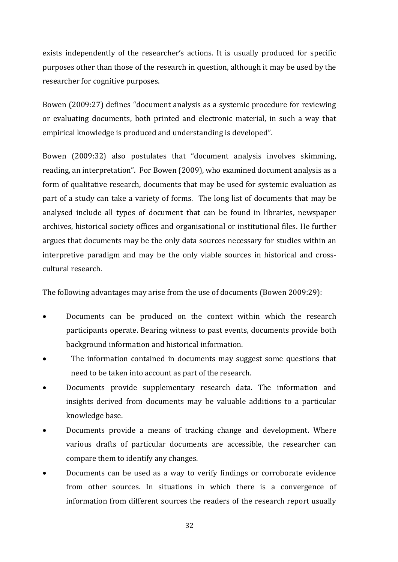exists independently of the researcher's actions. It is usually produced for specific purposes other than those of the research in question, although it may be used by the researcher for cognitive purposes.

Bowen (2009:27) defines "document analysis as a systemic procedure for reviewing or evaluating documents, both printed and electronic material, in such a way that empirical knowledge is produced and understanding is developed".

Bowen (2009:32) also postulates that "document analysis involves skimming, reading, an interpretation". For Bowen (2009), who examined document analysis as a form of qualitative research, documents that may be used for systemic evaluation as part of a study can take a variety of forms. The long list of documents that may be analysed include all types of document that can be found in libraries, newspaper archives, historical society offices and organisational or institutional files. He further argues that documents may be the only data sources necessary for studies within an interpretive paradigm and may be the only viable sources in historical and crosscultural research.

The following advantages may arise from the use of documents (Bowen 2009:29):

- Documents can be produced on the context within which the research participants operate. Bearing witness to past events, documents provide both background information and historical information.
- The information contained in documents may suggest some questions that need to be taken into account as part of the research.
- Documents provide supplementary research data. The information and insights derived from documents may be valuable additions to a particular knowledge base.
- Documents provide a means of tracking change and development. Where various drafts of particular documents are accessible, the researcher can compare them to identify any changes.
- Documents can be used as a way to verify findings or corroborate evidence from other sources. In situations in which there is a convergence of information from different sources the readers of the research report usually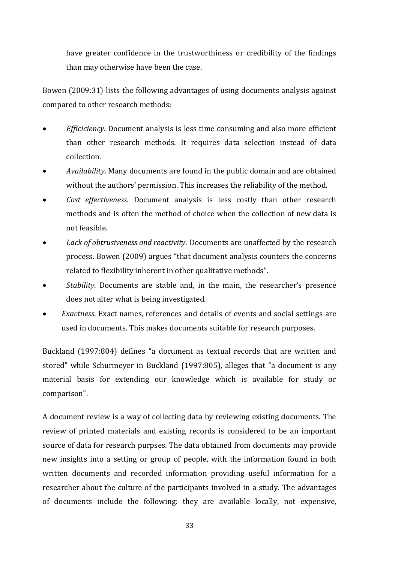have greater confidence in the trustworthiness or credibility of the findings than may otherwise have been the case.

Bowen (2009:31) lists the following advantages of using documents analysis against compared to other research methods:

- *Efficiciency*. Document analysis is less time consuming and also more efficient than other research methods. It requires data selection instead of data collection.
- *Availability*. Many documents are found in the public domain and are obtained without the authors' permission. This increases the reliability of the method.
- *Cost effectiveness*. Document analysis is less costly than other research methods and is often the method of choice when the collection of new data is not feasible.
- *Lack of obtrusiveness and reactivity*. Documents are unaffected by the research process. Bowen (2009) argues "that document analysis counters the concerns related to flexibility inherent in other qualitative methods".
- *Stability*. Documents are stable and, in the main, the researcher's presence does not alter what is being investigated.
- *Exactness*. Exact names, references and details of events and social settings are used in documents. This makes documents suitable for research purposes.

Buckland (1997:804) defines "a document as textual records that are written and stored" while Schurmeyer in Buckland (1997:805), alleges that "a document is any material basis for extending our knowledge which is available for study or comparison".

A document review is a way of collecting data by reviewing existing documents. The review of printed materials and existing records is considered to be an important source of data for research purpses. The data obtained from documents may provide new insights into a setting or group of people, with the information found in both written documents and recorded information providing useful information for a researcher about the culture of the participants involved in a study. The advantages of documents include the following: they are available locally, not expensive,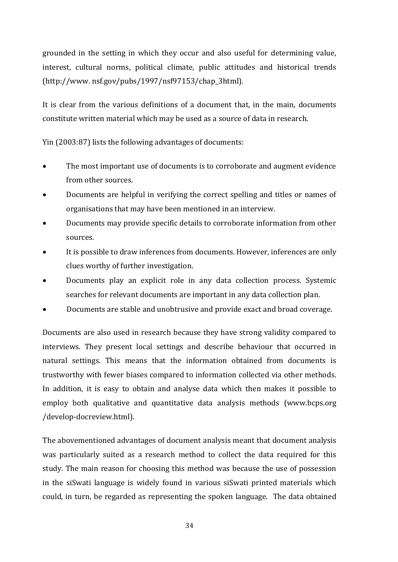grounded in the setting in which they occur and also useful for determining value, interest, cultural norms, political climate, public attitudes and historical trends (http://www. nsf.gov/pubs/1997/nsf97153/chap\_3html).

It is clear from the various definitions of a document that, in the main, documents constitute written material which may be used as a source of data in research.

Yin (2003:87) lists the following advantages of documents:

- The most important use of documents is to corroborate and augment evidence from other sources.
- Documents are helpful in verifying the correct spelling and titles or names of organisations that may have been mentioned in an interview.
- Documents may provide specific details to corroborate information from other sources.
- It is possible to draw inferences from documents. However, inferences are only clues worthy of further investigation.
- Documents play an explicit role in any data collection process. Systemic searches for relevant documents are important in any data collection plan.
- Documents are stable and unobtrusive and provide exact and broad coverage.

Documents are also used in research because they have strong validity compared to interviews. They present local settings and describe behaviour that occurred in natural settings. This means that the information obtained from documents is trustworthy with fewer biases compared to information collected via other methods. In addition, it is easy to obtain and analyse data which then makes it possible to employ both qualitative and quantitative data analysis methods (www.bcps.org /develop-docreview.html).

The abovementioned advantages of document analysis meant that document analysis was particularly suited as a research method to collect the data required for this study. The main reason for choosing this method was because the use of possession in the siSwati language is widely found in various siSwati printed materials which could, in turn, be regarded as representing the spoken language. The data obtained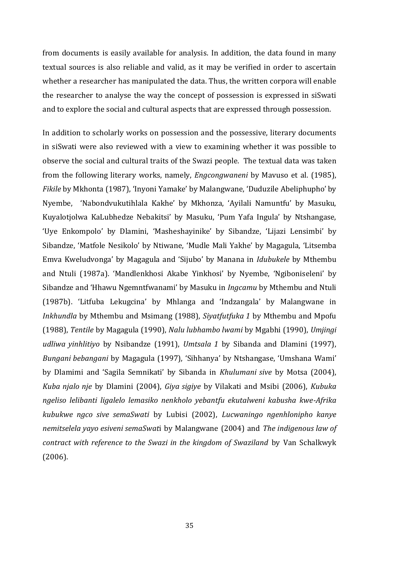from documents is easily available for analysis. In addition, the data found in many textual sources is also reliable and valid, as it may be verified in order to ascertain whether a researcher has manipulated the data. Thus, the written corpora will enable the researcher to analyse the way the concept of possession is expressed in siSwati and to explore the social and cultural aspects that are expressed through possession.

In addition to scholarly works on possession and the possessive, literary documents in siSwati were also reviewed with a view to examining whether it was possible to observe the social and cultural traits of the Swazi people. The textual data was taken from the following literary works, namely, *Engcongwaneni* by Mavuso et al. (1985), *Fikile* by Mkhonta (1987), 'Inyoni Yamake' by Malangwane, 'Duduzile Abeliphupho' by Nyembe, 'Nabondvukutihlala Kakhe' by Mkhonza, 'Ayilali Namuntfu' by Masuku, Kuyalotjolwa KaLubhedze Nebakitsi' by Masuku, 'Pum Yafa Ingula' by Ntshangase, 'Uye Enkompolo' by Dlamini, 'Masheshayinike' by Sibandze, 'Lijazi Lensimbi' by Sibandze, 'Matfole Nesikolo' by Ntiwane, 'Mudle Mali Yakhe' by Magagula, 'Litsemba Emva Kweludvonga' by Magagula and 'Sijubo' by Manana in *Idubukele* by Mthembu and Ntuli (1987a). 'Mandlenkhosi Akabe Yinkhosi' by Nyembe, 'Ngiboniseleni' by Sibandze and 'Hhawu Ngemntfwanami' by Masuku in *Ingcamu* by Mthembu and Ntuli (1987b). 'Litfuba Lekugcina' by Mhlanga and 'Indzangala' by Malangwane in *Inkhundla* by Mthembu and Msimang (1988), *Siyatfutfuka 1* by Mthembu and Mpofu (1988), *Tentile* by Magagula (1990), *Nalu lubhambo lwami* by Mgabhi (1990), *Umjingi udliwa yinhlitiyo* by Nsibandze (1991), *Umtsala 1* by Sibanda and Dlamini (1997), *Bungani bebangani* by Magagula (1997), 'Sihhanya' by Ntshangase, 'Umshana Wami' by Dlamimi and 'Sagila Semnikati' by Sibanda in *Khulumani sive* by Motsa (2004), *Kuba njalo nje* by Dlamini (2004), *Giya sigiye* by Vilakati and Msibi (2006), *Kubuka ngeliso lelibanti ligalelo lemasiko nenkholo yebantfu ekutalweni kabusha kwe-Afrika kubukwe ngco sive semaSwati* by Lubisi (2002), *Lucwaningo ngenhlonipho kanye nemitselela yayo esiveni semaSwat*i by Malangwane (2004) and *The indigenous law of contract with reference to the Swazi in the kingdom of Swaziland* by Van Schalkwyk (2006).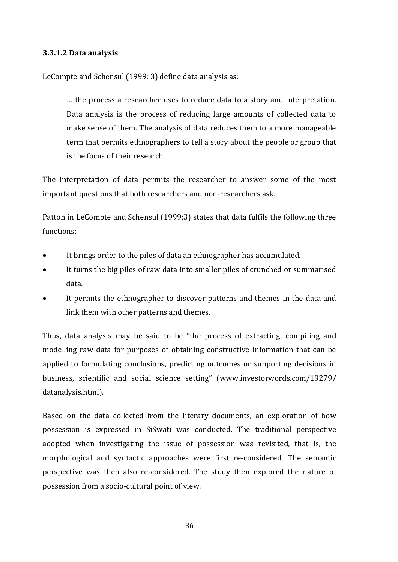### **3.3.1.2 Data analysis**

LeCompte and Schensul (1999: 3) define data analysis as:

… the process a researcher uses to reduce data to a story and interpretation. Data analysis is the process of reducing large amounts of collected data to make sense of them. The analysis of data reduces them to a more manageable term that permits ethnographers to tell a story about the people or group that is the focus of their research.

The interpretation of data permits the researcher to answer some of the most important questions that both researchers and non-researchers ask.

Patton in LeCompte and Schensul (1999:3) states that data fulfils the following three functions:

- It brings order to the piles of data an ethnographer has accumulated.
- It turns the big piles of raw data into smaller piles of crunched or summarised data.
- It permits the ethnographer to discover patterns and themes in the data and link them with other patterns and themes.

Thus, data analysis may be said to be "the process of extracting, compiling and modelling raw data for purposes of obtaining constructive information that can be applied to formulating conclusions, predicting outcomes or supporting decisions in business, scientific and social science setting" (www.investorwords.com/19279/ datanalysis.html).

Based on the data collected from the literary documents, an exploration of how possession is expressed in SiSwati was conducted. The traditional perspective adopted when investigating the issue of possession was revisited, that is, the morphological and syntactic approaches were first re-considered. The semantic perspective was then also re-considered. The study then explored the nature of possession from a socio-cultural point of view.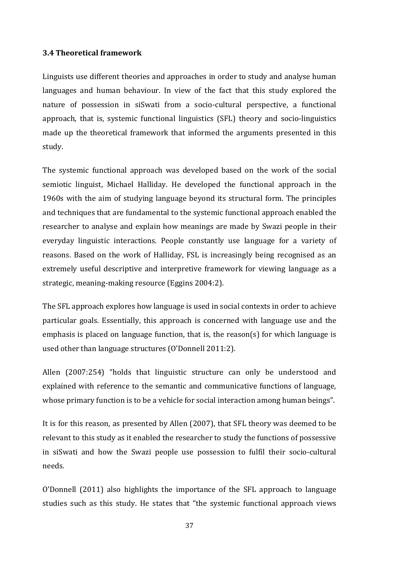#### **3.4 Theoretical framework**

Linguists use different theories and approaches in order to study and analyse human languages and human behaviour. In view of the fact that this study explored the nature of possession in siSwati from a socio-cultural perspective, a functional approach, that is, systemic functional linguistics (SFL) theory and socio-linguistics made up the theoretical framework that informed the arguments presented in this study.

The systemic functional approach was developed based on the work of the social semiotic linguist, Michael Halliday. He developed the functional approach in the 1960s with the aim of studying language beyond its structural form. The principles and techniques that are fundamental to the systemic functional approach enabled the researcher to analyse and explain how meanings are made by Swazi people in their everyday linguistic interactions. People constantly use language for a variety of reasons. Based on the work of Halliday, FSL is increasingly being recognised as an extremely useful descriptive and interpretive framework for viewing language as a strategic, meaning-making resource (Eggins 2004:2).

The SFL approach explores how language is used in social contexts in order to achieve particular goals. Essentially, this approach is concerned with language use and the emphasis is placed on language function, that is, the reason(s) for which language is used other than language structures (O'Donnell 2011:2).

Allen (2007:254) "holds that linguistic structure can only be understood and explained with reference to the semantic and communicative functions of language, whose primary function is to be a vehicle for social interaction among human beings".

It is for this reason, as presented by Allen (2007), that SFL theory was deemed to be relevant to this study as it enabled the researcher to study the functions of possessive in siSwati and how the Swazi people use possession to fulfil their socio-cultural needs.

O'Donnell (2011) also highlights the importance of the SFL approach to language studies such as this study. He states that "the systemic functional approach views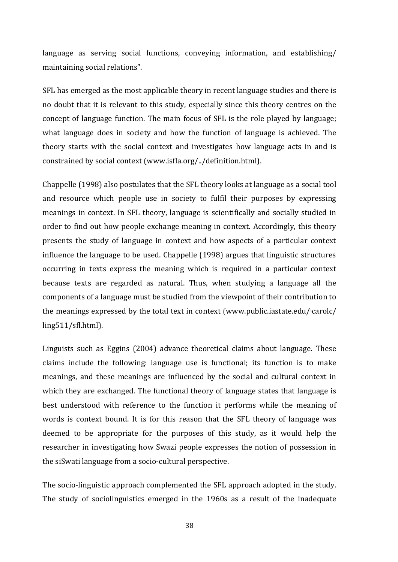language as serving social functions, conveying information, and establishing/ maintaining social relations".

SFL has emerged as the most applicable theory in recent language studies and there is no doubt that it is relevant to this study, especially since this theory centres on the concept of language function. The main focus of SFL is the role played by language; what language does in society and how the function of language is achieved. The theory starts with the social context and investigates how language acts in and is constrained by social context [\(www.isfla.org/../definition.html\)](http://www.isfla.org/definition.html).

Chappelle (1998) also postulates that the SFL theory looks at language as a social tool and resource which people use in society to fulfil their purposes by expressing meanings in context. In SFL theory, language is scientifically and socially studied in order to find out how people exchange meaning in context. Accordingly, this theory presents the study of language in context and how aspects of a particular context influence the language to be used. Chappelle (1998) argues that linguistic structures occurring in texts express the meaning which is required in a particular context because texts are regarded as natural. Thus, when studying a language all the components of a language must be studied from the viewpoint of their contribution to the meanings expressed by the total text in context (www.public.iastate.edu/carolc/ ling511/sfl.html).

Linguists such as Eggins (2004) advance theoretical claims about language. These claims include the following: language use is functional; its function is to make meanings, and these meanings are influenced by the social and cultural context in which they are exchanged. The functional theory of language states that language is best understood with reference to the function it performs while the meaning of words is context bound. It is for this reason that the SFL theory of language was deemed to be appropriate for the purposes of this study, as it would help the researcher in investigating how Swazi people expresses the notion of possession in the siSwati language from a socio-cultural perspective.

The socio-linguistic approach complemented the SFL approach adopted in the study. The study of sociolinguistics emerged in the 1960s as a result of the inadequate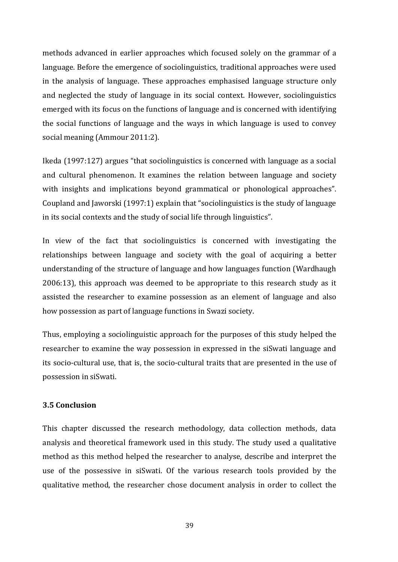methods advanced in earlier approaches which focused solely on the grammar of a language. Before the emergence of sociolinguistics, traditional approaches were used in the analysis of language. These approaches emphasised language structure only and neglected the study of language in its social context. However, sociolinguistics emerged with its focus on the functions of language and is concerned with identifying the social functions of language and the ways in which language is used to convey social meaning (Ammour 2011:2).

Ikeda (1997:127) argues "that sociolinguistics is concerned with language as a social and cultural phenomenon. It examines the relation between language and society with insights and implications beyond grammatical or phonological approaches". Coupland and Jaworski (1997:1) explain that "sociolinguistics is the study of language in its social contexts and the study of social life through linguistics".

In view of the fact that sociolinguistics is concerned with investigating the relationships between language and society with the goal of acquiring a better understanding of the structure of language and how languages function (Wardhaugh 2006:13), this approach was deemed to be appropriate to this research study as it assisted the researcher to examine possession as an element of language and also how possession as part of language functions in Swazi society.

Thus, employing a sociolinguistic approach for the purposes of this study helped the researcher to examine the way possession in expressed in the siSwati language and its socio-cultural use, that is, the socio-cultural traits that are presented in the use of possession in siSwati.

### **3.5 Conclusion**

This chapter discussed the research methodology, data collection methods, data analysis and theoretical framework used in this study. The study used a qualitative method as this method helped the researcher to analyse, describe and interpret the use of the possessive in siSwati. Of the various research tools provided by the qualitative method, the researcher chose document analysis in order to collect the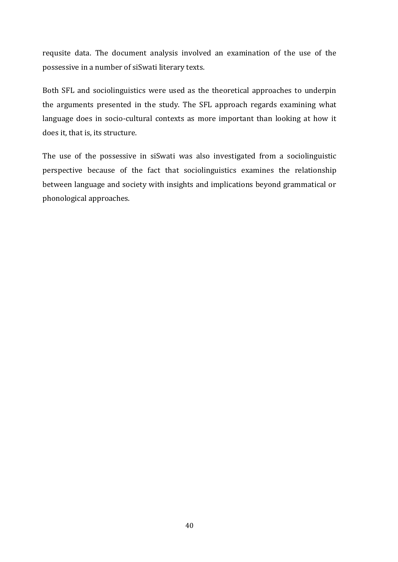requsite data. The document analysis involved an examination of the use of the possessive in a number of siSwati literary texts.

Both SFL and sociolinguistics were used as the theoretical approaches to underpin the arguments presented in the study. The SFL approach regards examining what language does in socio-cultural contexts as more important than looking at how it does it, that is, its structure.

The use of the possessive in siSwati was also investigated from a sociolinguistic perspective because of the fact that sociolinguistics examines the relationship between language and society with insights and implications beyond grammatical or phonological approaches.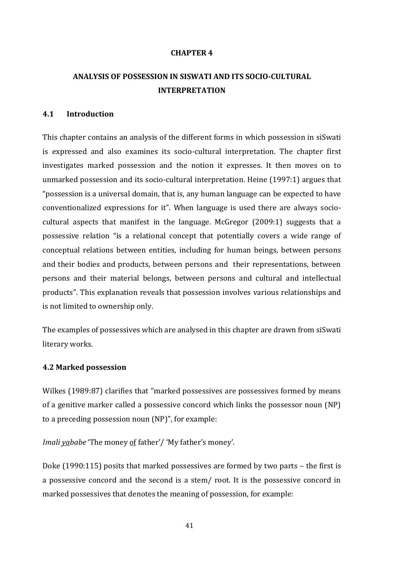#### **CHAPTER 4**

## **ANALYSIS OF POSSESSION IN SISWATI AND ITS SOCIO-CULTURAL INTERPRETATION**

### **4.1 Introduction**

This chapter contains an analysis of the different forms in which possession in siSwati is expressed and also examines its socio-cultural interpretation. The chapter first investigates marked possession and the notion it expresses. It then moves on to unmarked possession and its socio-cultural interpretation. Heine (1997:1) argues that "possession is a universal domain, that is, any human language can be expected to have conventionalized expressions for it". When language is used there are always sociocultural aspects that manifest in the language. McGregor (2009:1) suggests that a possessive relation "is a relational concept that potentially covers a wide range of conceptual relations between entities, including for human beings, between persons and their bodies and products, between persons and their representations, between persons and their material belongs, between persons and cultural and intellectual products". This explanation reveals that possession involves various relationships and is not limited to ownership only.

The examples of possessives which are analysed in this chapter are drawn from siSwati literary works.

#### **4.2 Marked possession**

Wilkes (1989:87) clarifies that "marked possessives are possessives formed by means of a genitive marker called a possessive concord which links the possessor noun (NP) to a preceding possession noun (NP)", for example:

*Imali yababe* 'The money of father'/ 'My father's money'.

Doke (1990:115) posits that marked possessives are formed by two parts – the first is a possessive concord and the second is a stem/ root. It is the possessive concord in marked possessives that denotes the meaning of possession, for example: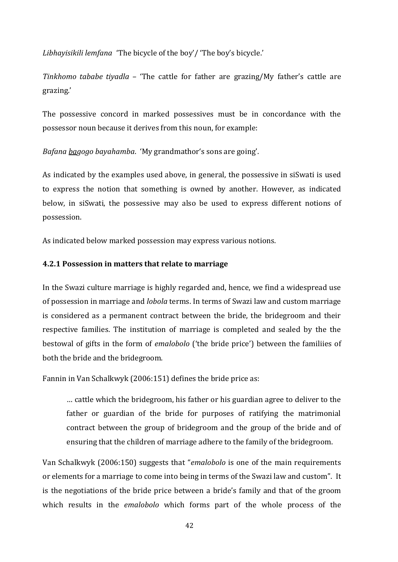*Libhayisikili lemfana* 'The bicycle of the boy'/ 'The boy's bicycle.'

*Tinkhomo tababe tiyadla –* 'The cattle for father are grazing/My father's cattle are grazing.'

The possessive concord in marked possessives must be in concordance with the possessor noun because it derives from this noun, for example:

*Bafana bagogo bayahamba*. 'My grandmathor's sons are going'.

As indicated by the examples used above, in general, the possessive in siSwati is used to express the notion that something is owned by another. However, as indicated below, in siSwati, the possessive may also be used to express different notions of possession.

As indicated below marked possession may express various notions.

#### **4.2.1 Possession in matters that relate to marriage**

In the Swazi culture marriage is highly regarded and, hence, we find a widespread use of possession in marriage and *lobola* terms. In terms of Swazi law and custom marriage is considered as a permanent contract between the bride, the bridegroom and their respective families. The institution of marriage is completed and sealed by the the bestowal of gifts in the form of *emalobolo* ('the bride price') between the familiies of both the bride and the bridegroom.

Fannin in Van Schalkwyk (2006:151) defines the bride price as:

… cattle which the bridegroom, his father or his guardian agree to deliver to the father or guardian of the bride for purposes of ratifying the matrimonial contract between the group of bridegroom and the group of the bride and of ensuring that the children of marriage adhere to the family of the bridegroom.

Van Schalkwyk (2006:150) suggests that "*emalobolo* is one of the main requirements or elements for a marriage to come into being in terms of the Swazi law and custom". It is the negotiations of the bride price between a bride's family and that of the groom which results in the *emalobolo* which forms part of the whole process of the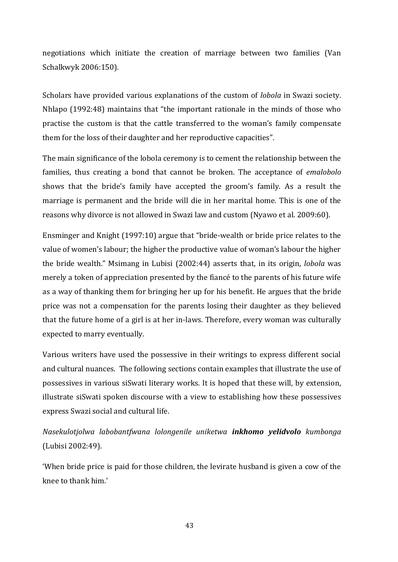negotiations which initiate the creation of marriage between two families (Van Schalkwyk 2006:150).

Scholars have provided various explanations of the custom of *lobola* in Swazi society. Nhlapo (1992:48) maintains that "the important rationale in the minds of those who practise the custom is that the cattle transferred to the woman's family compensate them for the loss of their daughter and her reproductive capacities".

The main significance of the lobola ceremony is to cement the relationship between the families, thus creating a bond that cannot be broken. The acceptance of *emalobolo* shows that the bride's family have accepted the groom's family. As a result the marriage is permanent and the bride will die in her marital home. This is one of the reasons why divorce is not allowed in Swazi law and custom (Nyawo et al. 2009:60).

Ensminger and Knight (1997:10) argue that "bride-wealth or bride price relates to the value of women's labour; the higher the productive value of woman's labour the higher the bride wealth." Msimang in Lubisi (2002:44) asserts that, in its origin, *lobola* was merely a token of appreciation presented by the fiancé to the parents of his future wife as a way of thanking them for bringing her up for his benefit. He argues that the bride price was not a compensation for the parents losing their daughter as they believed that the future home of a girl is at her in-laws. Therefore, every woman was culturally expected to marry eventually.

Various writers have used the possessive in their writings to express different social and cultural nuances. The following sections contain examples that illustrate the use of possessives in various siSwati literary works. It is hoped that these will, by extension, illustrate siSwati spoken discourse with a view to establishing how these possessives express Swazi social and cultural life.

*Nasekulotjolwa labobantfwana lolongenile uniketwa inkhomo yelidvolo kumbonga* (Lubisi 2002:49).

'When bride price is paid for those children, the levirate husband is given a cow of the knee to thank him.'

43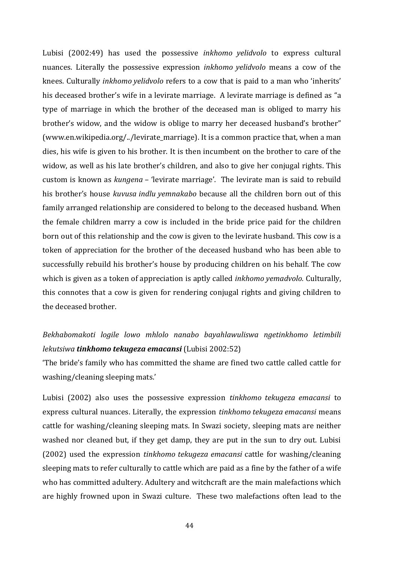Lubisi (2002:49) has used the possessive *inkhomo yelidvolo* to express cultural nuances. Literally the possessive expression *inkhomo yelidvolo* means a cow of the knees. Culturally *inkhomo yelidvolo* refers to a cow that is paid to a man who 'inherits' his deceased brother's wife in a levirate marriage. A levirate marriage is defined as "a type of marriage in which the brother of the deceased man is obliged to marry his brother's widow, and the widow is oblige to marry her deceased husband's brother" (www.en.wikipedia.org/../levirate\_marriage). It is a common practice that, when a man dies, his wife is given to his brother. It is then incumbent on the brother to care of the widow, as well as his late brother's children, and also to give her conjugal rights. This custom is known as *kungena –* 'levirate marriage'. The levirate man is said to rebuild his brother's house *kuvusa indlu yemnakabo* because all the children born out of this family arranged relationship are considered to belong to the deceased husband. When the female children marry a cow is included in the bride price paid for the children born out of this relationship and the cow is given to the levirate husband. This cow is a token of appreciation for the brother of the deceased husband who has been able to successfully rebuild his brother's house by producing children on his behalf. The cow which is given as a token of appreciation is aptly called *inkhomo yemadvolo.* Culturally, this connotes that a cow is given for rendering conjugal rights and giving children to the deceased brother.

# *Bekhabomakoti logile lowo mhlolo nanabo bayahlawuliswa ngetinkhomo letimbili lekutsiwa tinkhomo tekugeza emacansi* (Lubisi 2002:52)

'The bride's family who has committed the shame are fined two cattle called cattle for washing/cleaning sleeping mats.'

Lubisi (2002) also uses the possessive expression *tinkhomo tekugeza emacansi* to express cultural nuances. Literally, the expression *tinkhomo tekugeza emacansi* means cattle for washing/cleaning sleeping mats. In Swazi society, sleeping mats are neither washed nor cleaned but, if they get damp, they are put in the sun to dry out. Lubisi (2002) used the expression *tinkhomo tekugeza emacansi* cattle for washing/cleaning sleeping mats to refer culturally to cattle which are paid as a fine by the father of a wife who has committed adultery. Adultery and witchcraft are the main malefactions which are highly frowned upon in Swazi culture. These two malefactions often lead to the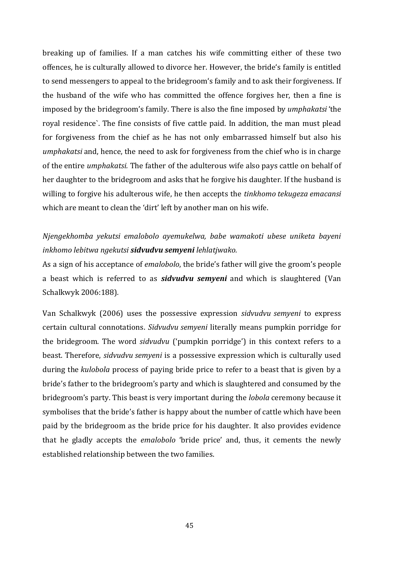breaking up of families. If a man catches his wife committing either of these two offences, he is culturally allowed to divorce her. However, the bride's family is entitled to send messengers to appeal to the bridegroom's family and to ask their forgiveness. If the husband of the wife who has committed the offence forgives her, then a fine is imposed by the bridegroom's family. There is also the fine imposed by *umphakatsi* 'the royal residence`. The fine consists of five cattle paid. In addition, the man must plead for forgiveness from the chief as he has not only embarrassed himself but also his *umphakatsi* and, hence, the need to ask for forgiveness from the chief who is in charge of the entire *umphakatsi.* The father of the adulterous wife also pays cattle on behalf of her daughter to the bridegroom and asks that he forgive his daughter. If the husband is willing to forgive his adulterous wife, he then accepts the *tinkhomo tekugeza emacansi* which are meant to clean the 'dirt' left by another man on his wife.

## *Njengekhomba yekutsi emalobolo ayemukelwa, babe wamakoti ubese uniketa bayeni inkhomo lebitwa ngekutsi sidvudvu semyeni lehlatjwako.*

As a sign of his acceptance of *emalobolo*, the bride's father will give the groom's people a beast which is referred to as *sidvudvu semyeni* and which is slaughtered (Van Schalkwyk 2006:188)*.*

Van Schalkwyk (2006) uses the possessive expression *sidvudvu semyeni* to express certain cultural connotations. *Sidvudvu semyeni* literally means pumpkin porridge for the bridegroom. The word *sidvudvu* ('pumpkin porridge') in this context refers to a beast. Therefore, *sidvudvu semyeni* is a possessive expression which is culturally used during the *kulobola* process of paying bride price to refer to a beast that is given by a bride's father to the bridegroom's party and which is slaughtered and consumed by the bridegroom's party. This beast is very important during the *lobola* ceremony because it symbolises that the bride's father is happy about the number of cattle which have been paid by the bridegroom as the bride price for his daughter. It also provides evidence that he gladly accepts the *emalobolo* 'bride price' and, thus, it cements the newly established relationship between the two families.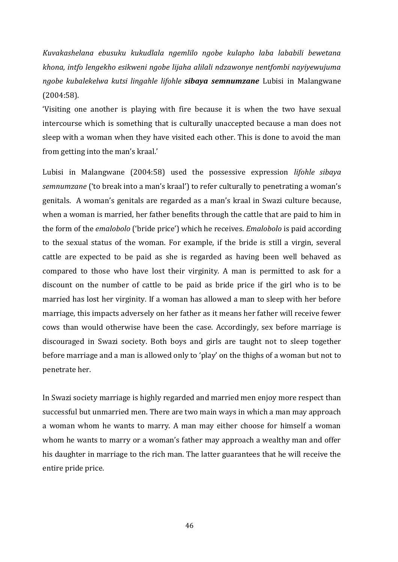*Kuvakashelana ebusuku kukudlala ngemlilo ngobe kulapho laba lababili bewetana khona, intfo lengekho esikweni ngobe lijaha alilali ndzawonye nentfombi nayiyewujuma ngobe kubalekelwa kutsi lingahle lifohle sibaya semnumzane* Lubisi in Malangwane (2004:58).

'Visiting one another is playing with fire because it is when the two have sexual intercourse which is something that is culturally unaccepted because a man does not sleep with a woman when they have visited each other. This is done to avoid the man from getting into the man's kraal.'

Lubisi in Malangwane (2004:58) used the possessive expression *lifohle sibaya semnumzane* ('to break into a man's kraal') to refer culturally to penetrating a woman's genitals. A woman's genitals are regarded as a man's kraal in Swazi culture because, when a woman is married, her father benefits through the cattle that are paid to him in the form of the *emalobolo* ('bride price') which he receives. *Emalobolo* is paid according to the sexual status of the woman. For example, if the bride is still a virgin, several cattle are expected to be paid as she is regarded as having been well behaved as compared to those who have lost their virginity. A man is permitted to ask for a discount on the number of cattle to be paid as bride price if the girl who is to be married has lost her virginity. If a woman has allowed a man to sleep with her before marriage, this impacts adversely on her father as it means her father will receive fewer cows than would otherwise have been the case. Accordingly, sex before marriage is discouraged in Swazi society. Both boys and girls are taught not to sleep together before marriage and a man is allowed only to 'play' on the thighs of a woman but not to penetrate her.

In Swazi society marriage is highly regarded and married men enjoy more respect than successful but unmarried men. There are two main ways in which a man may approach a woman whom he wants to marry. A man may either choose for himself a woman whom he wants to marry or a woman's father may approach a wealthy man and offer his daughter in marriage to the rich man. The latter guarantees that he will receive the entire pride price.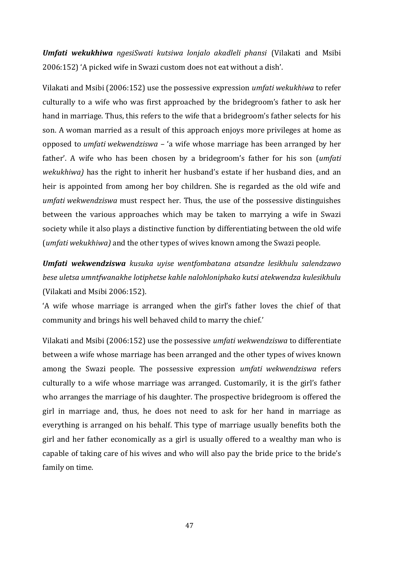*Umfati wekukhiwa ngesiSwati kutsiwa lonjalo akadleli phansi* (Vilakati and Msibi 2006:152) 'A picked wife in Swazi custom does not eat without a dish'.

Vilakati and Msibi (2006:152) use the possessive expression *umfati wekukhiwa* to refer culturally to a wife who was first approached by the bridegroom's father to ask her hand in marriage. Thus, this refers to the wife that a bridegroom's father selects for his son. A woman married as a result of this approach enjoys more privileges at home as opposed to *umfati wekwendziswa* – 'a wife whose marriage has been arranged by her father'. A wife who has been chosen by a bridegroom's father for his son (*umfati wekukhiwa)* has the right to inherit her husband's estate if her husband dies, and an heir is appointed from among her boy children. She is regarded as the old wife and *umfati wekwendziswa* must respect her. Thus, the use of the possessive distinguishes between the various approaches which may be taken to marrying a wife in Swazi society while it also plays a distinctive function by differentiating between the old wife (*umfati wekukhiwa)* and the other types of wives known among the Swazi people.

*Umfati wekwendziswa kusuka uyise wentfombatana atsandze lesikhulu salendzawo bese uletsa umntfwanakhe lotiphetse kahle nalohloniphako kutsi atekwendza kulesikhulu*  (Vilakati and Msibi 2006:152).

'A wife whose marriage is arranged when the girl's father loves the chief of that community and brings his well behaved child to marry the chief.'

Vilakati and Msibi (2006:152) use the possessive *umfati wekwendziswa* to differentiate between a wife whose marriage has been arranged and the other types of wives known among the Swazi people. The possessive expression *umfati wekwendziswa* refers culturally to a wife whose marriage was arranged. Customarily, it is the girl's father who arranges the marriage of his daughter. The prospective bridegroom is offered the girl in marriage and, thus, he does not need to ask for her hand in marriage as everything is arranged on his behalf. This type of marriage usually benefits both the girl and her father economically as a girl is usually offered to a wealthy man who is capable of taking care of his wives and who will also pay the bride price to the bride's family on time.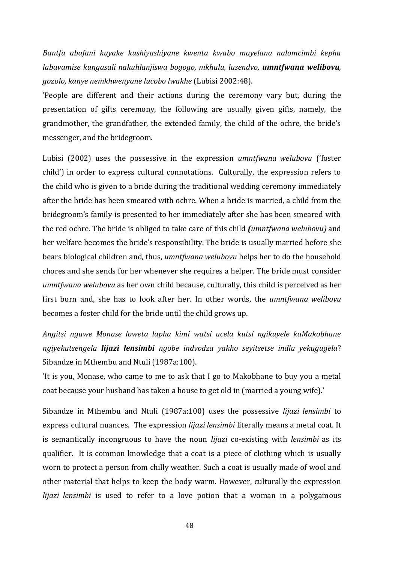*Bantfu abafani kuyake kushiyashiyane kwenta kwabo mayelana nalomcimbi kepha labavamise kungasali nakuhlanjiswa bogogo, mkhulu, lusendvo, umntfwana welibovu, gozolo, kanye nemkhwenyane lucobo lwakhe* (Lubisi 2002:48).

'People are different and their actions during the ceremony vary but, during the presentation of gifts ceremony, the following are usually given gifts, namely, the grandmother, the grandfather, the extended family, the child of the ochre, the bride's messenger, and the bridegroom.

Lubisi (2002) uses the possessive in the expression *umntfwana welubovu* ('foster child') in order to express cultural connotations. Culturally, the expression refers to the child who is given to a bride during the traditional wedding ceremony immediately after the bride has been smeared with ochre. When a bride is married, a child from the bridegroom's family is presented to her immediately after she has been smeared with the red ochre. The bride is obliged to take care of this child *(umntfwana welubovu)* and her welfare becomes the bride's responsibility. The bride is usually married before she bears biological children and, thus, *umntfwana welubovu* helps her to do the household chores and she sends for her whenever she requires a helper. The bride must consider *umntfwana welubovu* as her own child because, culturally, this child is perceived as her first born and, she has to look after her. In other words, the *umntfwana welibovu* becomes a foster child for the bride until the child grows up.

*Angitsi nguwe Monase loweta lapha kimi watsi ucela kutsi ngikuyele kaMakobhane ngiyekutsengela lijazi lensimbi ngobe indvodza yakho seyitsetse indlu yekugugela*? Sibandze in Mthembu and Ntuli (1987a:100).

'It is you, Monase, who came to me to ask that I go to Makobhane to buy you a metal coat because your husband has taken a house to get old in (married a young wife).'

Sibandze in Mthembu and Ntuli (1987a:100) uses the possessive *lijazi lensimbi* to express cultural nuances. The expression *lijazi lensimbi* literally means a metal coat. It is semantically incongruous to have the noun *lijazi* co-existing with *lensimbi* as its qualifier. It is common knowledge that a coat is a piece of clothing which is usually worn to protect a person from chilly weather. Such a coat is usually made of wool and other material that helps to keep the body warm. However, culturally the expression *lijazi lensimbi* is used to refer to a love potion that a woman in a polygamous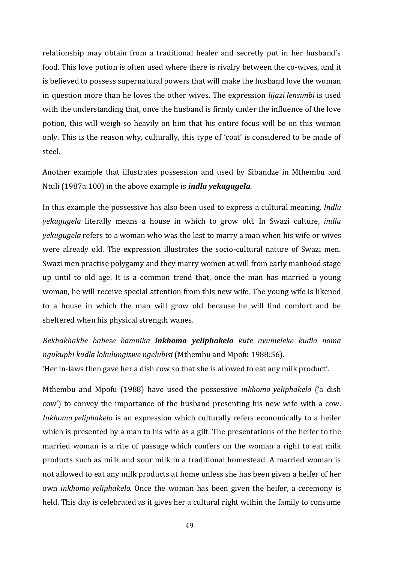relationship may obtain from a traditional healer and secretly put in her husband's food. This love potion is often used where there is rivalry between the co-wives, and it is believed to possess supernatural powers that will make the husband love the woman in question more than he loves the other wives. The expression *lijazi lensimbi* is used with the understanding that, once the husband is firmly under the influence of the love potion, this will weigh so heavily on him that his entire focus will be on this woman only. This is the reason why, culturally, this type of 'coat' is considered to be made of steel.

Another example that illustrates possession and used by Sibandze in Mthembu and Ntuli (1987a:100) in the above example is *indlu yekugugela*.

In this example the possessive has also been used to express a cultural meaning. *Indlu yekugugela* literally means a house in which to grow old. In Swazi culture, *indlu yekugugela* refers to a woman who was the last to marry a man when his wife or wives were already old. The expression illustrates the socio-cultural nature of Swazi men. Swazi men practise polygamy and they marry women at will from early manhood stage up until to old age. It is a common trend that, once the man has married a young woman, he will receive special attention from this new wife. The young wife is likened to a house in which the man will grow old because he will find comfort and be sheltered when his physical strength wanes.

*Bekhakhakhe babese bamnika inkhomo yeliphakelo kute avumeleke kudla noma ngukuphi kudla lokulungiswe ngelubisi* (Mthembu and Mpofu 1988:56).

'Her in-laws then gave her a dish cow so that she is allowed to eat any milk product'.

Mthembu and Mpofu (1988) have used the possessive *inkhomo yeliphakelo* ('a dish cow') to convey the importance of the husband presenting his new wife with a cow. *Inkhomo yeliphakelo* is an expression which culturally refers economically to a heifer which is presented by a man to his wife as a gift. The presentations of the heifer to the married woman is a rite of passage which confers on the woman a right to eat milk products such as milk and sour milk in a traditional homestead. A married woman is not allowed to eat any milk products at home unless she has been given a heifer of her own *inkhomo yeliphakelo.* Once the woman has been given the heifer, a ceremony is held. This day is celebrated as it gives her a cultural right within the family to consume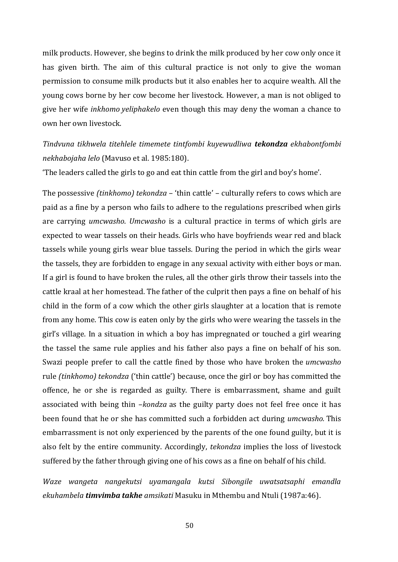milk products. However, she begins to drink the milk produced by her cow only once it has given birth. The aim of this cultural practice is not only to give the woman permission to consume milk products but it also enables her to acquire wealth. All the young cows borne by her cow become her livestock. However, a man is not obliged to give her wife *inkhomo yeliphakelo* even though this may deny the woman a chance to own her own livestock.

*Tindvuna tikhwela titehlele timemete tintfombi kuyewudliwa tekondza ekhabontfombi nekhabojaha lelo* (Mavuso et al. 1985:180).

'The leaders called the girls to go and eat thin cattle from the girl and boy's home'.

The possessive *(tinkhomo) tekondza* – 'thin cattle' – culturally refers to cows which are paid as a fine by a person who fails to adhere to the regulations prescribed when girls are carrying *umcwasho*. *Umcwasho* is a cultural practice in terms of which girls are expected to wear tassels on their heads. Girls who have boyfriends wear red and black tassels while young girls wear blue tassels. During the period in which the girls wear the tassels, they are forbidden to engage in any sexual activity with either boys or man. If a girl is found to have broken the rules, all the other girls throw their tassels into the cattle kraal at her homestead. The father of the culprit then pays a fine on behalf of his child in the form of a cow which the other girls slaughter at a location that is remote from any home. This cow is eaten only by the girls who were wearing the tassels in the girl's village. In a situation in which a boy has impregnated or touched a girl wearing the tassel the same rule applies and his father also pays a fine on behalf of his son. Swazi people prefer to call the cattle fined by those who have broken the *umcwasho* rule *(tinkhomo) tekondza* ('thin cattle') because, once the girl or boy has committed the offence, he or she is regarded as guilty. There is embarrassment, shame and guilt associated with being thin –*kondza* as the guilty party does not feel free once it has been found that he or she has committed such a forbidden act during *umcwasho.* This embarrassment is not only experienced by the parents of the one found guilty, but it is also felt by the entire community. Accordingly, *tekondza* implies the loss of livestock suffered by the father through giving one of his cows as a fine on behalf of his child.

*Waze wangeta nangekutsi uyamangala kutsi Sibongile uwatsatsaphi emandla ekuhambela timvimba takhe amsikati* Masuku in Mthembu and Ntuli (1987a:46).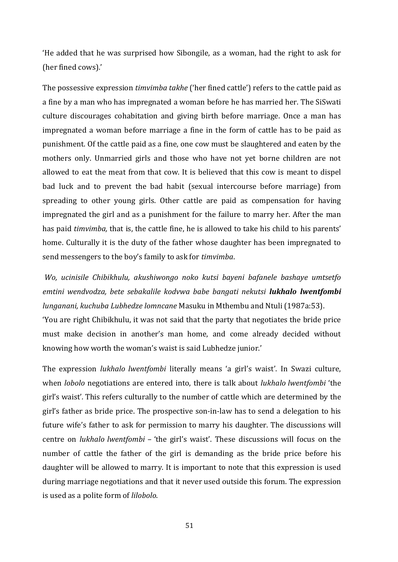'He added that he was surprised how Sibongile, as a woman, had the right to ask for (her fined cows).'

The possessive expression *timvimba takhe* ('her fined cattle') refers to the cattle paid as a fine by a man who has impregnated a woman before he has married her. The SiSwati culture discourages cohabitation and giving birth before marriage. Once a man has impregnated a woman before marriage a fine in the form of cattle has to be paid as punishment. Of the cattle paid as a fine, one cow must be slaughtered and eaten by the mothers only. Unmarried girls and those who have not yet borne children are not allowed to eat the meat from that cow. It is believed that this cow is meant to dispel bad luck and to prevent the bad habit (sexual intercourse before marriage) from spreading to other young girls. Other cattle are paid as compensation for having impregnated the girl and as a punishment for the failure to marry her. After the man has paid *timvimba,* that is, the cattle fine, he is allowed to take his child to his parents' home. Culturally it is the duty of the father whose daughter has been impregnated to send messengers to the boy's family to ask for *timvimba*.

*Wo, ucinisile Chibikhulu, akushiwongo noko kutsi bayeni bafanele bashaye umtsetfo emtini wendvodza, bete sebakalile kodvwa babe bangati nekutsi lukhalo lwentfombi lunganani, kuchuba Lubhedze lomncane* Masuku in Mthembu and Ntuli (1987a:53).

'You are right Chibikhulu, it was not said that the party that negotiates the bride price must make decision in another's man home, and come already decided without knowing how worth the woman's waist is said Lubhedze junior.'

The expression *lukhalo lwentfombi* literally means 'a girl's waist'. In Swazi culture, when *lobolo* negotiations are entered into, there is talk about *lukhalo lwentfombi* 'the girl's waist'*.* This refers culturally to the number of cattle which are determined by the girl's father as bride price. The prospective son-in-law has to send a delegation to his future wife's father to ask for permission to marry his daughter. The discussions will centre on *lukhalo lwentfombi –* 'the girl's waist'. These discussions will focus on the number of cattle the father of the girl is demanding as the bride price before his daughter will be allowed to marry. It is important to note that this expression is used during marriage negotiations and that it never used outside this forum. The expression is used as a polite form of *lilobolo*.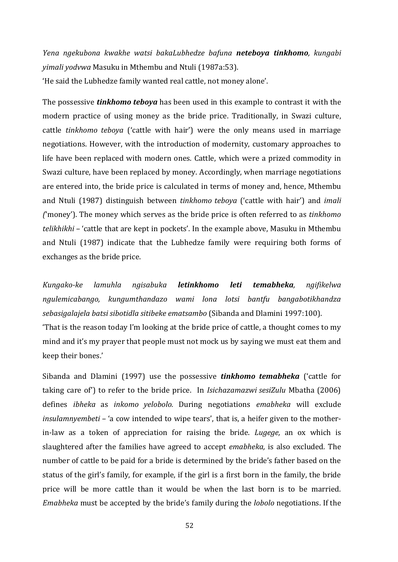*Yena ngekubona kwakhe watsi bakaLubhedze bafuna neteboya tinkhomo, kungabi yimali yodvwa* Masuku in Mthembu and Ntuli (1987a:53).

'He said the Lubhedze family wanted real cattle, not money alone'.

The possessive *tinkhomo teboya* has been used in this example to contrast it with the modern practice of using money as the bride price. Traditionally, in Swazi culture, cattle *tinkhomo teboya* ('cattle with hair') were the only means used in marriage negotiations. However, with the introduction of modernity, customary approaches to life have been replaced with modern ones. Cattle, which were a prized commodity in Swazi culture, have been replaced by money. Accordingly, when marriage negotiations are entered into, the bride price is calculated in terms of money and, hence, Mthembu and Ntuli (1987) distinguish between *tinkhomo teboya* ('cattle with hair') and *imali (*'money'). The money which serves as the bride price is often referred to as *tinkhomo telikhikhi –* 'cattle that are kept in pockets'. In the example above, Masuku in Mthembu and Ntuli (1987) indicate that the Lubhedze family were requiring both forms of exchanges as the bride price.

*Kungako-ke lamuhla ngisabuka letinkhomo leti temabheka, ngifikelwa ngulemicabango, kungumthandazo wami lona lotsi bantfu bangabotikhandza sebasigalajela batsi sibotidla sitibeke ematsambo* (Sibanda and Dlamini 1997:100).

'That is the reason today I'm looking at the bride price of cattle, a thought comes to my mind and it's my prayer that people must not mock us by saying we must eat them and keep their bones.'

Sibanda and Dlamini (1997) use the possessive *tinkhomo temabheka* ('cattle for taking care of') to refer to the bride price. In *Isichazamazwi sesiZulu* Mbatha (2006) defines *ibheka* as *inkomo yelobolo.* During negotiations *emabheka* will exclude *insulamnyembeti –* 'a cow intended to wipe tears', that is, a heifer given to the motherin-law as a token of appreciation for raising the bride. *Lugege,* an ox which is slaughtered after the families have agreed to accept *emabheka,* is also excluded*.* The number of cattle to be paid for a bride is determined by the bride's father based on the status of the girl's family, for example, if the girl is a first born in the family, the bride price will be more cattle than it would be when the last born is to be married. *Emabheka* must be accepted by the bride's family during the *lobolo* negotiations. If the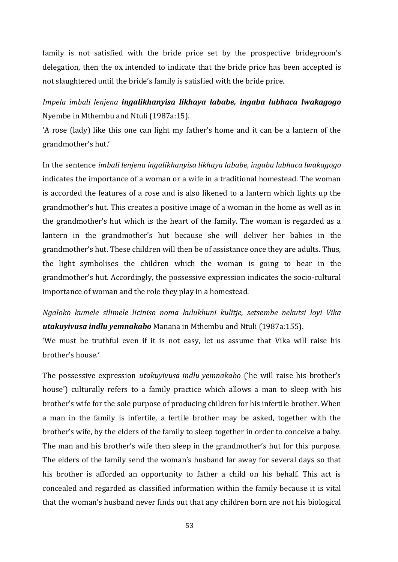family is not satisfied with the bride price set by the prospective bridegroom's delegation, then the ox intended to indicate that the bride price has been accepted is not slaughtered until the bride's family is satisfied with the bride price.

## *Impela imbali lenjena ingalikhanyisa likhaya lababe, ingaba lubhaca lwakagogo* Nyembe in Mthembu and Ntuli (1987a:15).

'A rose (lady) like this one can light my father's home and it can be a lantern of the grandmother's hut.'

In the sentence *imbali lenjena ingalikhanyisa likhaya lababe, ingaba lubhaca lwakagogo* indicates the importance of a woman or a wife in a traditional homestead. The woman is accorded the features of a rose and is also likened to a lantern which lights up the grandmother's hut. This creates a positive image of a woman in the home as well as in the grandmother's hut which is the heart of the family. The woman is regarded as a lantern in the grandmother's hut because she will deliver her babies in the grandmother's hut. These children will then be of assistance once they are adults. Thus, the light symbolises the children which the woman is going to bear in the grandmother's hut. Accordingly, the possessive expression indicates the socio-cultural importance of woman and the role they play in a homestead.

*Ngaloko kumele silimele liciniso noma kulukhuni kulitje, setsembe nekutsi loyi Vika utakuyivusa indlu yemnakabo* Manana in Mthembu and Ntuli (1987a:155).

'We must be truthful even if it is not easy, let us assume that Vika will raise his brother's house.'

The possessive expression *utakuyivusa indlu yemnakabo* ('he will raise his brother's house') culturally refers to a family practice which allows a man to sleep with his brother's wife for the sole purpose of producing children for his infertile brother. When a man in the family is infertile, a fertile brother may be asked, together with the brother's wife, by the elders of the family to sleep together in order to conceive a baby. The man and his brother's wife then sleep in the grandmother's hut for this purpose. The elders of the family send the woman's husband far away for several days so that his brother is afforded an opportunity to father a child on his behalf. This act is concealed and regarded as classified information within the family because it is vital that the woman's husband never finds out that any children born are not his biological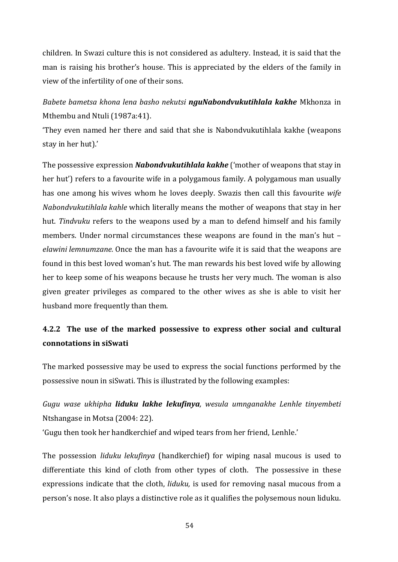children. In Swazi culture this is not considered as adultery. Instead, it is said that the man is raising his brother's house. This is appreciated by the elders of the family in view of the infertility of one of their sons.

## *Babete bametsa khona lena basho nekutsi nguNabondvukutihlala kakhe* Mkhonza in Mthembu and Ntuli (1987a:41).

'They even named her there and said that she is Nabondvukutihlala kakhe (weapons stay in her hut).'

The possessive expression *Nabondvukutihlala kakhe* ('mother of weapons that stay in her hut') refers to a favourite wife in a polygamous family. A polygamous man usually has one among his wives whom he loves deeply. Swazis then call this favourite *wife Nabondvukutihlala kahle* which literally means the mother of weapons that stay in her hut. *Tindvuku* refers to the weapons used by a man to defend himself and his family members. Under normal circumstances these weapons are found in the man's hut – *elawini lemnumzane.* Once the man has a favourite wife it is said that the weapons are found in this best loved woman's hut. The man rewards his best loved wife by allowing her to keep some of his weapons because he trusts her very much. The woman is also given greater privileges as compared to the other wives as she is able to visit her husband more frequently than them.

## **4.2.2 The use of the marked possessive to express other social and cultural connotations in siSwati**

The marked possessive may be used to express the social functions performed by the possessive noun in siSwati. This is illustrated by the following examples:

# *Gugu wase ukhipha liduku lakhe lekufinya, wesula umnganakhe Lenhle tinyembeti* Ntshangase in Motsa (2004: 22).

'Gugu then took her handkerchief and wiped tears from her friend, Lenhle.'

The possession *liduku lekufinya* (handkerchief) for wiping nasal mucous is used to differentiate this kind of cloth from other types of cloth. The possessive in these expressions indicate that the cloth, *liduku,* is used for removing nasal mucous from a person's nose. It also plays a distinctive role as it qualifies the polysemous noun liduku.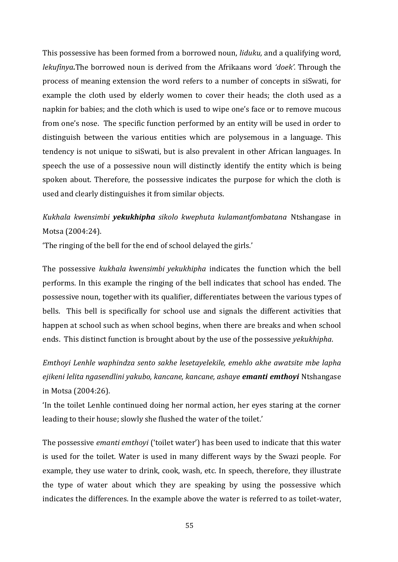This possessive has been formed from a borrowed noun, *liduku,* and a qualifying word, *lekufinya.*The borrowed noun is derived from the Afrikaans word *'doek'.* Through the process of meaning extension the word refers to a number of concepts in siSwati, for example the cloth used by elderly women to cover their heads; the cloth used as a napkin for babies; and the cloth which is used to wipe one's face or to remove mucous from one's nose. The specific function performed by an entity will be used in order to distinguish between the various entities which are polysemous in a language. This tendency is not unique to siSwati, but is also prevalent in other African languages. In speech the use of a possessive noun will distinctly identify the entity which is being spoken about. Therefore, the possessive indicates the purpose for which the cloth is used and clearly distinguishes it from similar objects.

## *Kukhala kwensimbi yekukhipha sikolo kwephuta kulamantfombatana* Ntshangase in Motsa (2004:24).

'The ringing of the bell for the end of school delayed the girls.'

The possessive *kukhala kwensimbi yekukhipha* indicates the function which the bell performs. In this example the ringing of the bell indicates that school has ended. The possessive noun, together with its qualifier, differentiates between the various types of bells. This bell is specifically for school use and signals the different activities that happen at school such as when school begins, when there are breaks and when school ends. This distinct function is brought about by the use of the possessive *yekukhipha*.

*Emthoyi Lenhle waphindza sento sakhe lesetayelekile, emehlo akhe awatsite mbe lapha ejikeni lelita ngasendlini yakubo, kancane, kancane, ashaye emanti emthoyi* Ntshangase in Motsa (2004:26).

'In the toilet Lenhle continued doing her normal action, her eyes staring at the corner leading to their house; slowly she flushed the water of the toilet.'

The possessive *emanti emthoyi* ('toilet water') has been used to indicate that this water is used for the toilet. Water is used in many different ways by the Swazi people. For example, they use water to drink, cook, wash, etc. In speech, therefore, they illustrate the type of water about which they are speaking by using the possessive which indicates the differences. In the example above the water is referred to as toilet-water,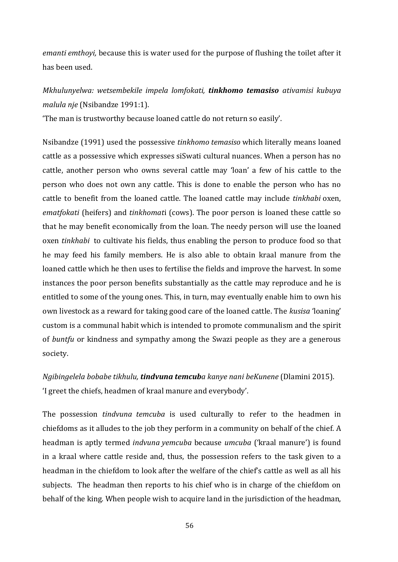*emanti emthoyi,* because this is water used for the purpose of flushing the toilet after it has been used.

# *Mkhulunyelwa: wetsembekile impela lomfokati, tinkhomo temasiso ativamisi kubuya malula nje* (Nsibandze 1991:1).

'The man is trustworthy because loaned cattle do not return so easily'.

Nsibandze (1991) used the possessive *tinkhomo temasiso* which literally means loaned cattle as a possessive which expresses siSwati cultural nuances. When a person has no cattle, another person who owns several cattle may 'loan' a few of his cattle to the person who does not own any cattle. This is done to enable the person who has no cattle to benefit from the loaned cattle. The loaned cattle may include *tinkhabi* oxen, *ematfokati* (heifers) and *tinkhomat*i (cows). The poor person is loaned these cattle so that he may benefit economically from the loan. The needy person will use the loaned oxen *tinkhabi* to cultivate his fields, thus enabling the person to produce food so that he may feed his family members. He is also able to obtain kraal manure from the loaned cattle which he then uses to fertilise the fields and improve the harvest. In some instances the poor person benefits substantially as the cattle may reproduce and he is entitled to some of the young ones. This, in turn, may eventually enable him to own his own livestock as a reward for taking good care of the loaned cattle. The *kusisa* 'loaning' custom is a communal habit which is intended to promote communalism and the spirit of *buntfu* or kindness and sympathy among the Swazi people as they are a generous society.

*Ngibingelela bobabe tikhulu, tindvuna temcuba kanye nani beKunene* (Dlamini 2015). 'I greet the chiefs, headmen of kraal manure and everybody'.

The possession *tindvuna temcuba* is used culturally to refer to the headmen in chiefdoms as it alludes to the job they perform in a community on behalf of the chief. A headman is aptly termed *indvuna yemcuba* because *umcuba* ('kraal manure') is found in a kraal where cattle reside and, thus, the possession refers to the task given to a headman in the chiefdom to look after the welfare of the chief's cattle as well as all his subjects. The headman then reports to his chief who is in charge of the chiefdom on behalf of the king. When people wish to acquire land in the jurisdiction of the headman,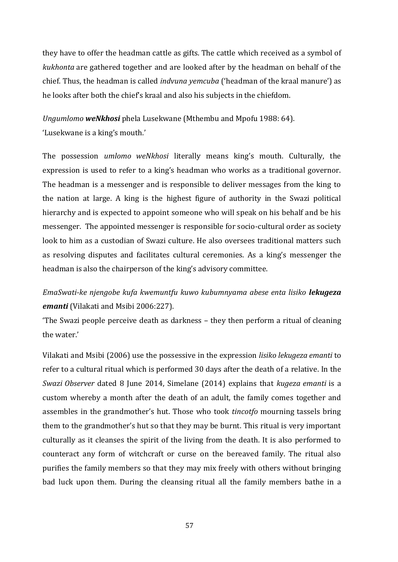they have to offer the headman cattle as gifts. The cattle which received as a symbol of *kukhonta* are gathered together and are looked after by the headman on behalf of the chief. Thus, the headman is called *indvuna yemcuba* ('headman of the kraal manure') as he looks after both the chief's kraal and also his subjects in the chiefdom.

*Ungumlomo weNkhosi* phela Lusekwane (Mthembu and Mpofu 1988: 64). 'Lusekwane is a king's mouth.'

The possession *umlomo weNkhosi* literally means king's mouth. Culturally, the expression is used to refer to a king's headman who works as a traditional governor. The headman is a messenger and is responsible to deliver messages from the king to the nation at large. A king is the highest figure of authority in the Swazi political hierarchy and is expected to appoint someone who will speak on his behalf and be his messenger. The appointed messenger is responsible for socio-cultural order as society look to him as a custodian of Swazi culture. He also oversees traditional matters such as resolving disputes and facilitates cultural ceremonies. As a king's messenger the headman is also the chairperson of the king's advisory committee.

# *EmaSwati-ke njengobe kufa kwemuntfu kuwo kubumnyama abese enta lisiko lekugeza emanti* (Vilakati and Msibi 2006:227).

'The Swazi people perceive death as darkness – they then perform a ritual of cleaning the water.'

Vilakati and Msibi (2006) use the possessive in the expression *lisiko lekugeza emanti* to refer to a cultural ritual which is performed 30 days after the death of a relative. In the *Swazi Observer* dated 8 June 2014, Simelane (2014) explains that *kugeza emanti* is a custom whereby a month after the death of an adult, the family comes together and assembles in the grandmother's hut. Those who took *tincotfo* mourning tassels bring them to the grandmother's hut so that they may be burnt. This ritual is very important culturally as it cleanses the spirit of the living from the death. It is also performed to counteract any form of witchcraft or curse on the bereaved family. The ritual also purifies the family members so that they may mix freely with others without bringing bad luck upon them. During the cleansing ritual all the family members bathe in a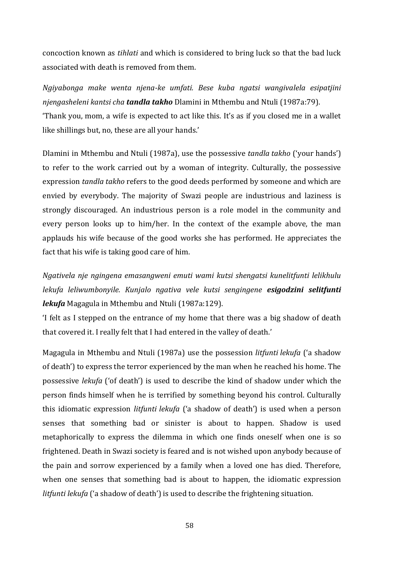concoction known as *tihlati* and which is considered to bring luck so that the bad luck associated with death is removed from them.

*Ngiyabonga make wenta njena-ke umfati. Bese kuba ngatsi wangivalela esipatjini njengasheleni kantsi cha tandla takho* Dlamini in Mthembu and Ntuli (1987a:79). 'Thank you, mom, a wife is expected to act like this. It's as if you closed me in a wallet like shillings but, no, these are all your hands.'

Dlamini in Mthembu and Ntuli (1987a), use the possessive *tandla takho* ('your hands') to refer to the work carried out by a woman of integrity. Culturally, the possessive expression *tandla takho* refers to the good deeds performed by someone and which are envied by everybody. The majority of Swazi people are industrious and laziness is strongly discouraged. An industrious person is a role model in the community and every person looks up to him/her. In the context of the example above, the man applauds his wife because of the good works she has performed. He appreciates the fact that his wife is taking good care of him.

*Ngativela nje ngingena emasangweni emuti wami kutsi shengatsi kunelitfunti lelikhulu lekufa leliwumbonyile. Kunjalo ngativa vele kutsi sengingene esigodzini selitfunti lekufa* Magagula in Mthembu and Ntuli (1987a:129).

'I felt as I stepped on the entrance of my home that there was a big shadow of death that covered it. I really felt that I had entered in the valley of death.'

Magagula in Mthembu and Ntuli (1987a) use the possession *litfunti lekufa* ('a shadow of death') to express the terror experienced by the man when he reached his home. The possessive *lekufa* ('of death') is used to describe the kind of shadow under which the person finds himself when he is terrified by something beyond his control. Culturally this idiomatic expression *litfunti lekufa* ('a shadow of death') is used when a person senses that something bad or sinister is about to happen. Shadow is used metaphorically to express the dilemma in which one finds oneself when one is so frightened. Death in Swazi society is feared and is not wished upon anybody because of the pain and sorrow experienced by a family when a loved one has died. Therefore, when one senses that something bad is about to happen, the idiomatic expression *litfunti lekufa* ('a shadow of death') is used to describe the frightening situation.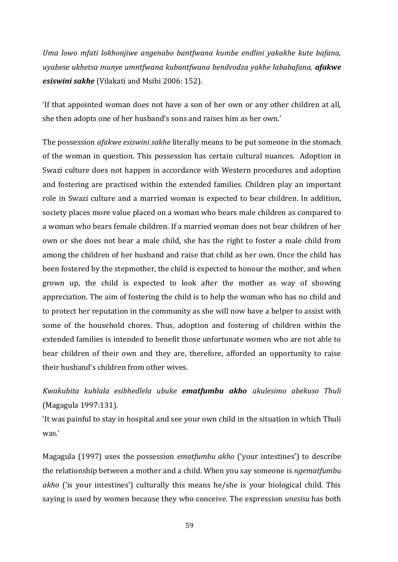*Uma lowo mfati lokhonjiwe angenabo bantfwana kumbe endlini yakakhe kute bafana, uyabese ukhetsa munye umntfwana kubantfwana bendvodza yakhe lababafana, afakwe esiswini sakhe* (Vilakati and Msibi 2006: 152).

'If that appointed woman does not have a son of her own or any other children at all, she then adopts one of her husband's sons and raises him as her own.'

The possession *afakwe esiswini sakhe* literally means to be put someone in the stomach of the woman in question. This possession has certain cultural nuances. Adoption in Swazi culture does not happen in accordance with Western procedures and adoption and fostering are practised within the extended families. Children play an important role in Swazi culture and a married woman is expected to bear children. In addition, society places more value placed on a woman who bears male children as compared to a woman who bears female children. If a married woman does not bear children of her own or she does not bear a male child, she has the right to foster a male child from among the children of her husband and raise that child as her own. Once the child has been fostered by the stepmother, the child is expected to honour the mother, and when grown up, the child is expected to look after the mother as way of showing appreciation. The aim of fostering the child is to help the woman who has no child and to protect her reputation in the community as she will now have a helper to assist with some of the household chores. Thus, adoption and fostering of children within the extended families is intended to benefit those unfortunate women who are not able to bear children of their own and they are, therefore, afforded an opportunity to raise their husband's children from other wives.

*Kwakubita kuhlala esibhedlela ubuke ematfumbu akho akulesimo abekuso Thuli* (Magagula 1997:131).

'It was painful to stay in hospital and see your own child in the situation in which Thuli was.'

Magagula (1997) uses the possession *ematfumbu akho* ('your intestines') to describe the relationship between a mother and a child. When you say someone is *ngematfumbu akho* ('is your intestines') culturally this means he/she is your biological child. This saying is used by women because they who conceive. The expression *unesisu* has both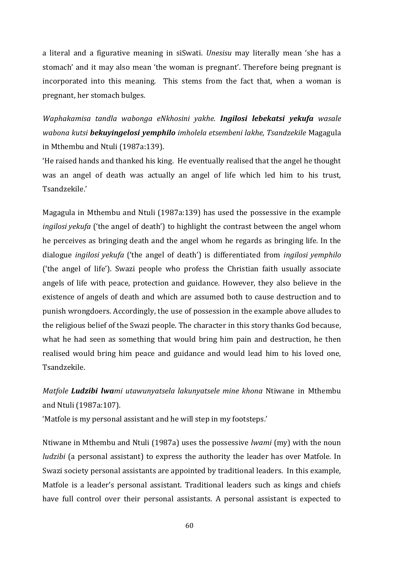a literal and a figurative meaning in siSwati. *Unesisu* may literally mean 'she has a stomach' and it may also mean 'the woman is pregnant'. Therefore being pregnant is incorporated into this meaning. This stems from the fact that, when a woman is pregnant, her stomach bulges.

*Waphakamisa tandla wabonga eNkhosini yakhe. Ingilosi lebekatsi yekufa wasale wabona kutsi bekuyingelosi yemphilo imholela etsembeni lakhe, Tsandzekile* Magagula in Mthembu and Ntuli (1987a:139).

'He raised hands and thanked his king. He eventually realised that the angel he thought was an angel of death was actually an angel of life which led him to his trust, Tsandzekile.'

Magagula in Mthembu and Ntuli (1987a:139) has used the possessive in the example *ingilosi yekufa* ('the angel of death') to highlight the contrast between the angel whom he perceives as bringing death and the angel whom he regards as bringing life. In the dialogue *ingilosi yekufa* ('the angel of death') is differentiated from *ingilosi yemphilo* ('the angel of life'). Swazi people who profess the Christian faith usually associate angels of life with peace, protection and guidance. However, they also believe in the existence of angels of death and which are assumed both to cause destruction and to punish wrongdoers. Accordingly, the use of possession in the example above alludes to the religious belief of the Swazi people. The character in this story thanks God because, what he had seen as something that would bring him pain and destruction, he then realised would bring him peace and guidance and would lead him to his loved one, Tsandzekile.

*Matfole Ludzibi lwami utawunyatsela lakunyatsele mine khona* Ntiwane in Mthembu and Ntuli (1987a:107).

'Matfole is my personal assistant and he will step in my footsteps.'

Ntiwane in Mthembu and Ntuli (1987a) uses the possessive *lwami* (my) with the noun *ludzibi* (a personal assistant) to express the authority the leader has over Matfole. In Swazi society personal assistants are appointed by traditional leaders. In this example, Matfole is a leader's personal assistant. Traditional leaders such as kings and chiefs have full control over their personal assistants. A personal assistant is expected to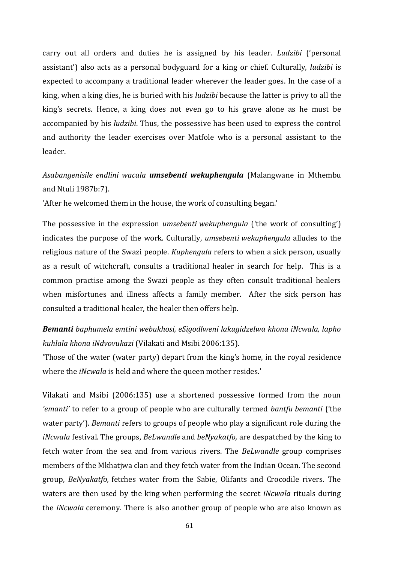carry out all orders and duties he is assigned by his leader. *Ludzibi* ('personal assistant') also acts as a personal bodyguard for a king or chief. Culturally, *ludzibi* is expected to accompany a traditional leader wherever the leader goes. In the case of a king, when a king dies, he is buried with his *ludzibi* because the latter is privy to all the king's secrets. Hence, a king does not even go to his grave alone as he must be accompanied by his *ludzibi*. Thus, the possessive has been used to express the control and authority the leader exercises over Matfole who is a personal assistant to the leader.

## *Asabangenisile endlini wacala umsebenti wekuphengula* (Malangwane in Mthembu and Ntuli 1987b:7).

'After he welcomed them in the house, the work of consulting began.'

The possessive in the expression *umsebenti wekuphengula* ('the work of consulting') indicates the purpose of the work. Culturally, *umsebenti wekuphengula* alludes to the religious nature of the Swazi people. *Kuphengula* refers to when a sick person, usually as a result of witchcraft, consults a traditional healer in search for help. This is a common practise among the Swazi people as they often consult traditional healers when misfortunes and illness affects a family member. After the sick person has consulted a traditional healer, the healer then offers help.

## *Bemanti baphumela emtini webukhosi, eSigodlweni lakugidzelwa khona iNcwala, lapho kuhlala khona iNdvovukazi* (Vilakati and Msibi 2006:135).

'Those of the water (water party) depart from the king's home, in the royal residence where the *iNcwala* is held and where the queen mother resides.'

Vilakati and Msibi (2006:135) use a shortened possessive formed from the noun *'emanti'* to refer to a group of people who are culturally termed *bantfu bemanti* ('the water party'). *Bemanti* refers to groups of people who play a significant role during the *iNcwala* festival*.* The groups, *BeLwandle* and *beNyakatfo,* are despatched by the king to fetch water from the sea and from various rivers. The *BeLwandle* group comprises members of the Mkhatjwa clan and they fetch water from the Indian Ocean. The second group, *BeNyakatfo,* fetches water from the Sabie, Olifants and Crocodile rivers. The waters are then used by the king when performing the secret *iNcwala* rituals during the *iNcwala* ceremony. There is also another group of people who are also known as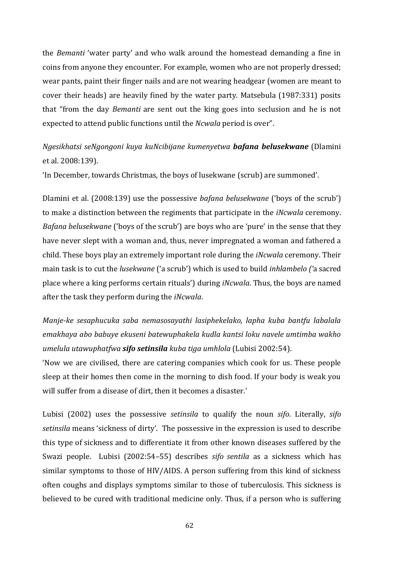the *Bemanti* 'water party' and who walk around the homestead demanding a fine in coins from anyone they encounter. For example, women who are not properly dressed; wear pants, paint their finger nails and are not wearing headgear (women are meant to cover their heads) are heavily fined by the water party. Matsebula (1987:331) posits that "from the day *Bemanti* are sent out the king goes into seclusion and he is not expected to attend public functions until the *Ncwala* period is over".

## *Ngesikhatsi seNgongoni kuya kuNcibijane kumenyetwa bafana belusekwane* (Dlamini et al. 2008:139).

'In December, towards Christmas, the boys of lusekwane (scrub) are summoned'.

Dlamini et al. (2008:139) use the possessive *bafana belusekwane* ('boys of the scrub') to make a distinction between the regiments that participate in the *iNcwala* ceremony. *Bafana belusekwane* ('boys of the scrub') are boys who are 'pure' in the sense that they have never slept with a woman and, thus, never impregnated a woman and fathered a child. These boys play an extremely important role during the *iNcwala* ceremony. Their main task is to cut the *lusekwane* ('a scrub') which is used to build *inhlambelo ('*a sacred place where a king performs certain rituals') during *iNcwala*. Thus, the boys are named after the task they perform during the *iNcwala*.

*Manje-ke sesaphucuka saba nemasosayathi lasiphekelako, lapha kuba bantfu labalala emakhaya abo babuye ekuseni batewuphakela kudla kantsi loku navele umtimba wakho umelula utawuphatfwa sifo setinsila kuba tiga umhlola* (Lubisi 2002:54).

'Now we are civilised, there are catering companies which cook for us. These people sleep at their homes then come in the morning to dish food. If your body is weak you will suffer from a disease of dirt, then it becomes a disaster.'

Lubisi (2002) uses the possessive *setinsila* to qualify the noun *sifo*. Literally, *sifo setinsila* means 'sickness of dirty'. The possessive in the expression is used to describe this type of sickness and to differentiate it from other known diseases suffered by the Swazi people. Lubisi (2002:54–55) describes *sifo sentila* as a sickness which has similar symptoms to those of HIV/AIDS. A person suffering from this kind of sickness often coughs and displays symptoms similar to those of tuberculosis. This sickness is believed to be cured with traditional medicine only. Thus, if a person who is suffering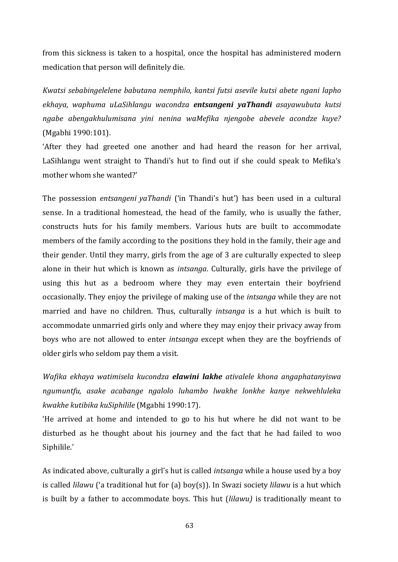from this sickness is taken to a hospital, once the hospital has administered modern medication that person will definitely die.

*Kwatsi sebabingelelene babutana nemphilo, kantsi futsi asevile kutsi abete ngani lapho ekhaya, waphuma uLaSihlangu wacondza entsangeni yaThandi asayawubuta kutsi ngabe abengakhulumisana yini nenina waMefika njengobe abevele acondze kuye?* (Mgabhi 1990:101).

'After they had greeted one another and had heard the reason for her arrival, LaSihlangu went straight to Thandi's hut to find out if she could speak to Mefika's mother whom she wanted?'

The possession *entsangeni yaThandi* ('in Thandi's hut') has been used in a cultural sense. In a traditional homestead, the head of the family, who is usually the father, constructs huts for his family members. Various huts are built to accommodate members of the family according to the positions they hold in the family, their age and their gender. Until they marry, girls from the age of 3 are culturally expected to sleep alone in their hut which is known as *intsanga*. Culturally, girls have the privilege of using this hut as a bedroom where they may even entertain their boyfriend occasionally. They enjoy the privilege of making use of the *intsanga* while they are not married and have no children. Thus, culturally *intsanga* is a hut which is built to accommodate unmarried girls only and where they may enjoy their privacy away from boys who are not allowed to enter *intsanga* except when they are the boyfriends of older girls who seldom pay them a visit.

*Wafika ekhaya watimisela kucondza elawini lakhe ativalele khona angaphatanyiswa ngumuntfu, asake acabange ngalolo luhambo lwakhe lonkhe kanye nekwehluleka kwakhe kutibika kuSiphilile* (Mgabhi 1990:17).

'He arrived at home and intended to go to his hut where he did not want to be disturbed as he thought about his journey and the fact that he had failed to woo Siphilile.'

As indicated above, culturally a girl's hut is called *intsanga* while a house used by a boy is called *lilawu* ('a traditional hut for (a) boy(s)). In Swazi society *lilawu* is a hut which is built by a father to accommodate boys. This hut (*lilawu)* is traditionally meant to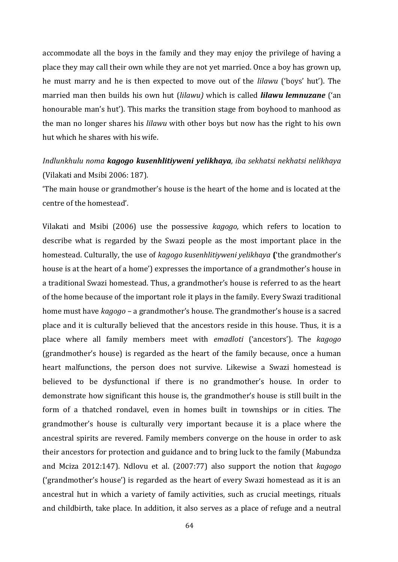accommodate all the boys in the family and they may enjoy the privilege of having a place they may call their own while they are not yet married. Once a boy has grown up, he must marry and he is then expected to move out of the *lilawu* ('boys' hut'). The married man then builds his own hut (*lilawu)* which is called *lilawu lemnuzane* ('an honourable man's hut'). This marks the transition stage from boyhood to manhood as the man no longer shares his *lilawu* with other boys but now has the right to his own hut which he shares with his wife.

## *Indlunkhulu noma kagogo kusenhlitiyweni yelikhaya, iba sekhatsi nekhatsi nelikhaya* (Vilakati and Msibi 2006: 187)*.*

'The main house or grandmother's house is the heart of the home and is located at the centre of the homestead'.

Vilakati and Msibi (2006) use the possessive *kagogo,* which refers to location to describe what is regarded by the Swazi people as the most important place in the homestead. Culturally, the use of *kagogo kusenhlitiyweni yelikhaya* **(**'the grandmother's house is at the heart of a home') expresses the importance of a grandmother's house in a traditional Swazi homestead. Thus, a grandmother's house is referred to as the heart of the home because of the important role it plays in the family. Every Swazi traditional home must have *kagogo* – a grandmother's house. The grandmother's house is a sacred place and it is culturally believed that the ancestors reside in this house. Thus, it is a place where all family members meet with *emadloti* ('ancestors'). The *kagogo* (grandmother's house) is regarded as the heart of the family because, once a human heart malfunctions, the person does not survive. Likewise a Swazi homestead is believed to be dysfunctional if there is no grandmother's house. In order to demonstrate how significant this house is, the grandmother's house is still built in the form of a thatched rondavel, even in homes built in townships or in cities. The grandmother's house is culturally very important because it is a place where the ancestral spirits are revered. Family members converge on the house in order to ask their ancestors for protection and guidance and to bring luck to the family (Mabundza and Mciza 2012:147). Ndlovu et al. (2007:77) also support the notion that *kagogo* ('grandmother's house') is regarded as the heart of every Swazi homestead as it is an ancestral hut in which a variety of family activities, such as crucial meetings, rituals and childbirth, take place. In addition, it also serves as a place of refuge and a neutral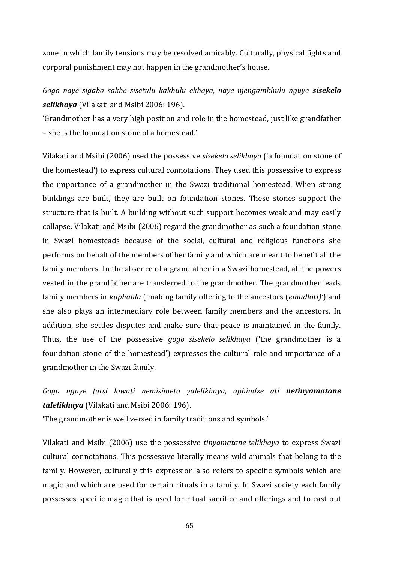zone in which family tensions may be resolved amicably. Culturally, physical fights and corporal punishment may not happen in the grandmother's house.

*Gogo naye sigaba sakhe sisetulu kakhulu ekhaya, naye njengamkhulu nguye sisekelo selikhaya* (Vilakati and Msibi 2006: 196).

'Grandmother has a very high position and role in the homestead, just like grandfather – she is the foundation stone of a homestead.'

Vilakati and Msibi (2006) used the possessive *sisekelo selikhaya* ('a foundation stone of the homestead') to express cultural connotations. They used this possessive to express the importance of a grandmother in the Swazi traditional homestead. When strong buildings are built, they are built on foundation stones. These stones support the structure that is built. A building without such support becomes weak and may easily collapse. Vilakati and Msibi (2006) regard the grandmother as such a foundation stone in Swazi homesteads because of the social, cultural and religious functions she performs on behalf of the members of her family and which are meant to benefit all the family members. In the absence of a grandfather in a Swazi homestead, all the powers vested in the grandfather are transferred to the grandmother. The grandmother leads family members in *kuphahla* ('making family offering to the ancestors (*emadloti)'*) and she also plays an intermediary role between family members and the ancestors. In addition, she settles disputes and make sure that peace is maintained in the family. Thus, the use of the possessive *gogo sisekelo selikhaya* ('the grandmother is a foundation stone of the homestead') expresses the cultural role and importance of a grandmother in the Swazi family.

*Gogo nguye futsi lowati nemisimeto yalelikhaya, aphindze ati netinyamatane talelikhaya* (Vilakati and Msibi 2006: 196).

'The grandmother is well versed in family traditions and symbols.'

Vilakati and Msibi (2006) use the possessive *tinyamatane telikhaya* to express Swazi cultural connotations. This possessive literally means wild animals that belong to the family. However, culturally this expression also refers to specific symbols which are magic and which are used for certain rituals in a family. In Swazi society each family possesses specific magic that is used for ritual sacrifice and offerings and to cast out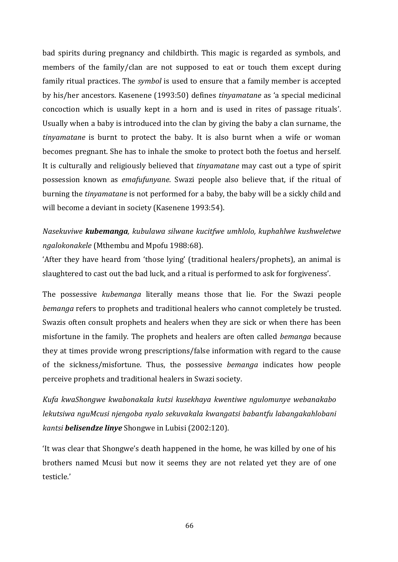bad spirits during pregnancy and childbirth. This magic is regarded as symbols, and members of the family/clan are not supposed to eat or touch them except during family ritual practices. The *symbol* is used to ensure that a family member is accepted by his/her ancestors. Kasenene (1993:50) defines *tinyamatane* as 'a special medicinal concoction which is usually kept in a horn and is used in rites of passage rituals'. Usually when a baby is introduced into the clan by giving the baby a clan surname, the *tinyamatane* is burnt to protect the baby. It is also burnt when a wife or woman becomes pregnant. She has to inhale the smoke to protect both the foetus and herself. It is culturally and religiously believed that *tinyamatane* may cast out a type of spirit possession known as *emafufunyane*. Swazi people also believe that, if the ritual of burning the *tinyamatane* is not performed for a baby, the baby will be a sickly child and will become a deviant in society (Kasenene 1993:54).

# *Nasekuviwe kubemanga, kubulawa silwane kucitfwe umhlolo, kuphahlwe kushweletwe ngalokonakele* (Mthembu and Mpofu 1988:68).

'After they have heard from 'those lying' (traditional healers/prophets), an animal is slaughtered to cast out the bad luck, and a ritual is performed to ask for forgiveness'.

The possessive *kubemanga* literally means those that lie. For the Swazi people *bemanga* refers to prophets and traditional healers who cannot completely be trusted. Swazis often consult prophets and healers when they are sick or when there has been misfortune in the family. The prophets and healers are often called *bemanga* because they at times provide wrong prescriptions/false information with regard to the cause of the sickness/misfortune. Thus, the possessive *bemanga* indicates how people perceive prophets and traditional healers in Swazi society.

*Kufa kwaShongwe kwabonakala kutsi kusekhaya kwentiwe ngulomunye webanakabo lekutsiwa nguMcusi njengoba nyalo sekuvakala kwangatsi babantfu labangakahlobani kantsi belisendze linye* Shongwe in Lubisi (2002:120).

'It was clear that Shongwe's death happened in the home, he was killed by one of his brothers named Mcusi but now it seems they are not related yet they are of one testicle.'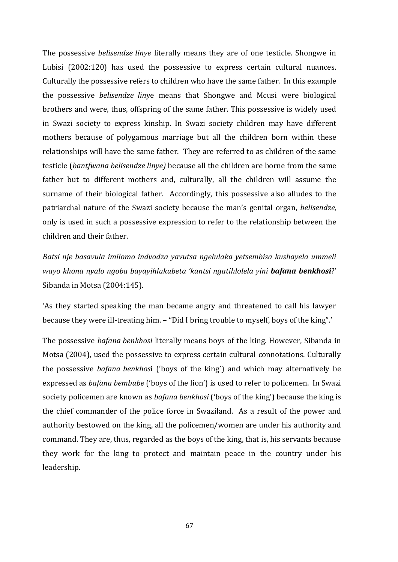The possessive *belisendze linye* literally means they are of one testicle. Shongwe in Lubisi (2002:120) has used the possessive to express certain cultural nuances. Culturally the possessive refers to children who have the same father. In this example the possessive *belisendze lin*ye means that Shongwe and Mcusi were biological brothers and were, thus, offspring of the same father. This possessive is widely used in Swazi society to express kinship. In Swazi society children may have different mothers because of polygamous marriage but all the children born within these relationships will have the same father. They are referred to as children of the same testicle (*bantfwana belisendze linye)* because all the children are borne from the same father but to different mothers and, culturally, all the children will assume the surname of their biological father. Accordingly, this possessive also alludes to the patriarchal nature of the Swazi society because the man's genital organ, *belisendze,* only is used in such a possessive expression to refer to the relationship between the children and their father.

*Batsi nje basavula imilomo indvodza yavutsa ngelulaka yetsembisa kushayela ummeli wayo khona nyalo ngoba bayayihlukubeta 'kantsi ngatihlolela yini bafana benkhosi*?' Sibanda in Motsa (2004:145).

'As they started speaking the man became angry and threatened to call his lawyer because they were ill-treating him. – "Did I bring trouble to myself, boys of the king".'

The possessive *bafana benkhosi* literally means boys of the king. However, Sibanda in Motsa (2004), used the possessive to express certain cultural connotations. Culturally the possessive *bafana benkhos*i ('boys of the king') and which may alternatively be expressed as *bafana bembube* ('boys of the lion') is used to refer to policemen. In Swazi society policemen are known as *bafana benkhosi* ('boys of the king') because the king is the chief commander of the police force in Swaziland. As a result of the power and authority bestowed on the king, all the policemen/women are under his authority and command. They are, thus, regarded as the boys of the king, that is, his servants because they work for the king to protect and maintain peace in the country under his leadership.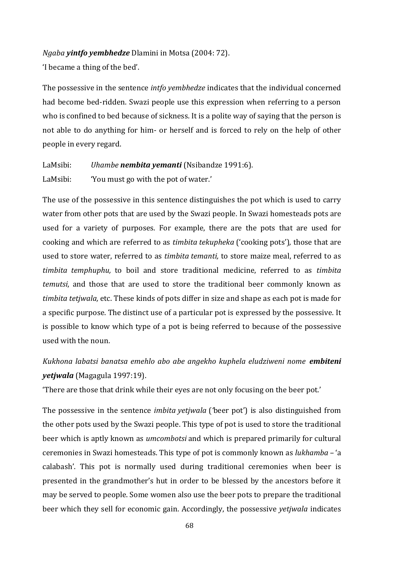#### *Ngaba yintfo yembhedze* Dlamini in Motsa (2004: 72).

'I became a thing of the bed'.

The possessive in the sentence *intfo yembhedze* indicates that the individual concerned had become bed-ridden. Swazi people use this expression when referring to a person who is confined to bed because of sickness. It is a polite way of saying that the person is not able to do anything for him- or herself and is forced to rely on the help of other people in every regard.

LaMsibi: *Uhambe nembita yemanti* (Nsibandze 1991:6). LaMsibi: 'You must go with the pot of water.'

The use of the possessive in this sentence distinguishes the pot which is used to carry water from other pots that are used by the Swazi people. In Swazi homesteads pots are used for a variety of purposes. For example, there are the pots that are used for cooking and which are referred to as *timbita tekupheka* ('cooking pots')*,* those that are used to store water, referred to as *timbita temanti,* to store maize meal, referred to as *timbita temphuphu,* to boil and store traditional medicine, referred to as *timbita temutsi*, and those that are used to store the traditional beer commonly known as *timbita tetjwala,* etc. These kinds of pots differ in size and shape as each pot is made for a specific purpose. The distinct use of a particular pot is expressed by the possessive. It is possible to know which type of a pot is being referred to because of the possessive used with the noun.

*Kukhona labatsi banatsa emehlo abo abe angekho kuphela eludziweni nome embiteni yetjwala* (Magagula 1997:19).

'There are those that drink while their eyes are not only focusing on the beer pot.'

The possessive in the sentence *imbita yetjwala* (*'*beer pot') is also distinguished from the other pots used by the Swazi people. This type of pot is used to store the traditional beer which is aptly known as *umcombotsi* and which is prepared primarily for cultural ceremonies in Swazi homesteads. This type of pot is commonly known as *lukhamba –* 'a calabash'. This pot is normally used during traditional ceremonies when beer is presented in the grandmother's hut in order to be blessed by the ancestors before it may be served to people. Some women also use the beer pots to prepare the traditional beer which they sell for economic gain. Accordingly, the possessive *yetjwala* indicates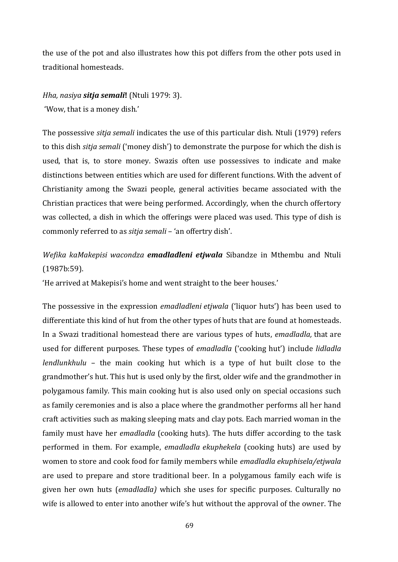the use of the pot and also illustrates how this pot differs from the other pots used in traditional homesteads.

#### *Hha, nasiya sitja semali***!** (Ntuli 1979: 3).

'Wow, that is a money dish.'

The possessive *sitja semali* indicates the use of this particular dish. Ntuli (1979) refers to this dish *sitja semali* ('money dish') to demonstrate the purpose for which the dish is used, that is, to store money. Swazis often use possessives to indicate and make distinctions between entities which are used for different functions. With the advent of Christianity among the Swazi people, general activities became associated with the Christian practices that were being performed. Accordingly, when the church offertory was collected, a dish in which the offerings were placed was used. This type of dish is commonly referred to as *sitja semali* – 'an offertry dish'.

*Wefika kaMakepisi wacondza emadladleni etjwala* Sibandze in Mthembu and Ntuli (1987b:59).

'He arrived at Makepisi's home and went straight to the beer houses.'

The possessive in the expression *emadladleni etjwala* ('liquor huts') has been used to differentiate this kind of hut from the other types of huts that are found at homesteads. In a Swazi traditional homestead there are various types of huts, *emadladla,* that are used for different purposes. These types of *emadladla* ('cooking hut') include *lidladla lendlunkhulu* – the main cooking hut which is a type of hut built close to the grandmother's hut. This hut is used only by the first, older wife and the grandmother in polygamous family. This main cooking hut is also used only on special occasions such as family ceremonies and is also a place where the grandmother performs all her hand craft activities such as making sleeping mats and clay pots. Each married woman in the family must have her *emadladla* (cooking huts). The huts differ according to the task performed in them. For example, *emadladla ekuphekela* (cooking huts) are used by women to store and cook food for family members while *emadladla ekuphisela/etjwala* are used to prepare and store traditional beer. In a polygamous family each wife is given her own huts (*emadladla)* which she uses for specific purposes. Culturally no wife is allowed to enter into another wife's hut without the approval of the owner. The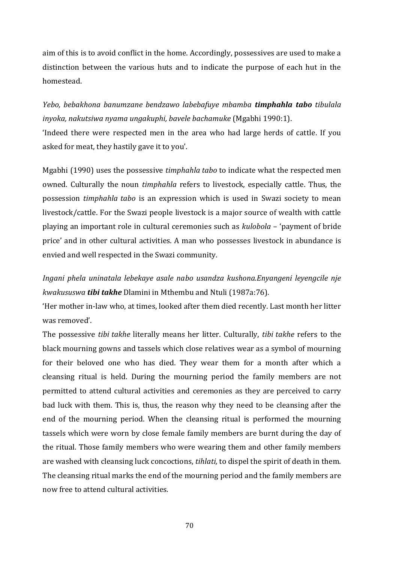aim of this is to avoid conflict in the home. Accordingly, possessives are used to make a distinction between the various huts and to indicate the purpose of each hut in the homestead.

*Yebo, bebakhona banumzane bendzawo labebafuye mbamba timphahla tabo tibulala inyoka, nakutsiwa nyama ungakuphi, bavele bachamuke* (Mgabhi 1990:1).

'Indeed there were respected men in the area who had large herds of cattle. If you asked for meat, they hastily gave it to you'.

Mgabhi (1990) uses the possessive *timphahla tabo* to indicate what the respected men owned. Culturally the noun *timphahla* refers to livestock, especially cattle. Thus, the possession *timphahla tabo* is an expression which is used in Swazi society to mean livestock/cattle. For the Swazi people livestock is a major source of wealth with cattle playing an important role in cultural ceremonies such as *kulobola* – 'payment of bride price' and in other cultural activities. A man who possesses livestock in abundance is envied and well respected in the Swazi community.

*Ingani phela uninatala lebekaye asale nabo usandza kushona.Enyangeni leyengcile nje kwakususwa tibi takhe* Dlamini in Mthembu and Ntuli (1987a:76).

'Her mother in-law who, at times, looked after them died recently. Last month her litter was removed'.

The possessive *tibi takhe* literally means her litter. Culturally, *tibi takhe* refers to the black mourning gowns and tassels which close relatives wear as a symbol of mourning for their beloved one who has died. They wear them for a month after which a cleansing ritual is held. During the mourning period the family members are not permitted to attend cultural activities and ceremonies as they are perceived to carry bad luck with them. This is, thus, the reason why they need to be cleansing after the end of the mourning period. When the cleansing ritual is performed the mourning tassels which were worn by close female family members are burnt during the day of the ritual. Those family members who were wearing them and other family members are washed with cleansing luck concoctions, *tihlati,* to dispel the spirit of death in them. The cleansing ritual marks the end of the mourning period and the family members are now free to attend cultural activities.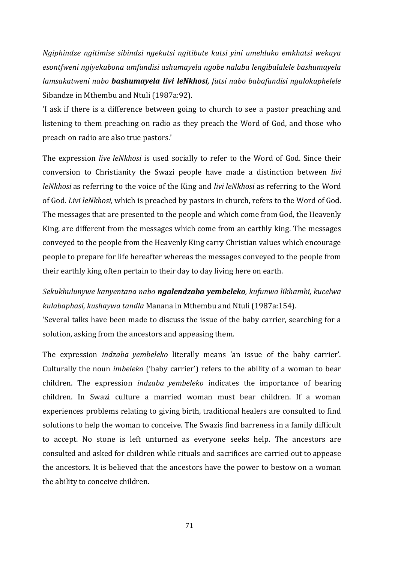*Ngiphindze ngitimise sibindzi ngekutsi ngitibute kutsi yini umehluko emkhatsi wekuya esontfweni ngiyekubona umfundisi ashumayela ngobe nalaba lengibalalele bashumayela lamsakatweni nabo bashumayela livi leNkhosi, futsi nabo babafundisi ngalokuphelele* Sibandze in Mthembu and Ntuli (1987a:92).

'I ask if there is a difference between going to church to see a pastor preaching and listening to them preaching on radio as they preach the Word of God, and those who preach on radio are also true pastors.'

The expression *live leNkhosi* is used socially to refer to the Word of God. Since their conversion to Christianity the Swazi people have made a distinction between *livi leNkhosi* as referring to the voice of the King and *livi leNkhosi* as referring to the Word of God. *Livi leNkhosi,* which is preached by pastors in church, refers to the Word of God. The messages that are presented to the people and which come from God, the Heavenly King, are different from the messages which come from an earthly king. The messages conveyed to the people from the Heavenly King carry Christian values which encourage people to prepare for life hereafter whereas the messages conveyed to the people from their earthly king often pertain to their day to day living here on earth.

*Sekukhulunywe kanyentana nabo ngalendzaba yembeleko, kufunwa likhambi, kucelwa kulabaphasi, kushaywa tandla* Manana in Mthembu and Ntuli (1987a:154).

'Several talks have been made to discuss the issue of the baby carrier, searching for a solution, asking from the ancestors and appeasing them.

The expression *indzaba yembeleko* literally means 'an issue of the baby carrier'. Culturally the noun *imbeleko* ('baby carrier') refers to the ability of a woman to bear children. The expression *indzaba yembeleko* indicates the importance of bearing children. In Swazi culture a married woman must bear children. If a woman experiences problems relating to giving birth, traditional healers are consulted to find solutions to help the woman to conceive. The Swazis find barreness in a family difficult to accept. No stone is left unturned as everyone seeks help. The ancestors are consulted and asked for children while rituals and sacrifices are carried out to appease the ancestors. It is believed that the ancestors have the power to bestow on a woman the ability to conceive children.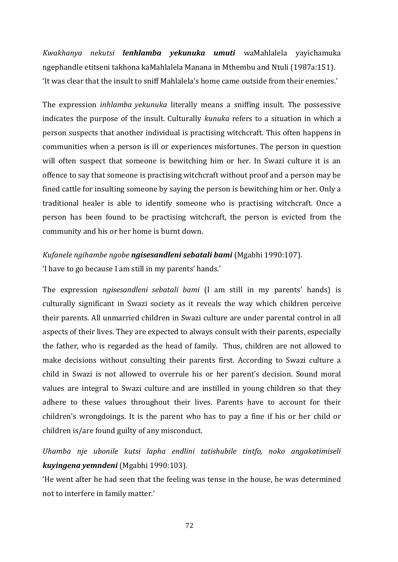*Kwakhanya nekutsi lenhlamba yekunuka umuti* waMahlalela yayichamuka ngephandle etitseni takhona kaMahlalela Manana in Mthembu and Ntuli (1987a:151). 'It was clear that the insult to sniff Mahlalela's home came outside from their enemies.'

The expression *inhlamba yekunuka* literally means a sniffing insult. The possessive indicates the purpose of the insult. Culturally *kunuka* refers to a situation in which a person suspects that another individual is practising witchcraft. This often happens in communities when a person is ill or experiences misfortunes. The person in question will often suspect that someone is bewitching him or her. In Swazi culture it is an offence to say that someone is practising witchcraft without proof and a person may be fined cattle for insulting someone by saying the person is bewitching him or her. Only a traditional healer is able to identify someone who is practising witchcraft. Once a person has been found to be practising witchcraft, the person is evicted from the community and his or her home is burnt down.

#### *Kufanele ngihambe ngobe ngisesandleni sebatali bami* (Mgabhi 1990:107).

'I have to go because I am still in my parents' hands.'

The expression *ngisesandleni sebatali bami* (I am still in my parents' hands) is culturally significant in Swazi society as it reveals the way which children perceive their parents. All unmarried children in Swazi culture are under parental control in all aspects of their lives. They are expected to always consult with their parents, especially the father, who is regarded as the head of family. Thus, children are not allowed to make decisions without consulting their parents first. According to Swazi culture a child in Swazi is not allowed to overrule his or her parent's decision. Sound moral values are integral to Swazi culture and are instilled in young children so that they adhere to these values throughout their lives. Parents have to account for their children's wrongdoings. It is the parent who has to pay a fine if his or her child or children is/are found guilty of any misconduct.

*Uhamba nje ubonile kutsi lapha endlini tatishubile tintfo, noko angakatimiseli kuyingena yemndeni* (Mgabhi 1990:103).

'He went after he had seen that the feeling was tense in the house, he was determined not to interfere in family matter.'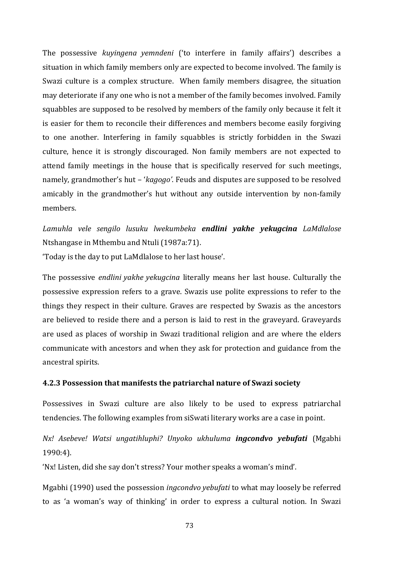The possessive *kuyingena yemndeni* ('to interfere in family affairs') describes a situation in which family members only are expected to become involved. The family is Swazi culture is a complex structure. When family members disagree, the situation may deteriorate if any one who is not a member of the family becomes involved. Family squabbles are supposed to be resolved by members of the family only because it felt it is easier for them to reconcile their differences and members become easily forgiving to one another. Interfering in family squabbles is strictly forbidden in the Swazi culture, hence it is strongly discouraged. Non family members are not expected to attend family meetings in the house that is specifically reserved for such meetings, namely, grandmother's hut – '*kagogo'*. Feuds and disputes are supposed to be resolved amicably in the grandmother's hut without any outside intervention by non-family members.

*Lamuhla vele sengilo lusuku lwekumbeka endlini yakhe yekugcina LaMdlalose* Ntshangase in Mthembu and Ntuli (1987a:71).

'Today is the day to put LaMdlalose to her last house'.

The possessive *endlini yakhe yekugcina* literally means her last house. Culturally the possessive expression refers to a grave. Swazis use polite expressions to refer to the things they respect in their culture. Graves are respected by Swazis as the ancestors are believed to reside there and a person is laid to rest in the graveyard. Graveyards are used as places of worship in Swazi traditional religion and are where the elders communicate with ancestors and when they ask for protection and guidance from the ancestral spirits.

#### **4.2.3 Possession that manifests the patriarchal nature of Swazi society**

Possessives in Swazi culture are also likely to be used to express patriarchal tendencies. The following examples from siSwati literary works are a case in point.

# *Nx! Asebeve! Watsi ungatihluphi? Unyoko ukhuluma ingcondvo yebufati* (Mgabhi 1990:4).

'Nx! Listen, did she say don't stress? Your mother speaks a woman's mind'.

Mgabhi (1990) used the possession *ingcondvo yebufati* to what may loosely be referred to as 'a woman's way of thinking' in order to express a cultural notion. In Swazi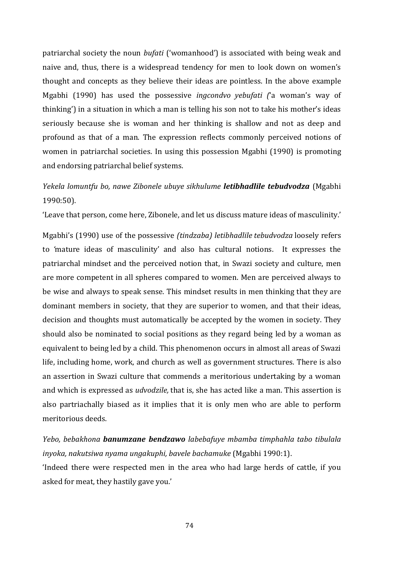patriarchal society the noun *bufati* ('womanhood') is associated with being weak and naive and, thus, there is a widespread tendency for men to look down on women's thought and concepts as they believe their ideas are pointless. In the above example Mgabhi (1990) has used the possessive *ingcondvo yebufati (*'a woman's way of thinking') in a situation in which a man is telling his son not to take his mother's ideas seriously because she is woman and her thinking is shallow and not as deep and profound as that of a man. The expression reflects commonly perceived notions of women in patriarchal societies. In using this possession Mgabhi (1990) is promoting and endorsing patriarchal belief systems.

# *Yekela lomuntfu bo, nawe Zibonele ubuye sikhulume letibhadlile tebudvodza* (Mgabhi 1990:50).

'Leave that person, come here, Zibonele, and let us discuss mature ideas of masculinity.'

Mgabhi's (1990) use of the possessive *(tindzaba) letibhadlile tebudvodza* loosely refers to *'*mature ideas of masculinity' and also has cultural notions. It expresses the patriarchal mindset and the perceived notion that, in Swazi society and culture, men are more competent in all spheres compared to women. Men are perceived always to be wise and always to speak sense. This mindset results in men thinking that they are dominant members in society, that they are superior to women, and that their ideas, decision and thoughts must automatically be accepted by the women in society. They should also be nominated to social positions as they regard being led by a woman as equivalent to being led by a child. This phenomenon occurs in almost all areas of Swazi life, including home, work, and church as well as government structures. There is also an assertion in Swazi culture that commends a meritorious undertaking by a woman and which is expressed as *udvodzile,* that is, she has acted like a man. This assertion is also partriachally biased as it implies that it is only men who are able to perform meritorious deeds.

*Yebo, bebakhona banumzane bendzawo labebafuye mbamba timphahla tabo tibulala inyoka, nakutsiwa nyama ungakuphi, bavele bachamuke* (Mgabhi 1990:1).

'Indeed there were respected men in the area who had large herds of cattle, if you asked for meat, they hastily gave you.'

74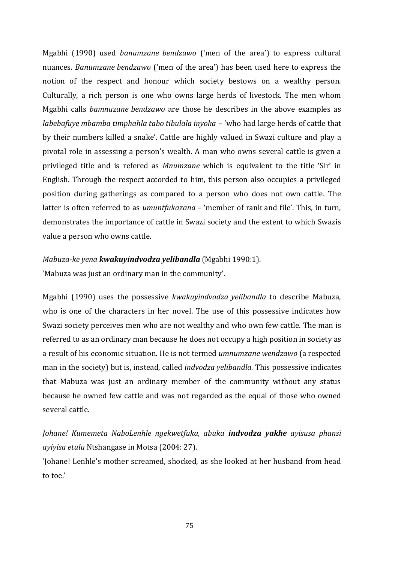Mgabhi (1990) used *banumzane bendzawo* ('men of the area') to express cultural nuances. *Banumzane bendzawo* ('men of the area') has been used here to express the notion of the respect and honour which society bestows on a wealthy person. Culturally, a rich person is one who owns large herds of livestock. The men whom Mgabhi calls *bamnuzane bendzawo* are those he describes in the above examples as *labebafuye mbamba timphahla tabo tibulala inyoka* – 'who had large herds of cattle that by their numbers killed a snake'. Cattle are highly valued in Swazi culture and play a pivotal role in assessing a person's wealth. A man who owns several cattle is given a privileged title and is refered as *Mnumzane* which is equivalent to the title 'Sir' in English. Through the respect accorded to him, this person also occupies a privileged position during gatherings as compared to a person who does not own cattle. The latter is often referred to as *umuntfukazana –* 'member of rank and file'. This, in turn, demonstrates the importance of cattle in Swazi society and the extent to which Swazis value a person who owns cattle.

#### *Mabuza-ke yena kwakuyindvodza yelibandla* (Mgabhi 1990:1).

'Mabuza was just an ordinary man in the community'.

Mgabhi (1990) uses the possessive *kwakuyindvodza yelibandla* to describe Mabuza, who is one of the characters in her novel. The use of this possessive indicates how Swazi society perceives men who are not wealthy and who own few cattle. The man is referred to as an ordinary man because he does not occupy a high position in society as a result of his economic situation. He is not termed *umnumzane wendzawo* (a respected man in the society) but is, instead, called *indvodza yelibandla.* This possessive indicates that Mabuza was just an ordinary member of the community without any status because he owned few cattle and was not regarded as the equal of those who owned several cattle.

*Johane! Kumemeta NaboLenhle ngekwetfuka, abuka indvodza yakhe ayisusa phansi ayiyisa etulu* Ntshangase in Motsa (2004: 27).

'Johane! Lenhle's mother screamed, shocked, as she looked at her husband from head to toe.'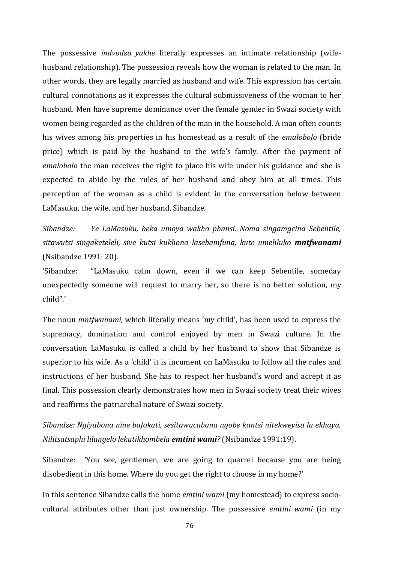The possessive *indvodza yakhe* literally expresses an intimate relationship (wifehusband relationship). The possession reveals how the woman is related to the man. In other words, they are legally married as husband and wife. This expression has certain cultural connotations as it expresses the cultural submissiveness of the woman to her husband. Men have supreme dominance over the female gender in Swazi society with women being regarded as the children of the man in the household. A man often counts his wives among his properties in his homestead as a result of the *emalobolo* (bride price) which is paid by the husband to the wife's family. After the payment of *emalobolo* the man receives the right to place his wife under his guidance and she is expected to abide by the rules of her husband and obey him at all times. This perception of the woman as a child is evident in the conversation below between LaMasuku, the wife, and her husband, Sibandze.

*Sibandze: Ye LaMasuku, beka umoya wakho phansi. Noma singamgcina Sebentile, sitawutsi singaketeleli, sive kutsi kukhona lasebamfuna, kute umehluko mntfwanami* (Nsibandze 1991: 20).

'Sibandze: "LaMasuku calm down, even if we can keep Sebentile, someday unexpectedly someone will request to marry her, so there is no better solution, my child".'

The noun *mntfwanami,* which literally means 'my child', has been used to express the supremacy, domination and control enjoyed by men in Swazi culture. In the conversation LaMasuku is called a child by her husband to show that Sibandze is superior to his wife. As a 'child' it is incument on LaMasuku to follow all the rules and instructions of her husband. She has to respect her husband's word and accept it as final. This possession clearly demonstrates how men in Swazi society treat their wives and reaffirms the patriarchal nature of Swazi society.

*Sibandze: Ngiyabona nine bafokati, sesitawucabana ngobe kantsi nitekweyisa la ekhaya. Nilitsatsaphi lilungelo lekutikhombela emtini wami?* (Nsibandze 1991:19).

Sibandze: 'You see, gentlemen, we are going to quarrel because you are being disobedient in this home. Where do you get the right to choose in my home?'

In this sentence Sibandze calls the home *emtini wami* (my homestead) to express sociocultural attributes other than just ownership. The possessive *emtini wami* (in my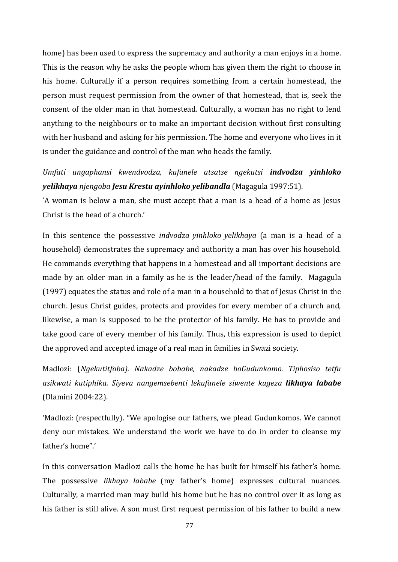home) has been used to express the supremacy and authority a man enjoys in a home. This is the reason why he asks the people whom has given them the right to choose in his home. Culturally if a person requires something from a certain homestead, the person must request permission from the owner of that homestead, that is, seek the consent of the older man in that homestead. Culturally, a woman has no right to lend anything to the neighbours or to make an important decision without first consulting with her husband and asking for his permission. The home and everyone who lives in it is under the guidance and control of the man who heads the family.

*Umfati ungaphansi kwendvodza, kufanele atsatse ngekutsi indvodza yinhloko yelikhaya njengoba Jesu Krestu ayinhloko yelibandla* (Magagula 1997:51).

'A woman is below a man, she must accept that a man is a head of a home as Jesus Christ is the head of a church.'

In this sentence the possessive *indvodza yinhloko yelikhaya* (a man is a head of a household) demonstrates the supremacy and authority a man has over his household. He commands everything that happens in a homestead and all important decisions are made by an older man in a family as he is the leader/head of the family. Magagula (1997) equates the status and role of a man in a household to that of Jesus Christ in the church. Jesus Christ guides, protects and provides for every member of a church and, likewise, a man is supposed to be the protector of his family. He has to provide and take good care of every member of his family. Thus, this expression is used to depict the approved and accepted image of a real man in families in Swazi society.

Madlozi: (*Ngekutitfoba). Nakadze bobabe, nakadze boGudunkomo. Tiphosiso tetfu asikwati kutiphika. Siyeva nangemsebenti lekufanele siwente kugeza likhaya lababe* (Dlamini 2004:22).

'Madlozi: (respectfully). "We apologise our fathers, we plead Gudunkomos. We cannot deny our mistakes. We understand the work we have to do in order to cleanse my father's home".'

In this conversation Madlozi calls the home he has built for himself his father's home. The possessive *likhaya lababe* (my father's home) expresses cultural nuances. Culturally, a married man may build his home but he has no control over it as long as his father is still alive. A son must first request permission of his father to build a new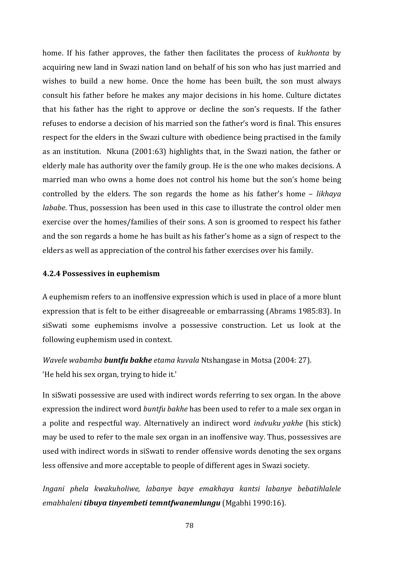home. If his father approves, the father then facilitates the process of *kukhonta* by acquiring new land in Swazi nation land on behalf of his son who has just married and wishes to build a new home. Once the home has been built, the son must always consult his father before he makes any major decisions in his home. Culture dictates that his father has the right to approve or decline the son's requests. If the father refuses to endorse a decision of his married son the father's word is final. This ensures respect for the elders in the Swazi culture with obedience being practised in the family as an institution. Nkuna (2001:63) highlights that, in the Swazi nation, the father or elderly male has authority over the family group. He is the one who makes decisions. A married man who owns a home does not control his home but the son's home being controlled by the elders. The son regards the home as his father's home – *likhaya lababe*. Thus, possession has been used in this case to illustrate the control older men exercise over the homes/families of their sons. A son is groomed to respect his father and the son regards a home he has built as his father's home as a sign of respect to the elders as well as appreciation of the control his father exercises over his family.

#### **4.2.4 Possessives in euphemism**

A euphemism refers to an inoffensive expression which is used in place of a more blunt expression that is felt to be either disagreeable or embarrassing (Abrams 1985:83). In siSwati some euphemisms involve a possessive construction. Let us look at the following euphemism used in context.

*Wavele wabamba buntfu bakhe etama kuvala* Ntshangase in Motsa (2004: 27). 'He held his sex organ, trying to hide it.'

In siSwati possessive are used with indirect words referring to sex organ. In the above expression the indirect word *buntfu bakhe* has been used to refer to a male sex organ in a polite and respectful way. Alternatively an indirect word *indvuku yakhe* (his stick) may be used to refer to the male sex organ in an inoffensive way. Thus, possessives are used with indirect words in siSwati to render offensive words denoting the sex organs less offensive and more acceptable to people of different ages in Swazi society.

*Ingani phela kwakuholiwe, labanye baye emakhaya kantsi labanye bebatihlalele emabhaleni tibuya tinyembeti temntfwanemlungu* (Mgabhi 1990:16).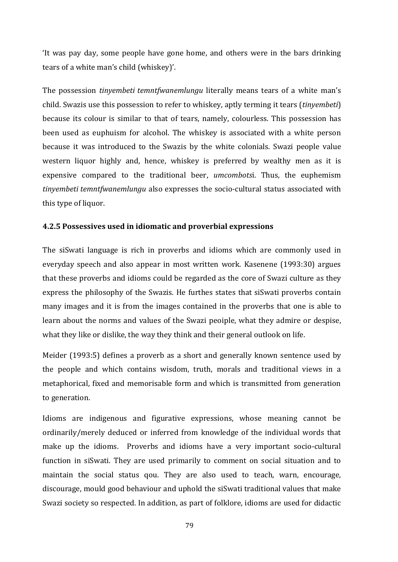'It was pay day, some people have gone home, and others were in the bars drinking tears of a white man's child (whiskey)'.

The possession *tinyembeti temntfwanemlungu* literally means tears of a white man's child. Swazis use this possession to refer to whiskey, aptly terming it tears (*tinyembeti*) because its colour is similar to that of tears, namely, colourless. This possession has been used as euphuism for alcohol. The whiskey is associated with a white person because it was introduced to the Swazis by the white colonials. Swazi people value western liquor highly and, hence, whiskey is preferred by wealthy men as it is expensive compared to the traditional beer, *umcombots*i. Thus, the euphemism *tinyembeti temntfwanemlungu* also expresses the socio-cultural status associated with this type of liquor.

### **4.2.5 Possessives used in idiomatic and proverbial expressions**

The siSwati language is rich in proverbs and idioms which are commonly used in everyday speech and also appear in most written work. Kasenene (1993:30) argues that these proverbs and idioms could be regarded as the core of Swazi culture as they express the philosophy of the Swazis. He furthes states that siSwati proverbs contain many images and it is from the images contained in the proverbs that one is able to learn about the norms and values of the Swazi peoiple, what they admire or despise, what they like or dislike, the way they think and their general outlook on life.

Meider (1993:5) defines a proverb as a short and generally known sentence used by the people and which contains wisdom, truth, morals and traditional views in a metaphorical, fixed and memorisable form and which is transmitted from generation to generation.

Idioms are indigenous and figurative expressions, whose meaning cannot be ordinarily/merely deduced or inferred from knowledge of the individual words that make up the idioms. Proverbs and idioms have a very important socio-cultural function in siSwati. They are used primarily to comment on social situation and to maintain the social status qou. They are also used to teach, warn, encourage, discourage, mould good behaviour and uphold the siSwati traditional values that make Swazi society so respected. In addition, as part of folklore, idioms are used for didactic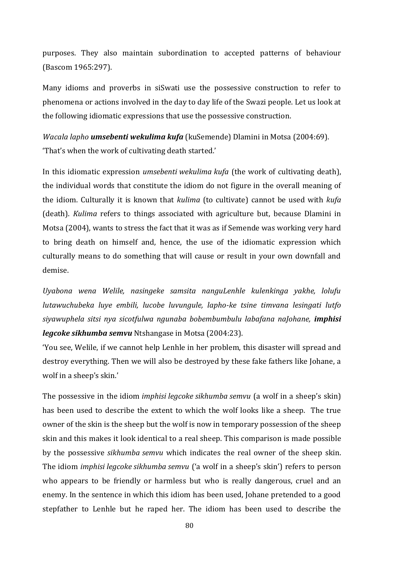purposes. They also maintain subordination to accepted patterns of behaviour (Bascom 1965:297).

Many idioms and proverbs in siSwati use the possessive construction to refer to phenomena or actions involved in the day to day life of the Swazi people. Let us look at the following idiomatic expressions that use the possessive construction.

*Wacala lapho umsebenti wekulima kufa* (kuSemende) Dlamini in Motsa (2004:69). 'That's when the work of cultivating death started.'

In this idiomatic expression *umsebenti wekulima kufa* (the work of cultivating death), the individual words that constitute the idiom do not figure in the overall meaning of the idiom. Culturally it is known that *kulima* (to cultivate) cannot be used with *kufa* (death). *Kulima* refers to things associated with agriculture but, because Dlamini in Motsa (2004), wants to stress the fact that it was as if Semende was working very hard to bring death on himself and, hence, the use of the idiomatic expression which culturally means to do something that will cause or result in your own downfall and demise.

*Uyabona wena Welile, nasingeke samsita nanguLenhle kulenkinga yakhe, lolufu lutawuchubeka luye embili, lucobe luvungule, lapho-ke tsine timvana lesingati lutfo siyawuphela sitsi nya sicotfulwa ngunaba bobembumbulu labafana naJohane, imphisi legcoke sikhumba semvu* Ntshangase in Motsa (2004:23).

'You see, Welile, if we cannot help Lenhle in her problem, this disaster will spread and destroy everything. Then we will also be destroyed by these fake fathers like Johane, a wolf in a sheep's skin.'

The possessive in the idiom *imphisi legcoke sikhumba semvu* (a wolf in a sheep's skin) has been used to describe the extent to which the wolf looks like a sheep. The true owner of the skin is the sheep but the wolf is now in temporary possession of the sheep skin and this makes it look identical to a real sheep. This comparison is made possible by the possessive *sikhumba semvu* which indicates the real owner of the sheep skin. The idiom *imphisi legcoke sikhumba semvu* ('a wolf in a sheep's skin') refers to person who appears to be friendly or harmless but who is really dangerous, cruel and an enemy. In the sentence in which this idiom has been used, Johane pretended to a good stepfather to Lenhle but he raped her. The idiom has been used to describe the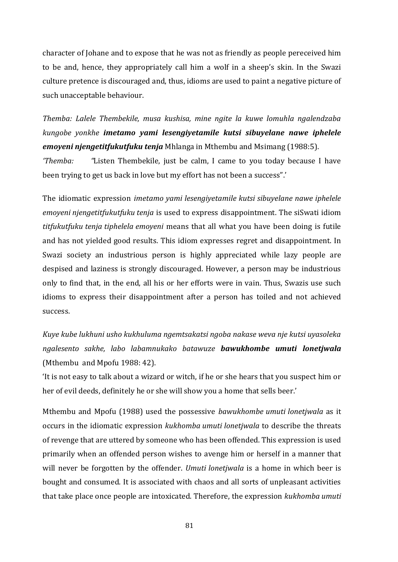character of Johane and to expose that he was not as friendly as people pereceived him to be and, hence, they appropriately call him a wolf in a sheep's skin. In the Swazi culture pretence is discouraged and, thus, idioms are used to paint a negative picture of such unacceptable behaviour.

*Themba: Lalele Thembekile, musa kushisa, mine ngite la kuwe lomuhla ngalendzaba kungobe yonkhe imetamo yami lesengiyetamile kutsi sibuyelane nawe iphelele emoyeni njengetitfukutfuku tenja* Mhlanga in Mthembu and Msimang (1988:5).

*'Themba: "*Listen Thembekile, just be calm, I came to you today because I have been trying to get us back in love but my effort has not been a success".'

The idiomatic expression *imetamo yami lesengiyetamile kutsi sibuyelane nawe iphelele emoyeni njengetitfukutfuku tenja* is used to express disappointment. The siSwati idiom *titfukutfuku tenja tiphelela emoyeni* means that all what you have been doing is futile and has not yielded good results. This idiom expresses regret and disappointment. In Swazi society an industrious person is highly appreciated while lazy people are despised and laziness is strongly discouraged. However, a person may be industrious only to find that, in the end, all his or her efforts were in vain. Thus, Swazis use such idioms to express their disappointment after a person has toiled and not achieved success.

*Kuye kube lukhuni usho kukhuluma ngemtsakatsi ngoba nakase weva nje kutsi uyasoleka ngalesento sakhe, labo labamnukako batawuze bawukhombe umuti lonetjwala* (Mthembu and Mpofu 1988: 42).

'It is not easy to talk about a wizard or witch, if he or she hears that you suspect him or her of evil deeds, definitely he or she will show you a home that sells beer.'

Mthembu and Mpofu (1988) used the possessive *bawukhombe umuti lonetjwala* as it occurs in the idiomatic expression *kukhomba umuti lonetjwala* to describe the threats of revenge that are uttered by someone who has been offended. This expression is used primarily when an offended person wishes to avenge him or herself in a manner that will never be forgotten by the offender. *Umuti lonetjwala* is a home in which beer is bought and consumed. It is associated with chaos and all sorts of unpleasant activities that take place once people are intoxicated. Therefore, the expression *kukhomba umuti*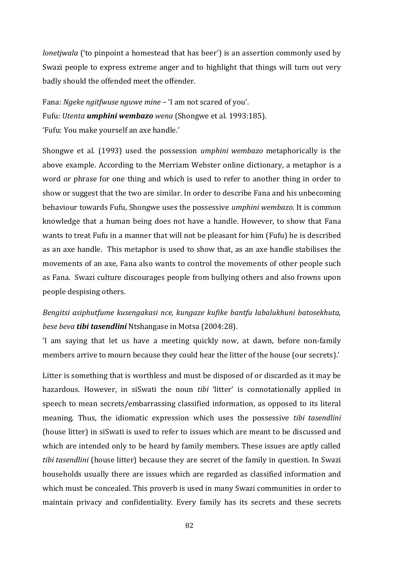*lonetjwala* ('to pinpoint a homestead that has beer') is an assertion commonly used by Swazi people to express extreme anger and to highlight that things will turn out very badly should the offended meet the offender.

Fana: *Ngeke ngitfwuse nguwe mine* – 'I am not scared of you'. Fufu: *Utenta umphini wembazo wena* (Shongwe et al. 1993:185). 'Fufu: You make yourself an axe handle.'

Shongwe et al. (1993) used the possession *umphini wembazo* metaphorically is the above example. According to the Merriam Webster online dictionary, a metaphor is a word or phrase for one thing and which is used to refer to another thing in order to show or suggest that the two are similar. In order to describe Fana and his unbecoming behaviour towards Fufu, Shongwe uses the possessive *umphini wembazo.* It is common knowledge that a human being does not have a handle. However, to show that Fana wants to treat Fufu in a manner that will not be pleasant for him (Fufu) he is described as an axe handle. This metaphor is used to show that, as an axe handle stabilises the movements of an axe, Fana also wants to control the movements of other people such as Fana. Swazi culture discourages people from bullying others and also frowns upon people despising others.

## *Bengitsi asiphutfume kusengakasi nce, kungaze kufike bantfu labalukhuni batosekhuta, bese beva tibi tasendlini* Ntshangase in Motsa (2004:28).

'I am saying that let us have a meeting quickly now, at dawn, before non-family members arrive to mourn because they could hear the litter of the house (our secrets).'

Litter is something that is worthless and must be disposed of or discarded as it may be hazardous. However, in siSwati the noun *tibi* 'litter' is connotationally applied in speech to mean secrets/embarrassing classified information, as opposed to its literal meaning. Thus, the idiomatic expression which uses the possessive *tibi tasendlini* (house litter) in siSwati is used to refer to issues which are meant to be discussed and which are intended only to be heard by family members. These issues are aptly called *tibi tasendlini* (house litter) because they are secret of the family in question. In Swazi households usually there are issues which are regarded as classified information and which must be concealed. This proverb is used in many Swazi communities in order to maintain privacy and confidentiality. Every family has its secrets and these secrets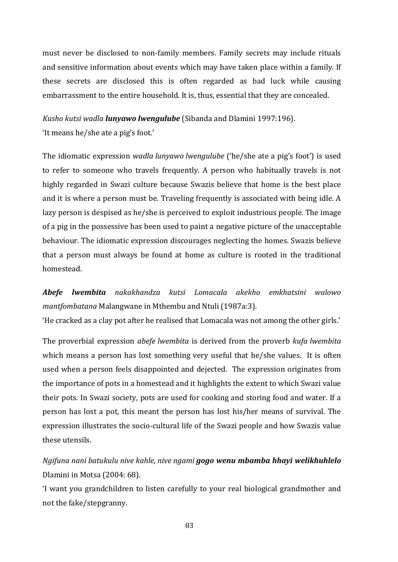must never be disclosed to non-family members. Family secrets may include rituals and sensitive information about events which may have taken place within a family. If these secrets are disclosed this is often regarded as bad luck while causing embarrassment to the entire household. It is, thus, essential that they are concealed.

*Kusho kutsi wadla lunyawo lwengulube* (Sibanda and Dlamini 1997:196).

'It means he/she ate a pig's foot.'

The idiomatic expression *wadla lunyawo lwengulube* ('he/she ate a pig's foot') is used to refer to someone who travels frequently. A person who habitually travels is not highly regarded in Swazi culture because Swazis believe that home is the best place and it is where a person must be. Traveling frequently is associated with being idle. A lazy person is despised as he/she is perceived to exploit industrious people. The image of a pig in the possessive has been used to paint a negative picture of the unacceptable behaviour. The idiomatic expression discourages neglecting the homes. Swazis believe that a person must always be found at home as culture is rooted in the traditional homestead.

*Abefe lwembita nakakhandza kutsi Lomacala akekho emkhatsini walowo mantfombatana* Malangwane in Mthembu and Ntuli (1987a:3).

'He cracked as a clay pot after he realised that Lomacala was not among the other girls.'

The proverbial expression *abefe lwembita* is derived from the proverb *kufa lwembita* which means a person has lost something very useful that he/she values. It is often used when a person feels disappointed and dejected. The expression originates from the importance of pots in a homestead and it highlights the extent to which Swazi value their pots. In Swazi society, pots are used for cooking and storing food and water. If a person has lost a pot, this meant the person has lost his/her means of survival. The expression illustrates the socio-cultural life of the Swazi people and how Swazis value these utensils.

*Ngifuna nani batukulu nive kahle, nive ngami gogo wenu mbamba hhayi welikhuhlelo* Dlamini in Motsa (2004: 68).

'I want you grandchildren to listen carefully to your real biological grandmother and not the fake/stepgranny.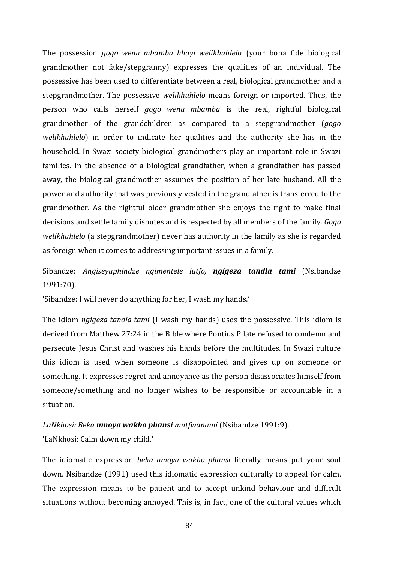The possession *gogo wenu mbamba hhayi welikhuhlelo* (your bona fide biological grandmother not fake/stepgranny) expresses the qualities of an individual. The possessive has been used to differentiate between a real, biological grandmother and a stepgrandmother. The possessive *welikhuhlelo* means foreign or imported. Thus, the person who calls herself *gogo wenu mbamba* is the real, rightful biological grandmother of the grandchildren as compared to a stepgrandmother (*gogo welikhuhlelo*) in order to indicate her qualities and the authority she has in the household. In Swazi society biological grandmothers play an important role in Swazi families. In the absence of a biological grandfather, when a grandfather has passed away, the biological grandmother assumes the position of her late husband. All the power and authority that was previously vested in the grandfather is transferred to the grandmother. As the rightful older grandmother she enjoys the right to make final decisions and settle family disputes and is respected by all members of the family. *Gogo welikhuhlelo* (a stepgrandmother) never has authority in the family as she is regarded as foreign when it comes to addressing important issues in a family.

Sibandze: *Angiseyuphindze ngimentele lutfo, ngigeza tandla tami* (Nsibandze 1991:70).

'Sibandze: I will never do anything for her, I wash my hands.'

The idiom *ngigeza tandla tami* (I wash my hands) uses the possessive. This idiom is derived from Matthew 27:24 in the Bible where Pontius Pilate refused to condemn and persecute Jesus Christ and washes his hands before the multitudes. In Swazi culture this idiom is used when someone is disappointed and gives up on someone or something. It expresses regret and annoyance as the person disassociates himself from someone/something and no longer wishes to be responsible or accountable in a situation.

*LaNkhosi: Beka umoya wakho phansi mntfwanami* (Nsibandze 1991:9). 'LaNkhosi: Calm down my child.'

The idiomatic expression *beka umoya wakho phansi* literally means put your soul down. Nsibandze (1991) used this idiomatic expression culturally to appeal for calm. The expression means to be patient and to accept unkind behaviour and difficult situations without becoming annoyed. This is, in fact, one of the cultural values which

84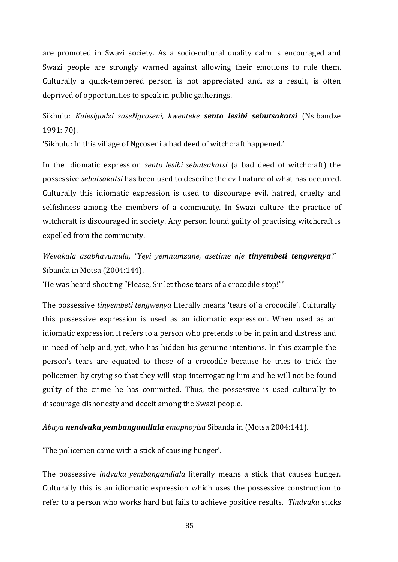are promoted in Swazi society. As a socio-cultural quality calm is encouraged and Swazi people are strongly warned against allowing their emotions to rule them. Culturally a quick-tempered person is not appreciated and, as a result, is often deprived of opportunities to speak in public gatherings.

Sikhulu: *Kulesigodzi saseNgcoseni, kwenteke sento lesibi sebutsakatsi* (Nsibandze 1991: 70).

'Sikhulu: In this village of Ngcoseni a bad deed of witchcraft happened.'

In the idiomatic expression *sento lesibi sebutsakatsi* (a bad deed of witchcraft) the possessive *sebutsakatsi* has been used to describe the evil nature of what has occurred. Culturally this idiomatic expression is used to discourage evil, hatred, cruelty and selfishness among the members of a community. In Swazi culture the practice of witchcraft is discouraged in society. Any person found guilty of practising witchcraft is expelled from the community.

*Wevakala asabhavumula, "Yeyi yemnumzane, asetime nje tinyembeti tengwenya*!" Sibanda in Motsa (2004:144).

'He was heard shouting "Please, Sir let those tears of a crocodile stop!"'

The possessive *tinyembeti tengwenya* literally means 'tears of a crocodile'. Culturally this possessive expression is used as an idiomatic expression. When used as an idiomatic expression it refers to a person who pretends to be in pain and distress and in need of help and, yet, who has hidden his genuine intentions. In this example the person's tears are equated to those of a crocodile because he tries to trick the policemen by crying so that they will stop interrogating him and he will not be found guilty of the crime he has committed. Thus, the possessive is used culturally to discourage dishonesty and deceit among the Swazi people.

*Abuya nendvuku yembangandlala emaphoyisa* Sibanda in (Motsa 2004:141).

'The policemen came with a stick of causing hunger'.

The possessive *indvuku yembangandlala* literally means a stick that causes hunger. Culturally this is an idiomatic expression which uses the possessive construction to refer to a person who works hard but fails to achieve positive results. *Tindvuku* sticks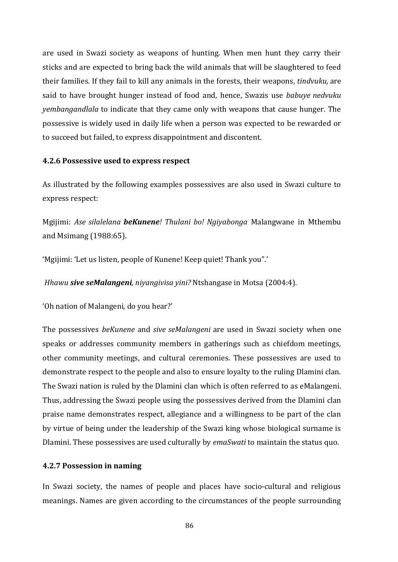are used in Swazi society as weapons of hunting. When men hunt they carry their sticks and are expected to bring back the wild animals that will be slaughtered to feed their families. If they fail to kill any animals in the forests, their weapons, *tindvuku,* are said to have brought hunger instead of food and, hence, Swazis use *babuye nedvuku yembangandlala* to indicate that they came only with weapons that cause hunger. The possessive is widely used in daily life when a person was expected to be rewarded or to succeed but failed, to express disappointment and discontent.

### **4.2.6 Possessive used to express respect**

As illustrated by the following examples possessives are also used in Swazi culture to express respect:

Mgijimi: *Ase silalelana beKunene! Thulani bo! Ngiyabonga* Malangwane in Mthembu and Msimang (1988:65).

'Mgijimi: 'Let us listen, people of Kunene! Keep quiet! Thank you".'

*Hhawu sive seMalangeni, niyangivisa yini?* Ntshangase in Motsa (2004:4).

'Oh nation of Malangeni, do you hear?'

The possessives *beKunene* and *sive seMalangeni* are used in Swazi society when one speaks or addresses community members in gatherings such as chiefdom meetings, other community meetings, and cultural ceremonies. These possessives are used to demonstrate respect to the people and also to ensure loyalty to the ruling Dlamini clan. The Swazi nation is ruled by the Dlamini clan which is often referred to as eMalangeni. Thus, addressing the Swazi people using the possessives derived from the Dlamini clan praise name demonstrates respect, allegiance and a willingness to be part of the clan by virtue of being under the leadership of the Swazi king whose biological surname is Dlamini. These possessives are used culturally by *emaSwati* to maintain the status quo.

## **4.2.7 Possession in naming**

In Swazi society, the names of people and places have socio-cultural and religious meanings. Names are given according to the circumstances of the people surrounding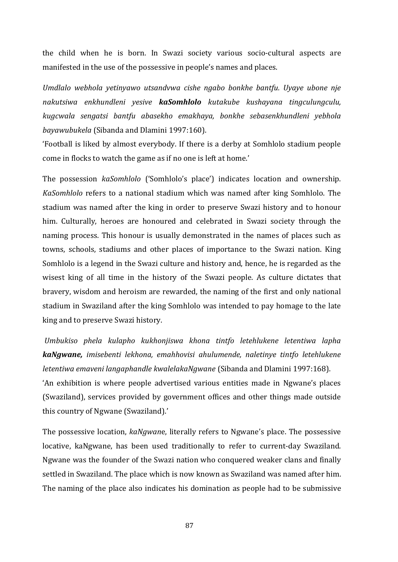the child when he is born. In Swazi society various socio-cultural aspects are manifested in the use of the possessive in people's names and places.

*Umdlalo webhola yetinyawo utsandvwa cishe ngabo bonkhe bantfu. Uyaye ubone nje nakutsiwa enkhundleni yesive kaSomhlolo kutakube kushayana tingculungculu, kugcwala sengatsi bantfu abasekho emakhaya, bonkhe sebasenkhundleni yebhola bayawubukela* (Sibanda and Dlamini 1997:160).

'Football is liked by almost everybody. If there is a derby at Somhlolo stadium people come in flocks to watch the game as if no one is left at home.'

The possession *kaSomhlolo* ('Somhlolo's place') indicates location and ownership. *KaSomhlolo* refers to a national stadium which was named after king Somhlolo. The stadium was named after the king in order to preserve Swazi history and to honour him. Culturally, heroes are honoured and celebrated in Swazi society through the naming process. This honour is usually demonstrated in the names of places such as towns, schools, stadiums and other places of importance to the Swazi nation. King Somhlolo is a legend in the Swazi culture and history and, hence, he is regarded as the wisest king of all time in the history of the Swazi people. As culture dictates that bravery, wisdom and heroism are rewarded, the naming of the first and only national stadium in Swaziland after the king Somhlolo was intended to pay homage to the late king and to preserve Swazi history.

*Umbukiso phela kulapho kukhonjiswa khona tintfo letehlukene letentiwa lapha kaNgwane, imisebenti lekhona, emahhovisi ahulumende, naletinye tintfo letehlukene letentiwa emaveni langaphandle kwalelakaNgwane* (Sibanda and Dlamini 1997:168). 'An exhibition is where people advertised various entities made in Ngwane's places (Swaziland), services provided by government offices and other things made outside this country of Ngwane (Swaziland).'

The possessive location, *kaNgwan*e, literally refers to Ngwane's place. The possessive locative, kaNgwane, has been used traditionally to refer to current-day Swaziland. Ngwane was the founder of the Swazi nation who conquered weaker clans and finally settled in Swaziland. The place which is now known as Swaziland was named after him. The naming of the place also indicates his domination as people had to be submissive

87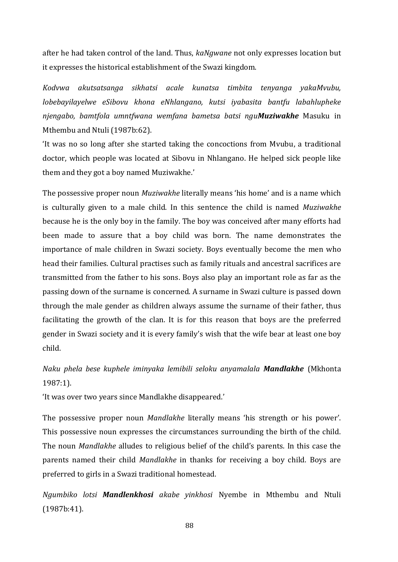after he had taken control of the land. Thus, *kaNgwane* not only expresses location but it expresses the historical establishment of the Swazi kingdom.

*Kodvwa akutsatsanga sikhatsi acale kunatsa timbita tenyanga yakaMvubu, lobebayilayelwe eSibovu khona eNhlangano, kutsi iyabasita bantfu labahlupheke njengabo, bamtfola umntfwana wemfana bametsa batsi nguMuziwakhe* Masuku in Mthembu and Ntuli (1987b:62).

'It was no so long after she started taking the concoctions from Mvubu, a traditional doctor, which people was located at Sibovu in Nhlangano. He helped sick people like them and they got a boy named Muziwakhe.'

The possessive proper noun *Muziwakhe* literally means 'his home' and is a name which is culturally given to a male child. In this sentence the child is named *Muziwakhe* because he is the only boy in the family. The boy was conceived after many efforts had been made to assure that a boy child was born. The name demonstrates the importance of male children in Swazi society. Boys eventually become the men who head their families. Cultural practises such as family rituals and ancestral sacrifices are transmitted from the father to his sons. Boys also play an important role as far as the passing down of the surname is concerned. A surname in Swazi culture is passed down through the male gender as children always assume the surname of their father, thus facilitating the growth of the clan. It is for this reason that boys are the preferred gender in Swazi society and it is every family's wish that the wife bear at least one boy child.

*Naku phela bese kuphele iminyaka lemibili seloku anyamalala Mandlakhe* (Mkhonta 1987:1).

'It was over two years since Mandlakhe disappeared.'

The possessive proper noun *Mandlakhe* literally means 'his strength or his power'. This possessive noun expresses the circumstances surrounding the birth of the child. The noun *Mandlakhe* alludes to religious belief of the child's parents. In this case the parents named their child *Mandlakhe* in thanks for receiving a boy child. Boys are preferred to girls in a Swazi traditional homestead.

*Ngumbiko lotsi Mandlenkhosi akabe yinkhosi* Nyembe in Mthembu and Ntuli (1987b:41).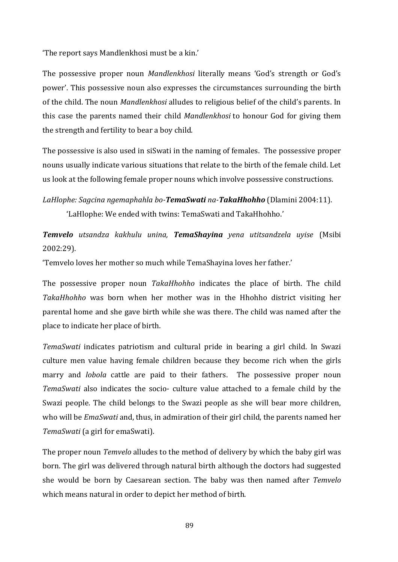'The report says Mandlenkhosi must be a kin.'

The possessive proper noun *Mandlenkhosi* literally means 'God's strength or God's power'. This possessive noun also expresses the circumstances surrounding the birth of the child. The noun *Mandlenkhosi* alludes to religious belief of the child's parents. In this case the parents named their child *Mandlenkhosi* to honour God for giving them the strength and fertility to bear a boy child.

The possessive is also used in siSwati in the naming of females. The possessive proper nouns usually indicate various situations that relate to the birth of the female child. Let us look at the following female proper nouns which involve possessive constructions.

*LaHlophe: Sagcina ngemaphahla bo-TemaSwati na-TakaHhohho* (Dlamini 2004:11). 'LaHlophe: We ended with twins: TemaSwati and TakaHhohho.'

*Temvelo utsandza kakhulu unina, TemaShayina yena utitsandzela uyise* (Msibi 2002:29).

'Temvelo loves her mother so much while TemaShayina loves her father.'

The possessive proper noun *TakaHhohho* indicates the place of birth. The child *TakaHhohho* was born when her mother was in the Hhohho district visiting her parental home and she gave birth while she was there. The child was named after the place to indicate her place of birth.

*TemaSwati* indicates patriotism and cultural pride in bearing a girl child. In Swazi culture men value having female children because they become rich when the girls marry and *lobola* cattle are paid to their fathers. The possessive proper noun *TemaSwati* also indicates the socio- culture value attached to a female child by the Swazi people. The child belongs to the Swazi people as she will bear more children, who will be *EmaSwati* and, thus, in admiration of their girl child, the parents named her *TemaSwati* (a girl for emaSwati).

The proper noun *Temvelo* alludes to the method of delivery by which the baby girl was born. The girl was delivered through natural birth although the doctors had suggested she would be born by Caesarean section. The baby was then named after *Temvelo* which means natural in order to depict her method of birth.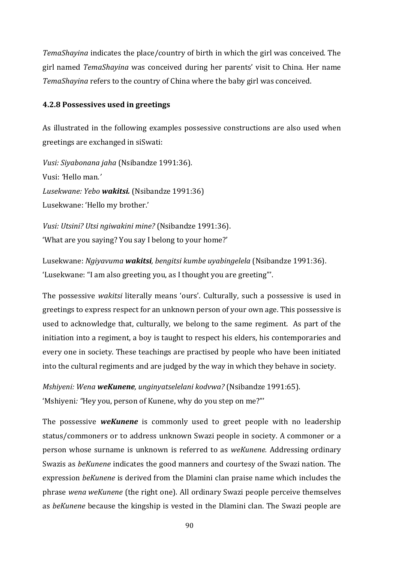*TemaShayina* indicates the place/country of birth in which the girl was conceived. The girl named *TemaShayina* was conceived during her parents' visit to China. Her name *TemaShayina* refers to the country of China where the baby girl was conceived.

#### **4.2.8 Possessives used in greetings**

As illustrated in the following examples possessive constructions are also used when greetings are exchanged in siSwati:

*Vusi: Siyabonana jaha* (Nsibandze 1991:36). Vusi: *'*Hello man*.' Lusekwane: Yebo wakitsi.* (Nsibandze 1991:36) Lusekwane: 'Hello my brother.'

*Vusi: Utsini? Utsi ngiwakini mine?* (Nsibandze 1991:36). 'What are you saying? You say I belong to your home?'

Lusekwane: *Ngiyavuma wakitsi, bengitsi kumbe uyabingelela* (Nsibandze 1991:36). 'Lusekwane: "I am also greeting you, as I thought you are greeting"'.

The possessive *wakitsi* literally means 'ours'. Culturally, such a possessive is used in greetings to express respect for an unknown person of your own age. This possessive is used to acknowledge that, culturally, we belong to the same regiment. As part of the initiation into a regiment, a boy is taught to respect his elders, his contemporaries and every one in society. These teachings are practised by people who have been initiated into the cultural regiments and are judged by the way in which they behave in society.

*Mshiyeni: Wena weKunene, unginyatselelani kodvwa?* (Nsibandze 1991:65). 'Mshiyeni*: "*Hey you, person of Kunene, why do you step on me?"'

The possessive *weKunene* is commonly used to greet people with no leadership status/commoners or to address unknown Swazi people in society. A commoner or a person whose surname is unknown is referred to as *weKunene.* Addressing ordinary Swazis as *beKunene* indicates the good manners and courtesy of the Swazi nation. The expression *beKunene* is derived from the Dlamini clan praise name which includes the phrase *wena weKunene* (the right one). All ordinary Swazi people perceive themselves as *beKunene* because the kingship is vested in the Dlamini clan. The Swazi people are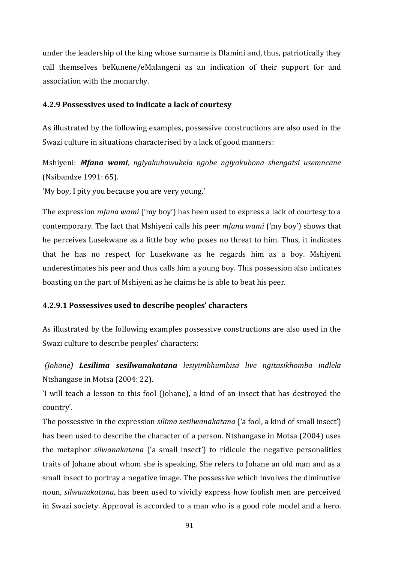under the leadership of the king whose surname is Dlamini and, thus, patriotically they call themselves beKunene/eMalangeni as an indication of their support for and association with the monarchy.

### **4.2.9 Possessives used to indicate a lack of courtesy**

As illustrated by the following examples, possessive constructions are also used in the Swazi culture in situations characterised by a lack of good manners:

Mshiyeni: *Mfana wami, ngiyakuhawukela ngobe ngiyakubona shengatsi usemncane* (Nsibandze 1991: 65).

'My boy, I pity you because you are very young.'

The expression *mfana wami* ('my boy') has been used to express a lack of courtesy to a contemporary. The fact that Mshiyeni calls his peer *mfana wami* ('my boy') shows that he perceives Lusekwane as a little boy who poses no threat to him. Thus, it indicates that he has no respect for Lusekwane as he regards him as a boy. Mshiyeni underestimates his peer and thus calls him a young boy. This possession also indicates boasting on the part of Mshiyeni as he claims he is able to beat his peer.

#### **4.2.9.1 Possessives used to describe peoples' characters**

As illustrated by the following examples possessive constructions are also used in the Swazi culture to describe peoples' characters:

*(Johane) Lesilima sesilwanakatana lesiyimbhumbisa live ngitasikhomba indlela* Ntshangase in Motsa (2004: 22).

'I will teach a lesson to this fool (Johane), a kind of an insect that has destroyed the country'.

The possessive in the expression *silima sesilwanakatana* ('a fool, a kind of small insect') has been used to describe the character of a person. Ntshangase in Motsa (2004) uses the metaphor *silwanakatana* ('a small insect') to ridicule the negative personalities traits of Johane about whom she is speaking. She refers to Johane an old man and as a small insect to portray a negative image. The possessive which involves the diminutive noun, *silwanakatana,* has been used to vividly express how foolish men are perceived in Swazi society. Approval is accorded to a man who is a good role model and a hero.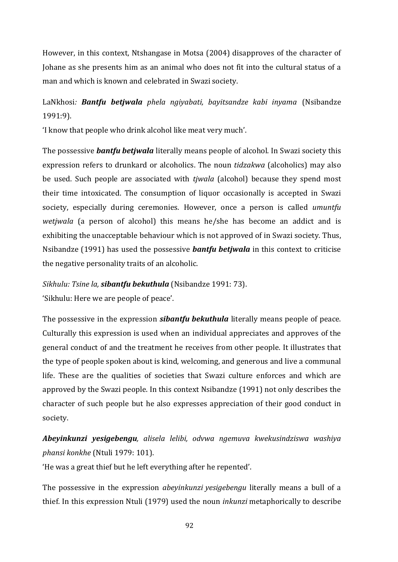However, in this context, Ntshangase in Motsa (2004) disapproves of the character of Johane as she presents him as an animal who does not fit into the cultural status of a man and which is known and celebrated in Swazi society.

# LaNkhosi*: Bantfu betjwala phela ngiyabati, bayitsandze kabi inyama* (Nsibandze 1991:9).

'I know that people who drink alcohol like meat very much'.

The possessive *bantfu betjwala* literally means people of alcohol. In Swazi society this expression refers to drunkard or alcoholics. The noun *tidzakwa* (alcoholics) may also be used. Such people are associated with *tjwala* (alcohol) because they spend most their time intoxicated. The consumption of liquor occasionally is accepted in Swazi society, especially during ceremonies. However, once a person is called *umuntfu wetjwala* (a person of alcohol) this means he/she has become an addict and is exhibiting the unacceptable behaviour which is not approved of in Swazi society. Thus, Nsibandze (1991) has used the possessive *bantfu betjwala* in this context to criticise the negative personality traits of an alcoholic.

*Sikhulu: Tsine la, sibantfu bekuthula* (Nsibandze 1991: 73). 'Sikhulu: Here we are people of peace'.

The possessive in the expression *sibantfu bekuthula* literally means people of peace. Culturally this expression is used when an individual appreciates and approves of the general conduct of and the treatment he receives from other people. It illustrates that the type of people spoken about is kind, welcoming, and generous and live a communal life. These are the qualities of societies that Swazi culture enforces and which are approved by the Swazi people. In this context Nsibandze (1991) not only describes the character of such people but he also expresses appreciation of their good conduct in society.

*Abeyinkunzi yesigebengu, alisela lelibi, odvwa ngemuva kwekusindziswa washiya phansi konkhe* (Ntuli 1979: 101).

'He was a great thief but he left everything after he repented'.

The possessive in the expression *abeyinkunzi yesigebengu* literally means a bull of a thief. In this expression Ntuli (1979) used the noun *inkunzi* metaphorically to describe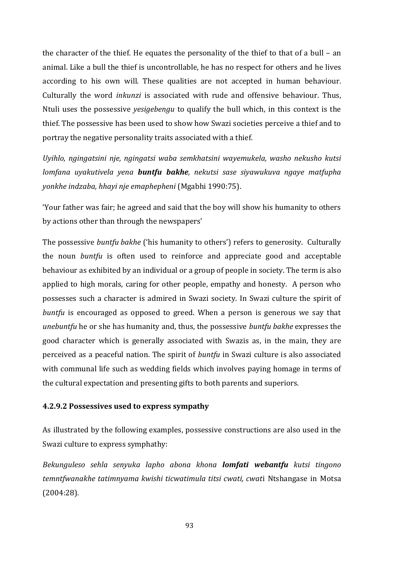the character of the thief. He equates the personality of the thief to that of a bull – an animal. Like a bull the thief is uncontrollable, he has no respect for others and he lives according to his own will. These qualities are not accepted in human behaviour. Culturally the word *inkunzi* is associated with rude and offensive behaviour. Thus, Ntuli uses the possessive *yesigebengu* to qualify the bull which, in this context is the thief. The possessive has been used to show how Swazi societies perceive a thief and to portray the negative personality traits associated with a thief.

*Uyihlo, ngingatsini nje, ngingatsi waba semkhatsini wayemukela, washo nekusho kutsi lomfana uyakutivela yena buntfu bakhe, nekutsi sase siyawukuva ngaye matfupha yonkhe indzaba, hhayi nje emaphepheni* (Mgabhi 1990:75).

'Your father was fair; he agreed and said that the boy will show his humanity to others by actions other than through the newspapers'

The possessive *buntfu bakhe* ('his humanity to others') refers to generosity. Culturally the noun *buntfu* is often used to reinforce and appreciate good and acceptable behaviour as exhibited by an individual or a group of people in society. The term is also applied to high morals, caring for other people, empathy and honesty. A person who possesses such a character is admired in Swazi society. In Swazi culture the spirit of *buntfu* is encouraged as opposed to greed. When a person is generous we say that *unebuntfu* he or she has humanity and, thus, the possessive *buntfu bakhe* expresses the good character which is generally associated with Swazis as, in the main, they are perceived as a peaceful nation. The spirit of *buntfu* in Swazi culture is also associated with communal life such as wedding fields which involves paying homage in terms of the cultural expectation and presenting gifts to both parents and superiors.

## **4.2.9.2 Possessives used to express sympathy**

As illustrated by the following examples, possessive constructions are also used in the Swazi culture to express symphathy:

*Bekunguleso sehla senyuka lapho abona khona lomfati webantfu kutsi tingono temntfwanakhe tatimnyama kwishi ticwatimula titsi cwati, cwat*i Ntshangase in Motsa (2004:28).

93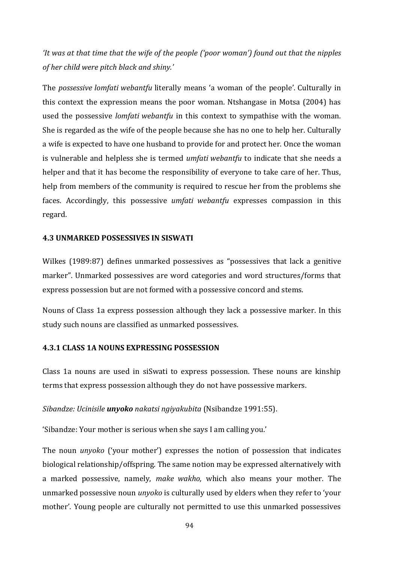*'It was at that time that the wife of the people ('poor woman') found out that the nipples of her child were pitch black and shiny.'*

The *possessive lomfati webantfu* literally means 'a woman of the people'*.* Culturally in this context the expression means the poor woman. Ntshangase in Motsa (2004) has used the possessive *lomfati webantfu* in this context to sympathise with the woman. She is regarded as the wife of the people because she has no one to help her. Culturally a wife is expected to have one husband to provide for and protect her. Once the woman is vulnerable and helpless she is termed *umfati webantfu* to indicate that she needs a helper and that it has become the responsibility of everyone to take care of her. Thus, help from members of the community is required to rescue her from the problems she faces. Accordingly, this possessive *umfati webantfu* expresses compassion in this regard.

### **4.3 UNMARKED POSSESSIVES IN SISWATI**

Wilkes (1989:87) defines unmarked possessives as "possessives that lack a genitive marker". Unmarked possessives are word categories and word structures/forms that express possession but are not formed with a possessive concord and stems.

Nouns of Class 1a express possession although they lack a possessive marker. In this study such nouns are classified as unmarked possessives.

## **4.3.1 CLASS 1A NOUNS EXPRESSING POSSESSION**

Class 1a nouns are used in siSwati to express possession. These nouns are kinship terms that express possession although they do not have possessive markers.

*Sibandze: Ucinisile unyoko nakatsi ngiyakubita* (Nsibandze 1991:55).

'Sibandze: Your mother is serious when she says I am calling you.'

The noun *unyoko* ('your mother') expresses the notion of possession that indicates biological relationship/offspring. The same notion may be expressed alternatively with a marked possessive, namely, *make wakho,* which also means your mother. The unmarked possessive noun *unyoko* is culturally used by elders when they refer to 'your mother'. Young people are culturally not permitted to use this unmarked possessives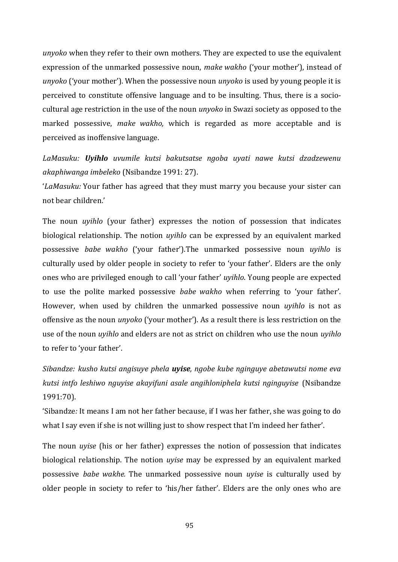*unyoko* when they refer to their own mothers. They are expected to use the equivalent expression of the unmarked possessive noun, *make wakho* ('your mother'), instead of *unyoko* ('your mother'). When the possessive noun *unyoko* is used by young people it is perceived to constitute offensive language and to be insulting. Thus, there is a sociocultural age restriction in the use of the noun *unyoko* in Swazi society as opposed to the marked possessive, *make wakho,* which is regarded as more acceptable and is perceived as inoffensive language.

*LaMasuku: Uyihlo uvumile kutsi bakutsatse ngoba uyati nawe kutsi dzadzewenu akaphiwanga imbeleko* (Nsibandze 1991: 27).

'*LaMasuku:* Your father has agreed that they must marry you because your sister can not bear children.'

The noun *uyihlo* (your father) expresses the notion of possession that indicates biological relationship. The notion *uyihlo* can be expressed by an equivalent marked possessive *babe wakho* ('your father').The unmarked possessive noun *uyihlo* is culturally used by older people in society to refer to 'your father'. Elders are the only ones who are privileged enough to call 'your father' *uyihlo*. Young people are expected to use the polite marked possessive *babe wakho* when referring to 'your father'. However, when used by children the unmarked possessive noun *uyihlo* is not as offensive as the noun *unyoko* ('your mother'). As a result there is less restriction on the use of the noun *uyihlo* and elders are not as strict on children who use the noun *uyihlo* to refer to 'your father'.

*Sibandze: kusho kutsi angisuye phela uyise, ngobe kube nginguye abetawutsi nome eva kutsi intfo leshiwo nguyise akayifuni asale angihloniphela kutsi nginguyise* (Nsibandze 1991:70).

'Sibandze*:* It means I am not her father because, if I was her father, she was going to do what I say even if she is not willing just to show respect that I'm indeed her father'.

The noun *uyise* (his or her father) expresses the notion of possession that indicates biological relationship. The notion *uyise* may be expressed by an equivalent marked possessive *babe wakhe.* The unmarked possessive noun *uyise* is culturally used by older people in society to refer to 'his/her father'. Elders are the only ones who are

95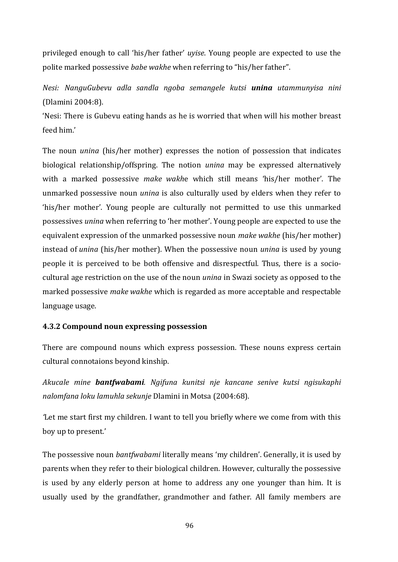privileged enough to call 'his/her father' *uyise*. Young people are expected to use the polite marked possessive *babe wakhe* when referring to "his/her father".

*Nesi: NanguGubevu adla sandla ngoba semangele kutsi unina utammunyisa nini* (Dlamini 2004:8).

'Nesi: There is Gubevu eating hands as he is worried that when will his mother breast feed him.'

The noun *unina* (his/her mother) expresses the notion of possession that indicates biological relationship/offspring. The notion *unina* may be expressed alternatively with a marked possessive *make wakh*e which still means 'his/her mother'. The unmarked possessive noun *unina* is also culturally used by elders when they refer to 'his/her mother'. Young people are culturally not permitted to use this unmarked possessives *unina* when referring to 'her mother'. Young people are expected to use the equivalent expression of the unmarked possessive noun *make wakhe* (his/her mother) instead of *unina* (his/her mother). When the possessive noun *unina* is used by young people it is perceived to be both offensive and disrespectful. Thus, there is a sociocultural age restriction on the use of the noun *unina* in Swazi society as opposed to the marked possessive *make wakhe* which is regarded as more acceptable and respectable language usage.

## **4.3.2 Compound noun expressing possession**

There are compound nouns which express possession. These nouns express certain cultural connotaions beyond kinship.

*Akucale mine bantfwabami. Ngifuna kunitsi nje kancane senive kutsi ngisukaphi nalomfana loku lamuhla sekunje* Dlamini in Motsa (2004:68).

*'*Let me start first my children. I want to tell you briefly where we come from with this boy up to present.'

The possessive noun *bantfwabami* literally means 'my children'. Generally, it is used by parents when they refer to their biological children. However, culturally the possessive is used by any elderly person at home to address any one younger than him. It is usually used by the grandfather, grandmother and father. All family members are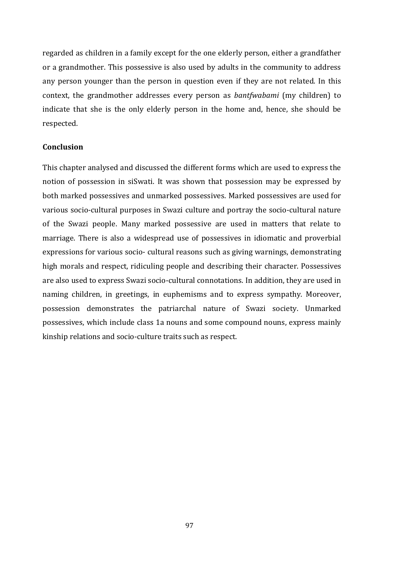regarded as children in a family except for the one elderly person, either a grandfather or a grandmother. This possessive is also used by adults in the community to address any person younger than the person in question even if they are not related. In this context, the grandmother addresses every person as *bantfwabami* (my children) to indicate that she is the only elderly person in the home and, hence, she should be respected.

#### **Conclusion**

This chapter analysed and discussed the different forms which are used to express the notion of possession in siSwati. It was shown that possession may be expressed by both marked possessives and unmarked possessives. Marked possessives are used for various socio-cultural purposes in Swazi culture and portray the socio-cultural nature of the Swazi people. Many marked possessive are used in matters that relate to marriage. There is also a widespread use of possessives in idiomatic and proverbial expressions for various socio- cultural reasons such as giving warnings, demonstrating high morals and respect, ridiculing people and describing their character. Possessives are also used to express Swazi socio-cultural connotations. In addition, they are used in naming children, in greetings, in euphemisms and to express sympathy. Moreover, possession demonstrates the patriarchal nature of Swazi society. Unmarked possessives, which include class 1a nouns and some compound nouns, express mainly kinship relations and socio-culture traits such as respect.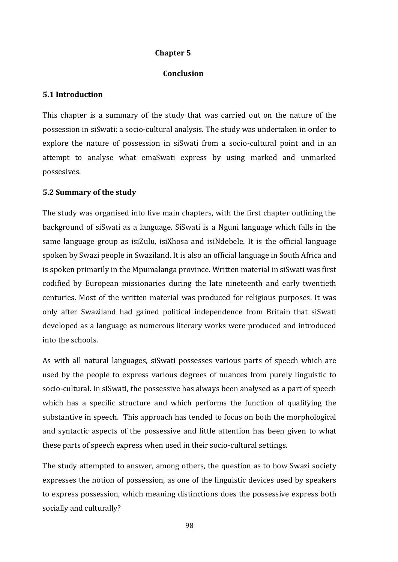## **Chapter 5**

### **Conclusion**

### **5.1 Introduction**

This chapter is a summary of the study that was carried out on the nature of the possession in siSwati: a socio-cultural analysis. The study was undertaken in order to explore the nature of possession in siSwati from a socio-cultural point and in an attempt to analyse what emaSwati express by using marked and unmarked possesives.

## **5.2 Summary of the study**

The study was organised into five main chapters, with the first chapter outlining the background of siSwati as a language. SiSwati is a Nguni language which falls in the same language group as isiZulu, isiXhosa and isiNdebele. It is the official language spoken by Swazi people in Swaziland. It is also an official language in South Africa and is spoken primarily in the Mpumalanga province. Written material in siSwati was first codified by European missionaries during the late nineteenth and early twentieth centuries. Most of the written material was produced for religious purposes. It was only after Swaziland had gained political independence from Britain that siSwati developed as a language as numerous literary works were produced and introduced into the schools.

As with all natural languages, siSwati possesses various parts of speech which are used by the people to express various degrees of nuances from purely linguistic to socio-cultural. In siSwati, the possessive has always been analysed as a part of speech which has a specific structure and which performs the function of qualifying the substantive in speech. This approach has tended to focus on both the morphological and syntactic aspects of the possessive and little attention has been given to what these parts of speech express when used in their socio-cultural settings.

The study attempted to answer, among others, the question as to how Swazi society expresses the notion of possession, as one of the linguistic devices used by speakers to express possession, which meaning distinctions does the possessive express both socially and culturally?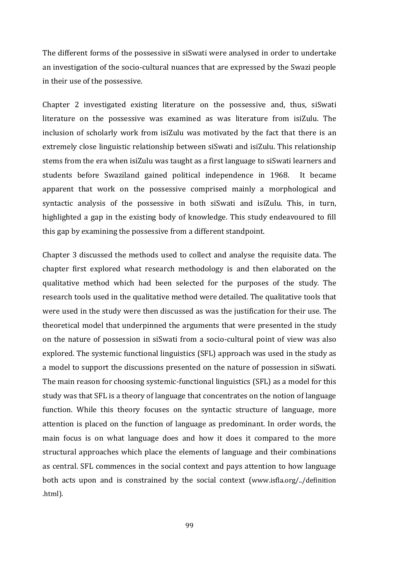The different forms of the possessive in siSwati were analysed in order to undertake an investigation of the socio-cultural nuances that are expressed by the Swazi people in their use of the possessive.

Chapter 2 investigated existing literature on the possessive and, thus, siSwati literature on the possessive was examined as was literature from isiZulu. The inclusion of scholarly work from isiZulu was motivated by the fact that there is an extremely close linguistic relationship between siSwati and isiZulu. This relationship stems from the era when isiZulu was taught as a first language to siSwati learners and students before Swaziland gained political independence in 1968. It became apparent that work on the possessive comprised mainly a morphological and syntactic analysis of the possessive in both siSwati and isiZulu. This, in turn, highlighted a gap in the existing body of knowledge. This study endeavoured to fill this gap by examining the possessive from a different standpoint.

Chapter 3 discussed the methods used to collect and analyse the requisite data. The chapter first explored what research methodology is and then elaborated on the qualitative method which had been selected for the purposes of the study. The research tools used in the qualitative method were detailed. The qualitative tools that were used in the study were then discussed as was the justification for their use. The theoretical model that underpinned the arguments that were presented in the study on the nature of possession in siSwati from a socio-cultural point of view was also explored. The systemic functional linguistics (SFL) approach was used in the study as a model to support the discussions presented on the nature of possession in siSwati. The main reason for choosing systemic-functional linguistics (SFL) as a model for this study was that SFL is a theory of language that concentrates on the notion of language function. While this theory focuses on the syntactic structure of language, more attention is placed on the function of language as predominant. In order words, the main focus is on what language does and how it does it compared to the more structural approaches which place the elements of language and their combinations as central. SFL commences in the social context and pays attention to how language both acts upon and is constrained by the social context (www.isfla.org/../definition .html).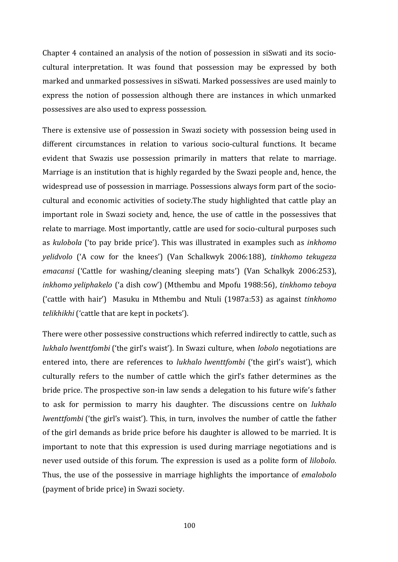Chapter 4 contained an analysis of the notion of possession in siSwati and its sociocultural interpretation. It was found that possession may be expressed by both marked and unmarked possessives in siSwati. Marked possessives are used mainly to express the notion of possession although there are instances in which unmarked possessives are also used to express possession.

There is extensive use of possession in Swazi society with possession being used in different circumstances in relation to various socio-cultural functions. It became evident that Swazis use possession primarily in matters that relate to marriage. Marriage is an institution that is highly regarded by the Swazi people and, hence, the widespread use of possession in marriage. Possessions always form part of the sociocultural and economic activities of society.The study highlighted that cattle play an important role in Swazi society and, hence, the use of cattle in the possessives that relate to marriage. Most importantly, cattle are used for socio-cultural purposes such as *kulobola* ('to pay bride price'). This was illustrated in examples such as *inkhomo yelidvolo* ('A cow for the knees') (Van Schalkwyk 2006:188), *tinkhomo tekugeza emacansi* ('Cattle for washing/cleaning sleeping mats') (Van Schalkyk 2006:253), *inkhomo yeliphakelo* ('a dish cow') (Mthembu and Mpofu 1988:56), *tinkhomo teboya* ('cattle with hair') Masuku in Mthembu and Ntuli (1987a:53) as against *tinkhomo telikhikhi* ('cattle that are kept in pockets').

There were other possessive constructions which referred indirectly to cattle, such as *lukhalo lwenttfombi* ('the girl's waist'). In Swazi culture, when *lobolo* negotiations are entered into, there are references to *lukhalo lwenttfombi* ('the girl's waist'), which culturally refers to the number of cattle which the girl's father determines as the bride price. The prospective son-in law sends a delegation to his future wife's father to ask for permission to marry his daughter. The discussions centre on *lukhalo lwenttfombi* ('the girl's waist'). This, in turn, involves the number of cattle the father of the girl demands as bride price before his daughter is allowed to be married. It is important to note that this expression is used during marriage negotiations and is never used outside of this forum. The expression is used as a polite form of *lilobolo*. Thus, the use of the possessive in marriage highlights the importance of *emalobolo* (payment of bride price) in Swazi society.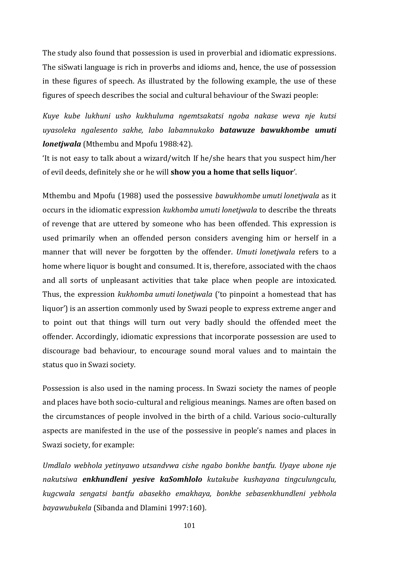The study also found that possession is used in proverbial and idiomatic expressions. The siSwati language is rich in proverbs and idioms and, hence, the use of possession in these figures of speech. As illustrated by the following example, the use of these figures of speech describes the social and cultural behaviour of the Swazi people:

*Kuye kube lukhuni usho kukhuluma ngemtsakatsi ngoba nakase weva nje kutsi uyasoleka ngalesento sakhe, labo labamnukako batawuze bawukhombe umuti lonetjwala* (Mthembu and Mpofu 1988:42).

'It is not easy to talk about a wizard/witch If he/she hears that you suspect him/her of evil deeds, definitely she or he will **show you a home that sells liquor**'.

Mthembu and Mpofu (1988) used the possessive *bawukhombe umuti lonetjwala* as it occurs in the idiomatic expression *kukhomba umuti lonetjwala* to describe the threats of revenge that are uttered by someone who has been offended. This expression is used primarily when an offended person considers avenging him or herself in a manner that will never be forgotten by the offender. *Umuti lonetjwala* refers to a home where liquor is bought and consumed. It is, therefore, associated with the chaos and all sorts of unpleasant activities that take place when people are intoxicated. Thus, the expression *kukhomba umuti lonetjwala* ('to pinpoint a homestead that has liquor') is an assertion commonly used by Swazi people to express extreme anger and to point out that things will turn out very badly should the offended meet the offender. Accordingly, idiomatic expressions that incorporate possession are used to discourage bad behaviour, to encourage sound moral values and to maintain the status quo in Swazi society.

Possession is also used in the naming process. In Swazi society the names of people and places have both socio-cultural and religious meanings. Names are often based on the circumstances of people involved in the birth of a child. Various socio-culturally aspects are manifested in the use of the possessive in people's names and places in Swazi society, for example:

*Umdlalo webhola yetinyawo utsandvwa cishe ngabo bonkhe bantfu. Uyaye ubone nje nakutsiwa enkhundleni yesive kaSomhlolo kutakube kushayana tingculungculu, kugcwala sengatsi bantfu abasekho emakhaya, bonkhe sebasenkhundleni yebhola bayawubukela* (Sibanda and Dlamini 1997:160).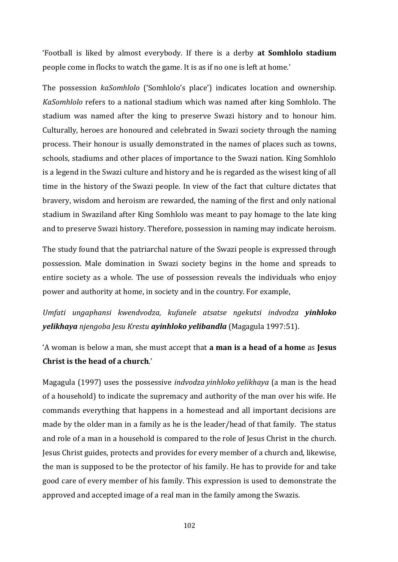'Football is liked by almost everybody. If there is a derby **at Somhlolo stadium** people come in flocks to watch the game. It is as if no one is left at home.'

The possession *kaSomhlolo* ('Somhlolo's place') indicates location and ownership*. KaSomhlolo* refers to a national stadium which was named after king Somhlolo. The stadium was named after the king to preserve Swazi history and to honour him. Culturally, heroes are honoured and celebrated in Swazi society through the naming process. Their honour is usually demonstrated in the names of places such as towns, schools, stadiums and other places of importance to the Swazi nation. King Somhlolo is a legend in the Swazi culture and history and he is regarded as the wisest king of all time in the history of the Swazi people. In view of the fact that culture dictates that bravery, wisdom and heroism are rewarded, the naming of the first and only national stadium in Swaziland after King Somhlolo was meant to pay homage to the late king and to preserve Swazi history. Therefore, possession in naming may indicate heroism.

The study found that the patriarchal nature of the Swazi people is expressed through possession. Male domination in Swazi society begins in the home and spreads to entire society as a whole. The use of possession reveals the individuals who enjoy power and authority at home, in society and in the country. For example,

*Umfati ungaphansi kwendvodza, kufanele atsatse ngekutsi indvodza yinhloko yelikhaya njengoba Jesu Krestu ayinhloko yelibandla* (Magagula 1997:51).

'A woman is below a man, she must accept that **a man is a head of a home** as **Jesus Christ is the head of a church**.'

Magagula (1997) uses the possessive *indvodza yinhloko yelikhaya* (a man is the head of a household) to indicate the supremacy and authority of the man over his wife. He commands everything that happens in a homestead and all important decisions are made by the older man in a family as he is the leader/head of that family. The status and role of a man in a household is compared to the role of Jesus Christ in the church. Jesus Christ guides, protects and provides for every member of a church and, likewise, the man is supposed to be the protector of his family. He has to provide for and take good care of every member of his family. This expression is used to demonstrate the approved and accepted image of a real man in the family among the Swazis.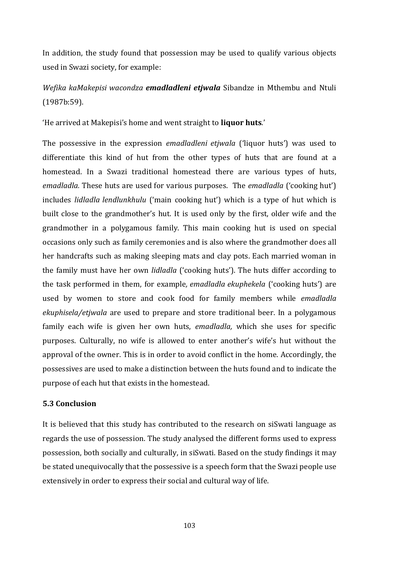In addition, the study found that possession may be used to qualify various objects used in Swazi society, for example:

## *Wefika kaMakepisi wacondza emadladleni etjwala* Sibandze in Mthembu and Ntuli (1987b:59).

'He arrived at Makepisi's home and went straight to **liquor huts**.'

The possessive in the expression *emadladleni etjwala* ('liquor huts') was used to differentiate this kind of hut from the other types of huts that are found at a homestead. In a Swazi traditional homestead there are various types of huts, *emadladla.* These huts are used for various purposes. The *emadladla* ('cooking hut') includes *lidladla lendlunkhulu* ('main cooking hut') which is a type of hut which is built close to the grandmother's hut. It is used only by the first, older wife and the grandmother in a polygamous family. This main cooking hut is used on special occasions only such as family ceremonies and is also where the grandmother does all her handcrafts such as making sleeping mats and clay pots. Each married woman in the family must have her own *lidladla* ('cooking huts'). The huts differ according to the task performed in them, for example*, emadladla ekuphekela* ('cooking huts') are used by women to store and cook food for family members while *emadladla ekuphisela/etjwala* are used to prepare and store traditional beer. In a polygamous family each wife is given her own huts, *emadladla,* which she uses for specific purposes. Culturally, no wife is allowed to enter another's wife's hut without the approval of the owner. This is in order to avoid conflict in the home. Accordingly, the possessives are used to make a distinction between the huts found and to indicate the purpose of each hut that exists in the homestead.

## **5.3 Conclusion**

It is believed that this study has contributed to the research on siSwati language as regards the use of possession. The study analysed the different forms used to express possession, both socially and culturally, in siSwati. Based on the study findings it may be stated unequivocally that the possessive is a speech form that the Swazi people use extensively in order to express their social and cultural way of life.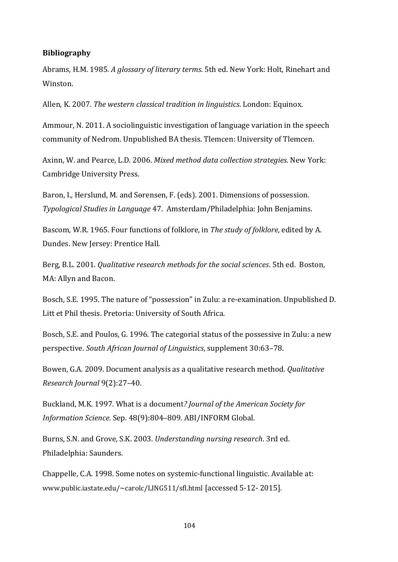## **Bibliography**

Abrams, H.M. 1985. *A glossary of literary terms*. 5th ed. New York: Holt, Rinehart and Winston.

Allen, K. 2007. *The western classical tradition in linguistics*. London: Equinox.

Ammour, N. 2011. A sociolinguistic investigation of language variation in the speech community of Nedrom. Unpublished BA thesis. Tlemcen: University of Tlemcen.

Axinn, W. and Pearce, L.D. 2006. *Mixed method data collection strategies.* New York: Cambridge University Press.

Baron, I., Herslund, M. and Sorensen, F. (eds). 2001. Dimensions of possession. *Typological Studies in Language* 47. Amsterdam/Philadelphia: John Benjamins.

Bascom, W.R. 1965. Four functions of folklore, in *The study of folklore*, edited by A. Dundes. New Jersey: Prentice Hall.

Berg, B.L. 2001. *Qualitative research methods for the social sciences*. 5th ed. Boston, MA: Allyn and Bacon.

Bosch, S.E. 1995. The nature of "possession" in Zulu: a re-examination. Unpublished D. Litt et Phil thesis. Pretoria: University of South Africa.

Bosch, S.E. and Poulos, G. 1996. The categorial status of the possessive in Zulu: a new perspective. *South African Journal of Linguistics*, supplement 30:63–78.

Bowen, G.A. 2009. Document analysis as a qualitative research method. *Qualitative Research Journal* 9(2):27–40.

Buckland, M.K. 1997. What is a document*? Journal of the American Society for Information Science.* Sep. 48(9):804–809. ABI/INFORM Global.

Burns, S.N. and Grove, S.K. 2003. *Understanding nursing research*. 3rd ed. Philadelphia: Saunders.

Chappelle, C.A. 1998. Some notes on systemic-functional linguistic. Available at: www.public.iastate.edu/~carolc/LING511/sfl.html [accessed 5-12- 2015].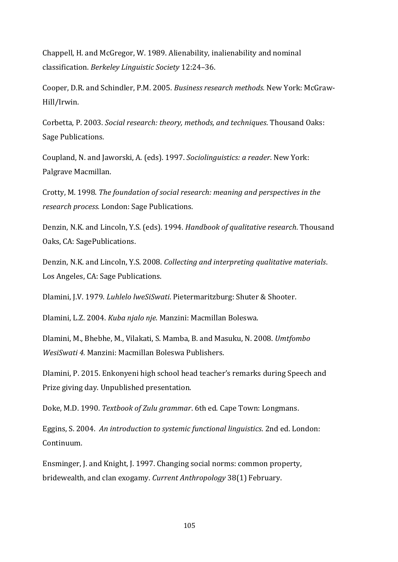Chappell, H. and McGregor, W. 1989. Alienability, inalienability and nominal classification. *Berkeley Linguistic Society* 12:24–36.

Cooper, D.R. and Schindler, P.M. 2005. *Business research methods.* New York: McGraw-Hill/Irwin.

Corbetta, P. 2003. *Social research: theory, methods, and techniques*. Thousand Oaks: Sage Publications.

Coupland, N. and Jaworski, A. (eds). 1997. *Sociolinguistics: a reader*. New York: Palgrave Macmillan.

Crotty, M. 1998. *The foundation of social research: meaning and perspectives in the research process.* London: Sage Publications.

Denzin, N.K. and Lincoln, Y.S. (eds). 1994. *Handbook of qualitative research*. Thousand Oaks, CA: SagePublications.

Denzin, N.K. and Lincoln, Y.S. 2008. *Collecting and interpreting qualitative materials*. Los Angeles, CA: Sage Publications.

Dlamini, J.V. 1979. *Luhlelo lweSiSwati*. Pietermaritzburg: Shuter & Shooter.

Dlamini, L.Z. 2004. *Kuba njalo nje*. Manzini: Macmillan Boleswa.

Dlamini, M., Bhebhe, M., Vilakati, S. Mamba, B. and Masuku, N. 2008. *Umtfombo WesiSwati 4.* Manzini: Macmillan Boleswa Publishers.

Dlamini, P. 2015. Enkonyeni high school head teacher's remarks during Speech and Prize giving day. Unpublished presentation.

Doke, M.D. 1990. *Textbook of Zulu grammar*. 6th ed. Cape Town: Longmans.

Eggins, S. 2004. *An introduction to systemic functional linguistics*. 2nd ed. London: Continuum.

Ensminger, J. and Knight, J. 1997. Changing social norms: common property, bridewealth, and clan exogamy. *Current Anthropology* 38(1) February.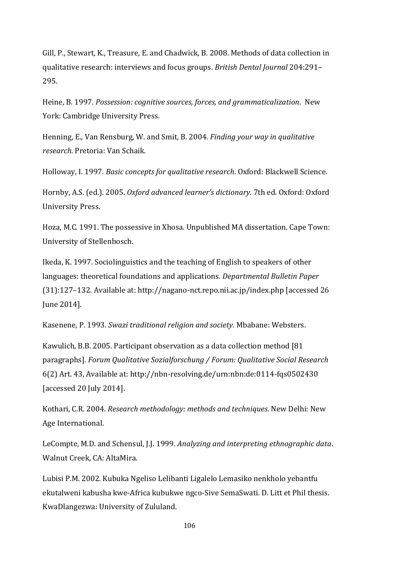Gill, P., Stewart, K., Treasure, E. and Chadwick, B. 2008. Methods of data collection in qualitative research: interviews and focus groups. *British Dental Journal* 204:291– 295.

Heine, B. 1997. *Possession: cognitive sources, forces, and grammaticalization*. New York: Cambridge University Press.

Henning, E., Van Rensburg, W. and Smit, B. 2004. *Finding your way in qualitative research*. Pretoria: Van Schaik.

Holloway, I. 1997. *Basic concepts for qualitative research*. Oxford: Blackwell Science.

Hornby, A.S. (ed.). 2005. *Oxford advanced learner's dictionary*. 7th ed. Oxford: Oxford University Press.

Hoza, M.C. 1991. The possessive in Xhosa. Unpublished MA dissertation. Cape Town: University of Stellenbosch.

Ikeda, K. 1997. Sociolinguistics and the teaching of English to speakers of other languages: theoretical foundations and applications. *Departmental Bulletin Paper* (31):127–132. Available at: http://nagano-nct.repo.nii.ac.jp/index.php [accessed 26 June 2014].

Kasenene, P. 1993. *Swazi traditional religion and society*. Mbabane: Websters.

Kawulich, B.B. 2005. Participant observation as a data collection method [81 paragraphs]. *Forum Qualitative Sozialforschung / Forum: Qualitative Social Research* 6(2) Art. 43, Available at: http://nbn-resolving.de/urn:nbn:de:0114-fqs0502430 [accessed 20 July 2014].

Kothari, C.R. 2004. *Research methodology: methods and techniques*. New Delhi: New Age International.

LeCompte, M.D. and Schensul, J.J. 1999. *Analyzing and interpreting ethnographic data*. Walnut Creek, CA: AltaMira.

Lubisi P.M. 2002. Kubuka Ngeliso Lelibanti Ligalelo Lemasiko nenkholo yebantfu ekutalweni kabusha kwe-Africa kubukwe ngco-Sive SemaSwati. D. Litt et Phil thesis. KwaDlangezwa: University of Zululand.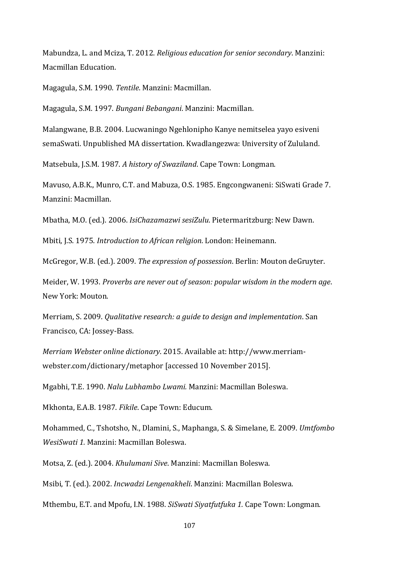Mabundza, L. and Mciza, T. 2012. *Religious education for senior secondary*. Manzini: Macmillan Education.

Magagula, S.M. 1990. *Tentile*. Manzini: Macmillan.

Magagula, S.M. 1997. *Bungani Bebangani*. Manzini: Macmillan.

Malangwane, B.B. 2004. Lucwaningo Ngehlonipho Kanye nemitselea yayo esiveni semaSwati. Unpublished MA dissertation. Kwadlangezwa: University of Zululand.

Matsebula, J.S.M. 1987. *A history of Swaziland*. Cape Town: Longman.

Mavuso, A.B.K., Munro, C.T. and Mabuza, O.S. 1985. Engcongwaneni: SiSwati Grade 7. Manzini: Macmillan.

Mbatha, M.O. (ed.). 2006. *IsiChazamazwi sesiZulu*. Pietermaritzburg: New Dawn.

Mbiti, J.S. 1975. *Introduction to African religion*. London: Heinemann.

McGregor, W.B. (ed.). 2009. *The expression of possession*. Berlin: Mouton deGruyter.

Meider, W. 1993. *Proverbs are never out of season: popular wisdom in the modern age*. New York: Mouton.

Merriam, S. 2009. *Qualitative research: a guide to design and implementation*. San Francisco, CA: Jossey-Bass.

*Merriam Webster online dictionary*. 2015. Available at: http://www.merriamwebster.com/dictionary/metaphor [accessed 10 November 2015].

Mgabhi, T.E. 1990. *Nalu Lubhambo Lwami.* Manzini: Macmillan Boleswa.

Mkhonta, E.A.B. 1987. *Fikile*. Cape Town: Educum.

Mohammed, C., Tshotsho, N., Dlamini, S., Maphanga, S. & Simelane, E. 2009. *Umtfombo WesiSwati 1.* Manzini: Macmillan Boleswa.

Motsa, Z. (ed.). 2004. *Khulumani Sive*. Manzini: Macmillan Boleswa.

Msibi, T. (ed.). 2002. *Incwadzi Lengenakheli*. Manzini: Macmillan Boleswa.

Mthembu, E.T. and Mpofu, I.N. 1988. *SiSwati Siyatfutfuka 1.* Cape Town: Longman.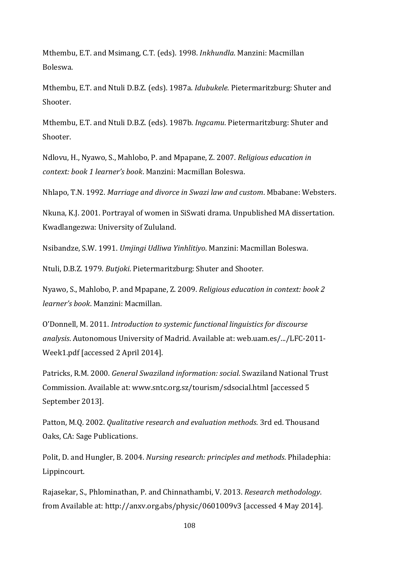Mthembu, E.T. and Msimang, C.T. (eds). 1998. *Inkhundla*. Manzini: Macmillan Boleswa.

Mthembu, E.T. and Ntuli D.B.Z. (eds). 1987a. *Idubukele*. Pietermaritzburg: Shuter and Shooter.

Mthembu, E.T. and Ntuli D.B.Z. (eds). 1987b. *Ingcamu*. Pietermaritzburg: Shuter and Shooter.

Ndlovu, H., Nyawo, S., Mahlobo, P. and Mpapane, Z. 2007. *Religious education in context: book 1 learner's book*. Manzini: Macmillan Boleswa.

Nhlapo, T.N. 1992. *Marriage and divorce in Swazi law and custom*. Mbabane: Websters.

Nkuna, K.J. 2001. Portrayal of women in SiSwati drama. Unpublished MA dissertation. Kwadlangezwa: University of Zululand.

Nsibandze, S.W. 1991. *Umjingi Udliwa Yinhlitiyo*. Manzini: Macmillan Boleswa.

Ntuli, D.B.Z. 1979. *Butjoki*. Pietermaritzburg: Shuter and Shooter.

Nyawo, S., Mahlobo, P. and Mpapane, Z. 2009. *Religious education in context: book 2 learner's book*. Manzini: Macmillan.

O'Donnell, M. 2011. *Introduction to systemic functional linguistics for discourse analysis*. Autonomous University of Madrid. Available at: web.uam.es/.../LFC-2011- Week1.pdf [accessed 2 April 2014].

Patricks, R.M. 2000. *General Swaziland information: social*. Swaziland National Trust Commission. Available at: www.sntc.org.sz/tourism/sdsocial.html [accessed 5 September 2013].

Patton, M.Q. 2002. *Qualitative research and evaluation methods*. 3rd ed. Thousand Oaks, CA: Sage Publications.

Polit, D. and Hungler, B. 2004. *Nursing research: principles and methods*. Philadephia: Lippincourt.

Rajasekar, S., Phlominathan, P. and Chinnathambi, V. 2013. *Research methodology*. from Available at: http://anxv.org.abs/physic/0601009v3 [accessed 4 May 2014].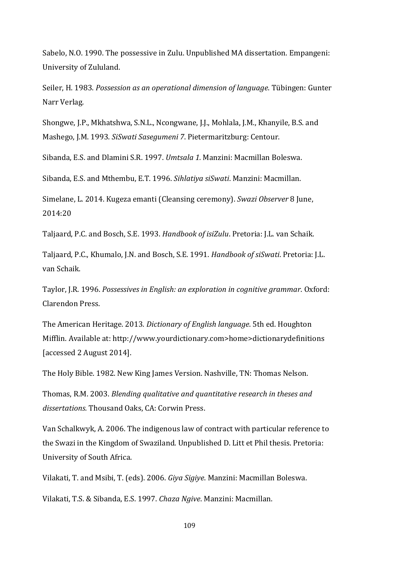Sabelo, N.O. 1990. The possessive in Zulu. Unpublished MA dissertation. Empangeni: University of Zululand.

Seiler, H. 1983. *Possession as an operational dimension of language*. Tübingen: Gunter Narr Verlag.

Shongwe, J.P., Mkhatshwa, S.N.L., Ncongwane, J.J., Mohlala, J.M., Khanyile, B.S. and Mashego, J.M. 1993. *SiSwati Sasegumeni 7*. Pietermaritzburg: Centour.

Sibanda, E.S. and Dlamini S.R. 1997. *Umtsala 1.* Manzini: Macmillan Boleswa.

Sibanda, E.S. and Mthembu, E.T. 1996. *Sihlatiya siSwati*. Manzini: Macmillan.

Simelane, L. 2014. Kugeza emanti (Cleansing ceremony). *Swazi Observer* 8 June, 2014:20

Taljaard, P.C. and Bosch, S.E. 1993. *Handbook of isiZulu*. Pretoria: J.L. van Schaik.

Taljaard, P.C., Khumalo, J.N. and Bosch, S.E. 1991. *Handbook of siSwati*. Pretoria: J.L. van Schaik.

Taylor, J.R. 1996. *Possessives in English: an exploration in cognitive grammar*. Oxford: Clarendon Press.

The American Heritage. 2013. *Dictionary of English language*. 5th ed. Houghton Mifflin. Available at: http://www.yourdictionary.com>home>dictionarydefinitions [accessed 2 August 2014].

The Holy Bible. 1982. New King James Version. Nashville, TN: Thomas Nelson.

Thomas, R.M. 2003. *Blending qualitative and quantitative research in theses and dissertations.* Thousand Oaks, CA: Corwin Press.

Van Schalkwyk, A. 2006. The indigenous law of contract with particular reference to the Swazi in the Kingdom of Swaziland. Unpublished D. Litt et Phil thesis. Pretoria: University of South Africa.

Vilakati, T. and Msibi, T. (eds). 2006. *Giya Sigiye*. Manzini: Macmillan Boleswa.

Vilakati, T.S. & Sibanda, E.S. 1997. *Chaza Ngive*. Manzini: Macmillan.